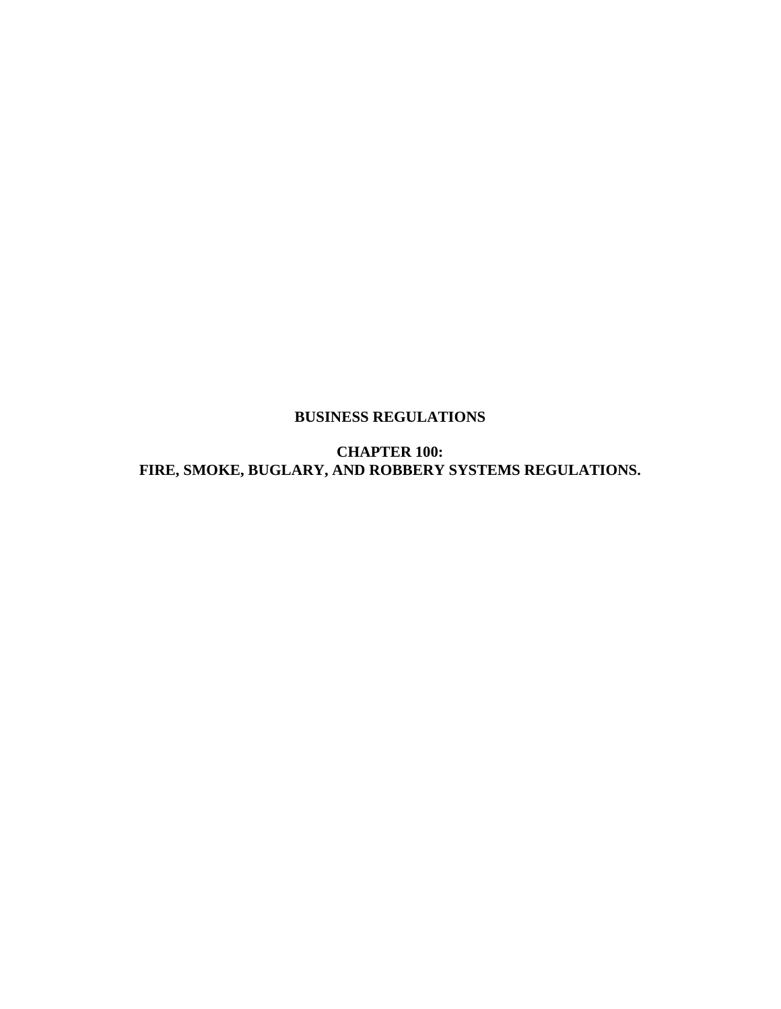## **BUSINESS REGULATIONS**

**CHAPTER 100: FIRE, SMOKE, BUGLARY, AND ROBBERY SYSTEMS REGULATIONS.**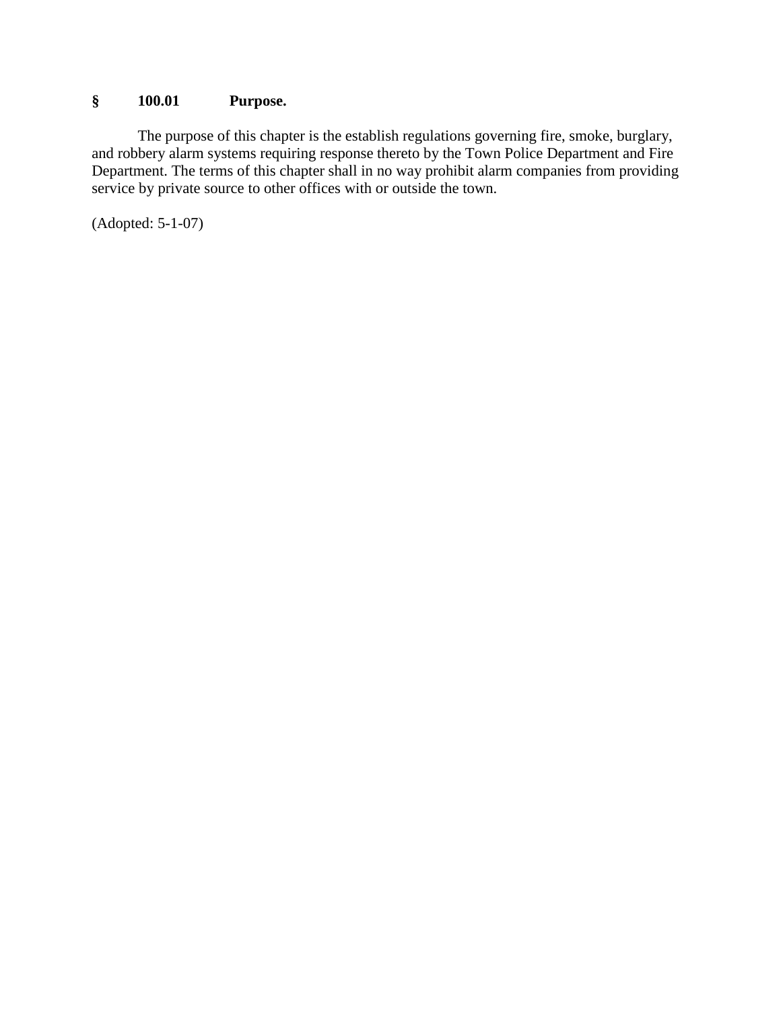## **§ 100.01 Purpose.**

The purpose of this chapter is the establish regulations governing fire, smoke, burglary, and robbery alarm systems requiring response thereto by the Town Police Department and Fire Department. The terms of this chapter shall in no way prohibit alarm companies from providing service by private source to other offices with or outside the town.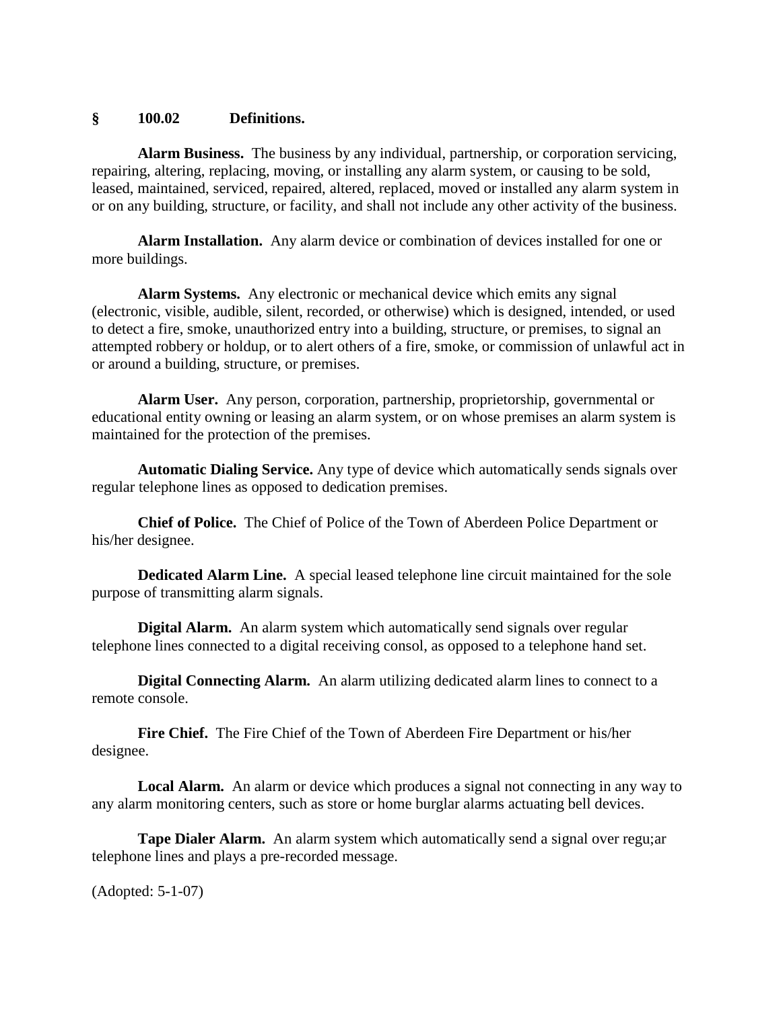#### **§ 100.02 Definitions.**

**Alarm Business.** The business by any individual, partnership, or corporation servicing, repairing, altering, replacing, moving, or installing any alarm system, or causing to be sold, leased, maintained, serviced, repaired, altered, replaced, moved or installed any alarm system in or on any building, structure, or facility, and shall not include any other activity of the business.

**Alarm Installation.** Any alarm device or combination of devices installed for one or more buildings.

**Alarm Systems.** Any electronic or mechanical device which emits any signal (electronic, visible, audible, silent, recorded, or otherwise) which is designed, intended, or used to detect a fire, smoke, unauthorized entry into a building, structure, or premises, to signal an attempted robbery or holdup, or to alert others of a fire, smoke, or commission of unlawful act in or around a building, structure, or premises.

**Alarm User.** Any person, corporation, partnership, proprietorship, governmental or educational entity owning or leasing an alarm system, or on whose premises an alarm system is maintained for the protection of the premises.

**Automatic Dialing Service.** Any type of device which automatically sends signals over regular telephone lines as opposed to dedication premises.

**Chief of Police.** The Chief of Police of the Town of Aberdeen Police Department or his/her designee.

**Dedicated Alarm Line.** A special leased telephone line circuit maintained for the sole purpose of transmitting alarm signals.

**Digital Alarm.** An alarm system which automatically send signals over regular telephone lines connected to a digital receiving consol, as opposed to a telephone hand set.

**Digital Connecting Alarm.** An alarm utilizing dedicated alarm lines to connect to a remote console.

**Fire Chief.** The Fire Chief of the Town of Aberdeen Fire Department or his/her designee.

**Local Alarm.** An alarm or device which produces a signal not connecting in any way to any alarm monitoring centers, such as store or home burglar alarms actuating bell devices.

**Tape Dialer Alarm.** An alarm system which automatically send a signal over regu;ar telephone lines and plays a pre-recorded message.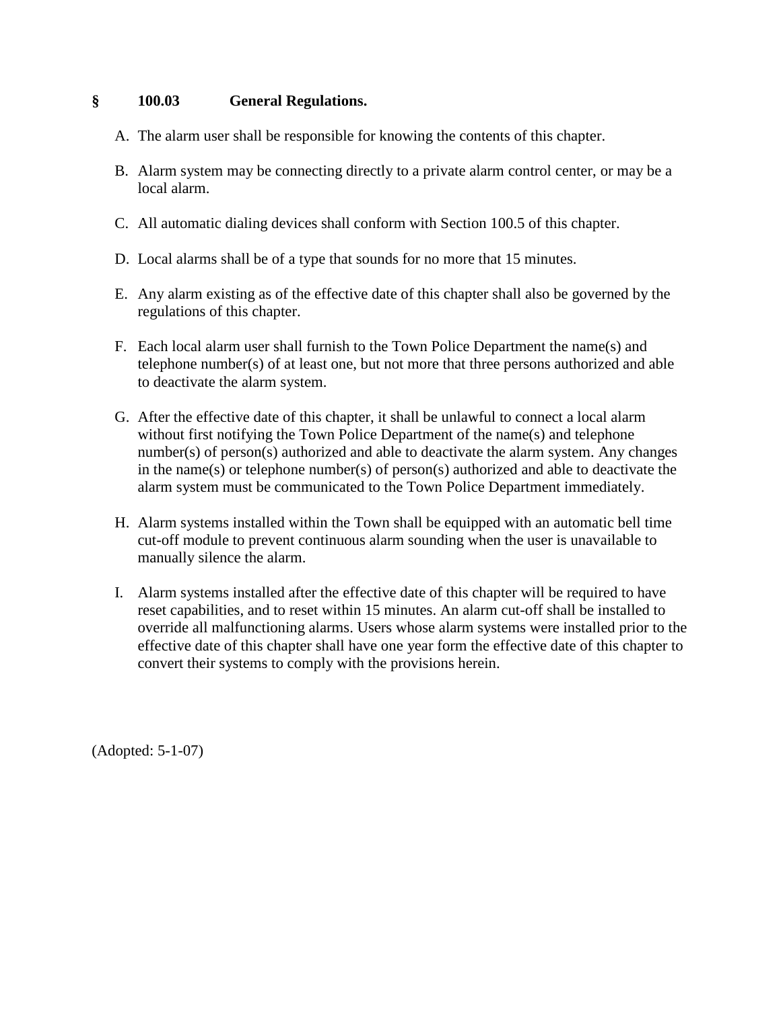### **§ 100.03 General Regulations.**

- A. The alarm user shall be responsible for knowing the contents of this chapter.
- B. Alarm system may be connecting directly to a private alarm control center, or may be a local alarm.
- C. All automatic dialing devices shall conform with Section 100.5 of this chapter.
- D. Local alarms shall be of a type that sounds for no more that 15 minutes.
- E. Any alarm existing as of the effective date of this chapter shall also be governed by the regulations of this chapter.
- F. Each local alarm user shall furnish to the Town Police Department the name(s) and telephone number(s) of at least one, but not more that three persons authorized and able to deactivate the alarm system.
- G. After the effective date of this chapter, it shall be unlawful to connect a local alarm without first notifying the Town Police Department of the name(s) and telephone number(s) of person(s) authorized and able to deactivate the alarm system. Any changes in the name(s) or telephone number(s) of person(s) authorized and able to deactivate the alarm system must be communicated to the Town Police Department immediately.
- H. Alarm systems installed within the Town shall be equipped with an automatic bell time cut-off module to prevent continuous alarm sounding when the user is unavailable to manually silence the alarm.
- I. Alarm systems installed after the effective date of this chapter will be required to have reset capabilities, and to reset within 15 minutes. An alarm cut-off shall be installed to override all malfunctioning alarms. Users whose alarm systems were installed prior to the effective date of this chapter shall have one year form the effective date of this chapter to convert their systems to comply with the provisions herein.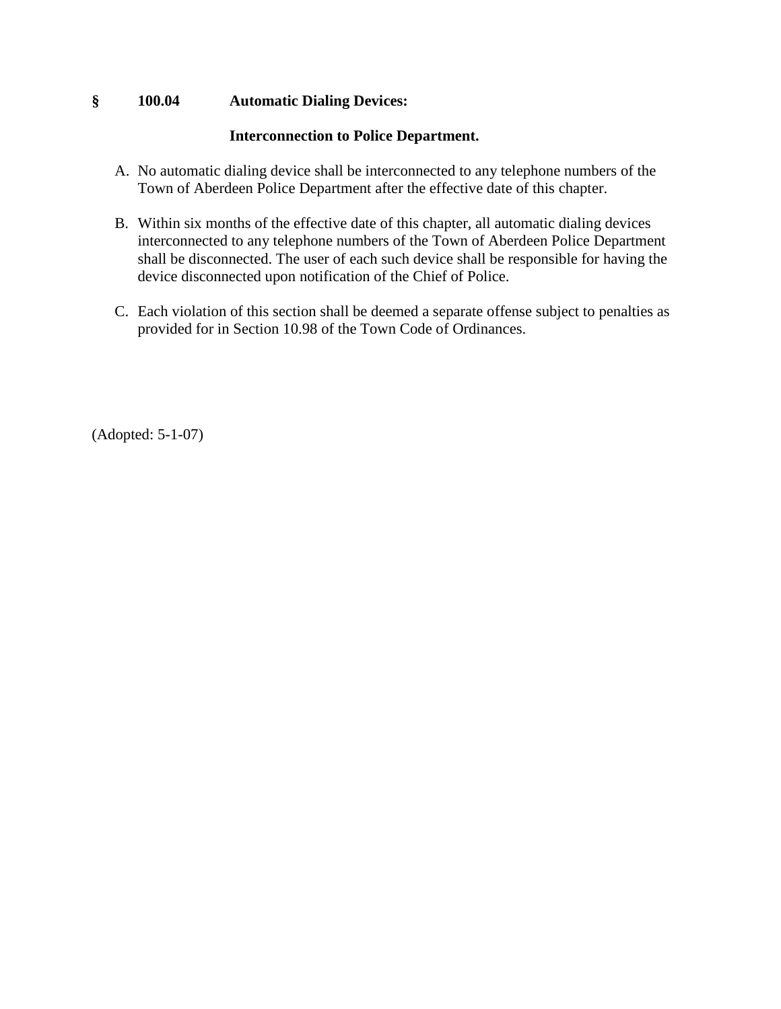### **§ 100.04 Automatic Dialing Devices:**

### **Interconnection to Police Department.**

- A. No automatic dialing device shall be interconnected to any telephone numbers of the Town of Aberdeen Police Department after the effective date of this chapter.
- B. Within six months of the effective date of this chapter, all automatic dialing devices interconnected to any telephone numbers of the Town of Aberdeen Police Department shall be disconnected. The user of each such device shall be responsible for having the device disconnected upon notification of the Chief of Police.
- C. Each violation of this section shall be deemed a separate offense subject to penalties as provided for in Section 10.98 of the Town Code of Ordinances.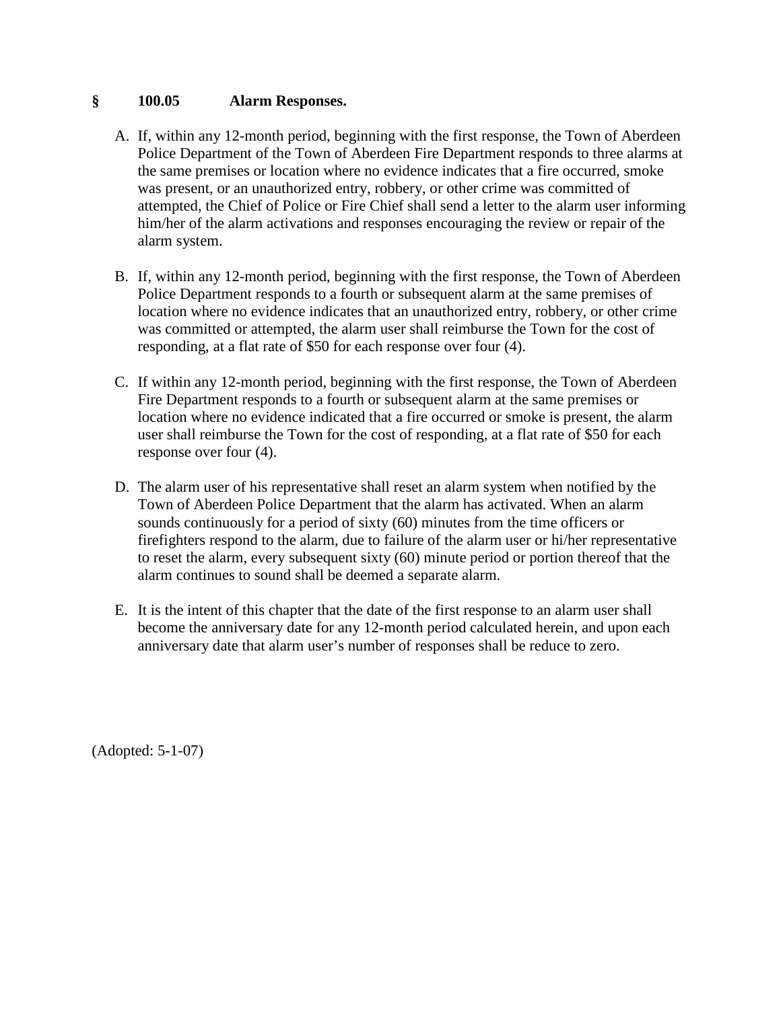#### **§ 100.05 Alarm Responses.**

- A. If, within any 12-month period, beginning with the first response, the Town of Aberdeen Police Department of the Town of Aberdeen Fire Department responds to three alarms at the same premises or location where no evidence indicates that a fire occurred, smoke was present, or an unauthorized entry, robbery, or other crime was committed of attempted, the Chief of Police or Fire Chief shall send a letter to the alarm user informing him/her of the alarm activations and responses encouraging the review or repair of the alarm system.
- B. If, within any 12-month period, beginning with the first response, the Town of Aberdeen Police Department responds to a fourth or subsequent alarm at the same premises of location where no evidence indicates that an unauthorized entry, robbery, or other crime was committed or attempted, the alarm user shall reimburse the Town for the cost of responding, at a flat rate of \$50 for each response over four (4).
- C. If within any 12-month period, beginning with the first response, the Town of Aberdeen Fire Department responds to a fourth or subsequent alarm at the same premises or location where no evidence indicated that a fire occurred or smoke is present, the alarm user shall reimburse the Town for the cost of responding, at a flat rate of \$50 for each response over four (4).
- D. The alarm user of his representative shall reset an alarm system when notified by the Town of Aberdeen Police Department that the alarm has activated. When an alarm sounds continuously for a period of sixty (60) minutes from the time officers or firefighters respond to the alarm, due to failure of the alarm user or hi/her representative to reset the alarm, every subsequent sixty (60) minute period or portion thereof that the alarm continues to sound shall be deemed a separate alarm.
- E. It is the intent of this chapter that the date of the first response to an alarm user shall become the anniversary date for any 12-month period calculated herein, and upon each anniversary date that alarm user's number of responses shall be reduce to zero.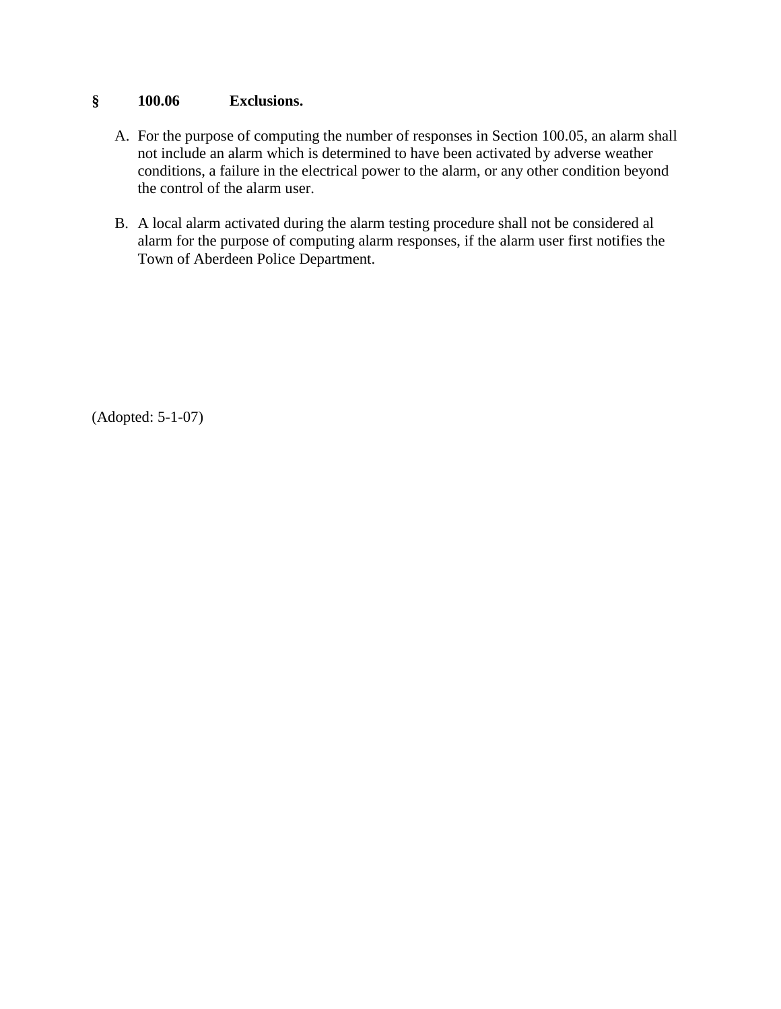## **§ 100.06 Exclusions.**

- A. For the purpose of computing the number of responses in Section 100.05, an alarm shall not include an alarm which is determined to have been activated by adverse weather conditions, a failure in the electrical power to the alarm, or any other condition beyond the control of the alarm user.
- B. A local alarm activated during the alarm testing procedure shall not be considered al alarm for the purpose of computing alarm responses, if the alarm user first notifies the Town of Aberdeen Police Department.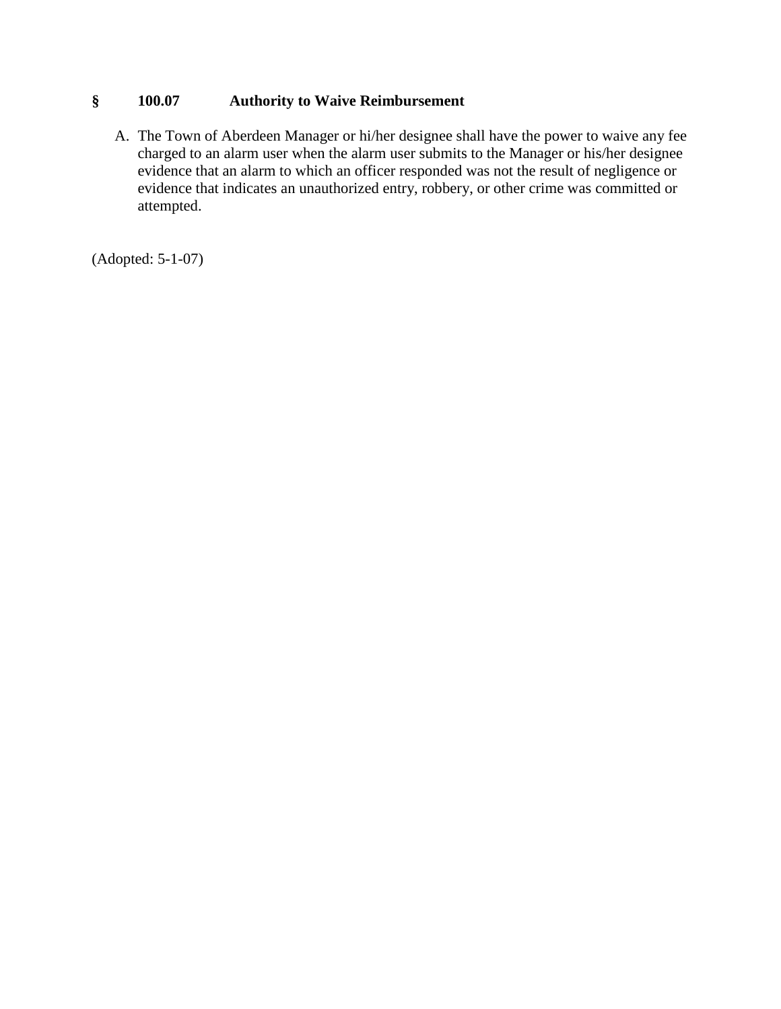## **§ 100.07 Authority to Waive Reimbursement**

A. The Town of Aberdeen Manager or hi/her designee shall have the power to waive any fee charged to an alarm user when the alarm user submits to the Manager or his/her designee evidence that an alarm to which an officer responded was not the result of negligence or evidence that indicates an unauthorized entry, robbery, or other crime was committed or attempted.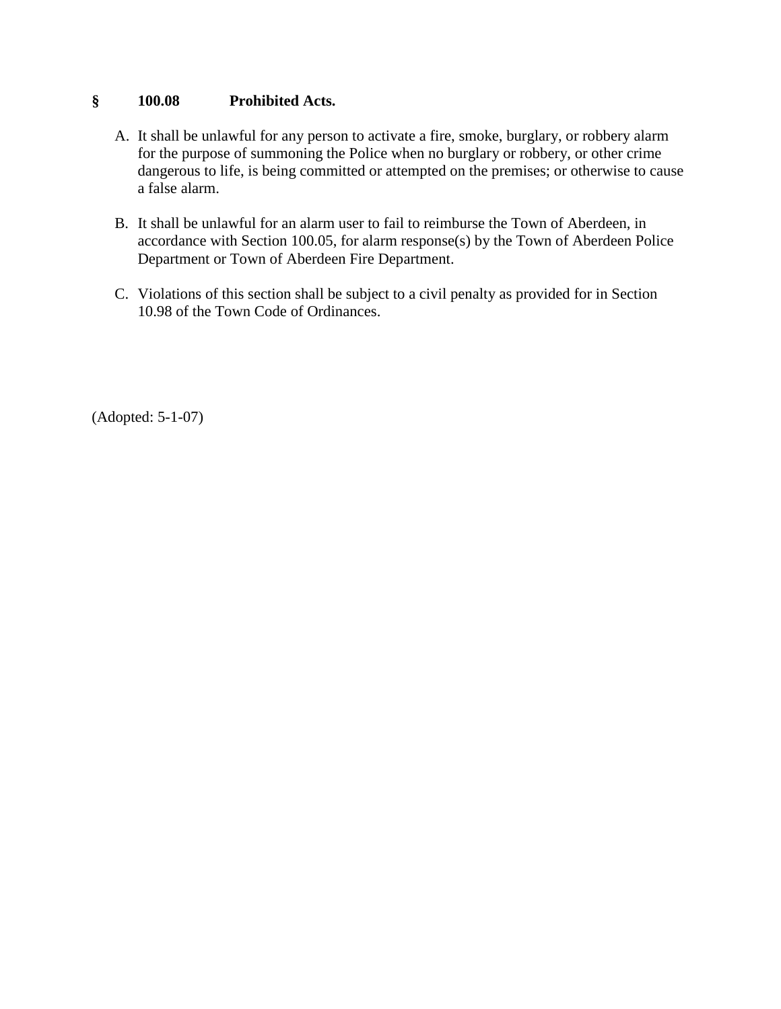### **§ 100.08 Prohibited Acts.**

- A. It shall be unlawful for any person to activate a fire, smoke, burglary, or robbery alarm for the purpose of summoning the Police when no burglary or robbery, or other crime dangerous to life, is being committed or attempted on the premises; or otherwise to cause a false alarm.
- B. It shall be unlawful for an alarm user to fail to reimburse the Town of Aberdeen, in accordance with Section 100.05, for alarm response(s) by the Town of Aberdeen Police Department or Town of Aberdeen Fire Department.
- C. Violations of this section shall be subject to a civil penalty as provided for in Section 10.98 of the Town Code of Ordinances.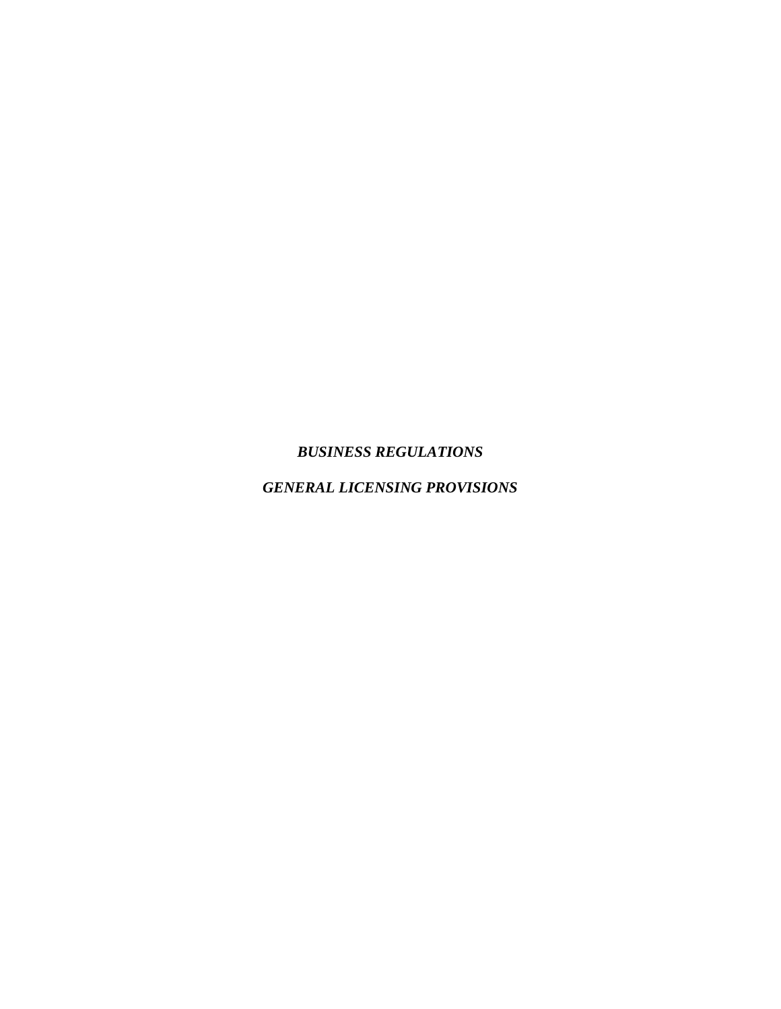## *BUSINESS REGULATIONS*

*GENERAL LICENSING PROVISIONS*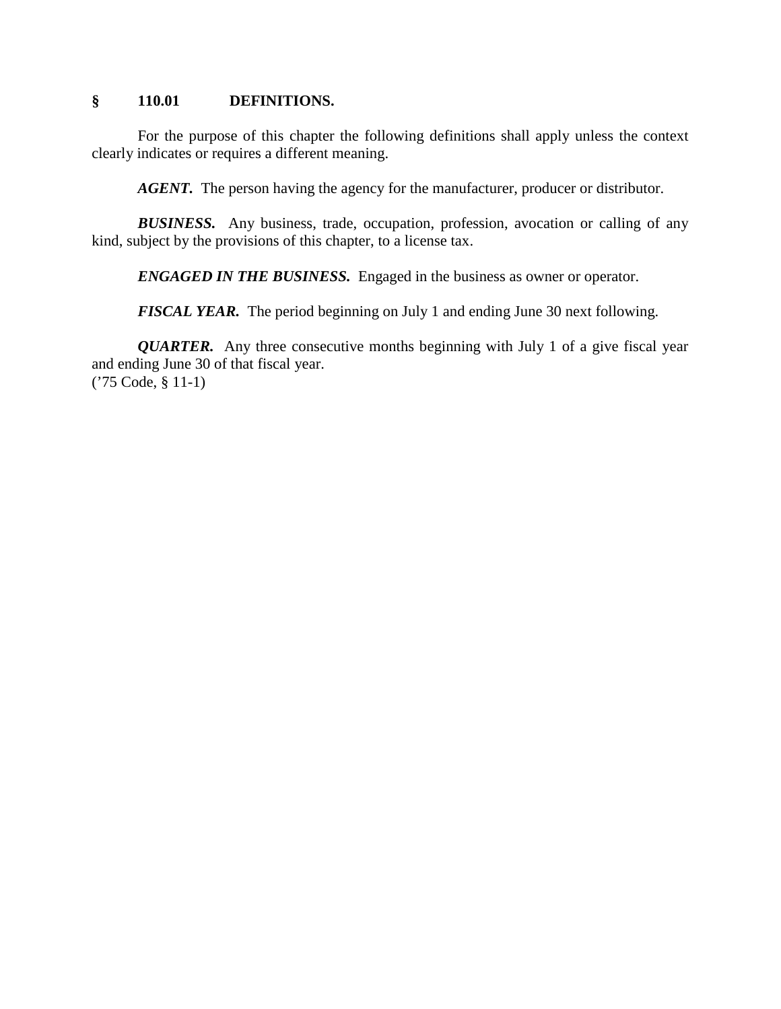#### **§ 110.01 DEFINITIONS.**

For the purpose of this chapter the following definitions shall apply unless the context clearly indicates or requires a different meaning.

*AGENT.* The person having the agency for the manufacturer, producer or distributor.

*BUSINESS.* Any business, trade, occupation, profession, avocation or calling of any kind, subject by the provisions of this chapter, to a license tax.

*ENGAGED IN THE BUSINESS.* Engaged in the business as owner or operator.

*FISCAL YEAR.* The period beginning on July 1 and ending June 30 next following.

*QUARTER.* Any three consecutive months beginning with July 1 of a give fiscal year and ending June 30 of that fiscal year. ('75 Code, § 11-1)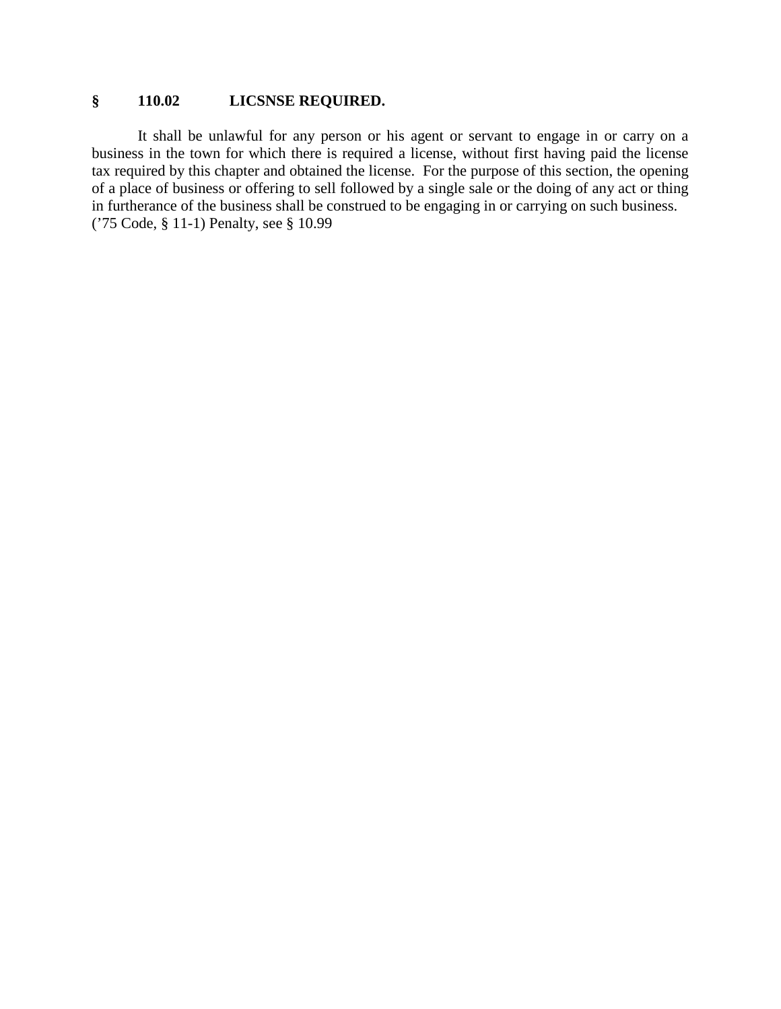## **§ 110.02 LICSNSE REQUIRED.**

It shall be unlawful for any person or his agent or servant to engage in or carry on a business in the town for which there is required a license, without first having paid the license tax required by this chapter and obtained the license. For the purpose of this section, the opening of a place of business or offering to sell followed by a single sale or the doing of any act or thing in furtherance of the business shall be construed to be engaging in or carrying on such business. ('75 Code, § 11-1) Penalty, see § 10.99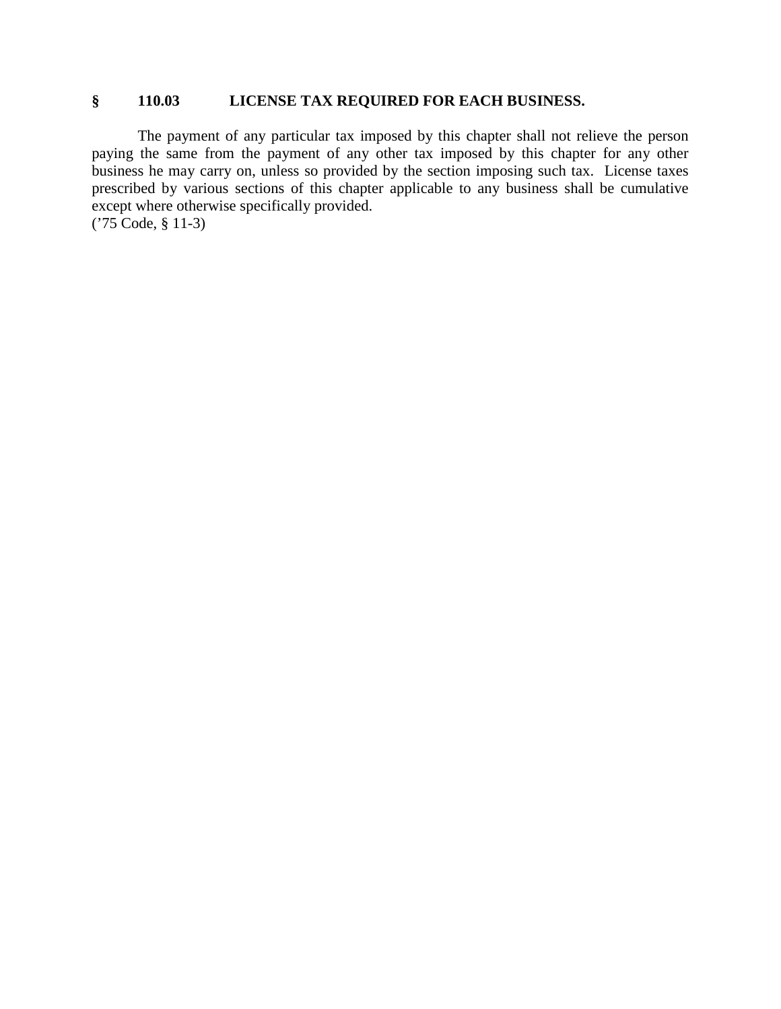### **§ 110.03 LICENSE TAX REQUIRED FOR EACH BUSINESS.**

The payment of any particular tax imposed by this chapter shall not relieve the person paying the same from the payment of any other tax imposed by this chapter for any other business he may carry on, unless so provided by the section imposing such tax. License taxes prescribed by various sections of this chapter applicable to any business shall be cumulative except where otherwise specifically provided. ('75 Code, § 11-3)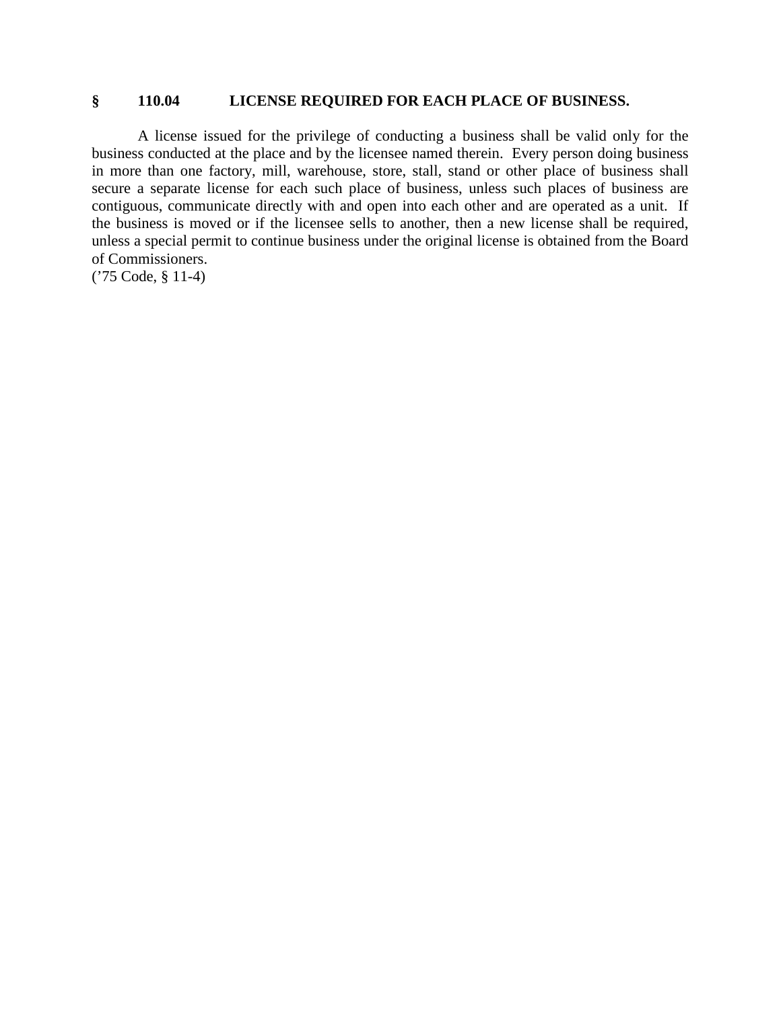#### **§ 110.04 LICENSE REQUIRED FOR EACH PLACE OF BUSINESS.**

A license issued for the privilege of conducting a business shall be valid only for the business conducted at the place and by the licensee named therein. Every person doing business in more than one factory, mill, warehouse, store, stall, stand or other place of business shall secure a separate license for each such place of business, unless such places of business are contiguous, communicate directly with and open into each other and are operated as a unit. If the business is moved or if the licensee sells to another, then a new license shall be required, unless a special permit to continue business under the original license is obtained from the Board of Commissioners.

('75 Code, § 11-4)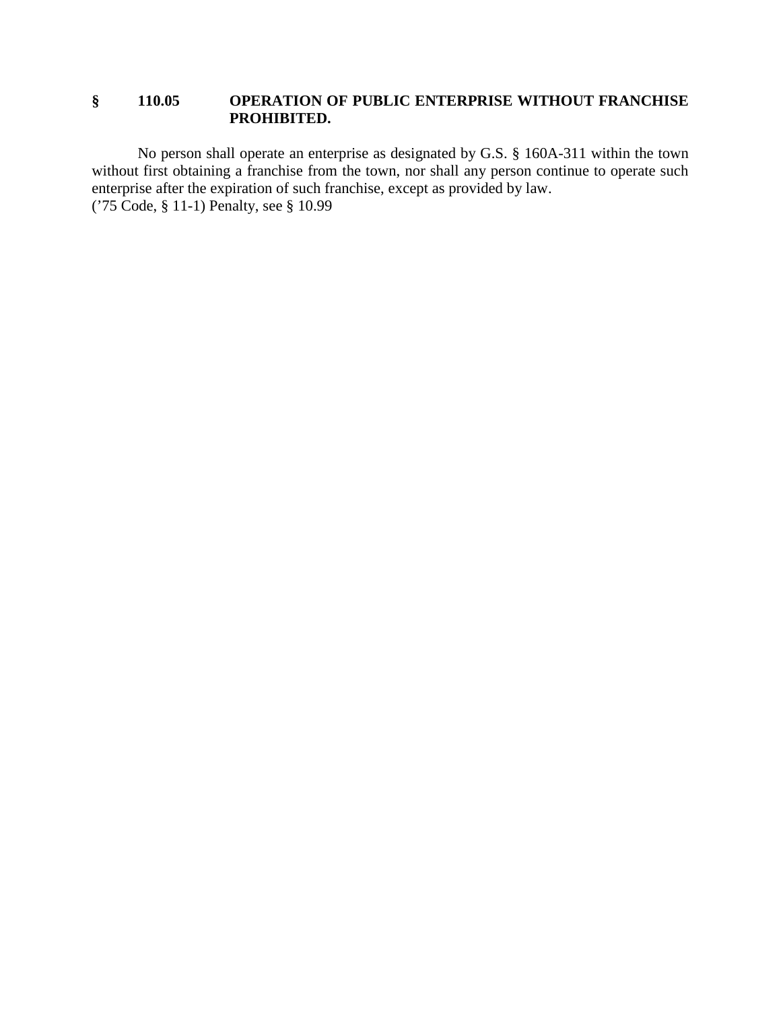### **§ 110.05 OPERATION OF PUBLIC ENTERPRISE WITHOUT FRANCHISE PROHIBITED.**

No person shall operate an enterprise as designated by G.S. § 160A-311 within the town without first obtaining a franchise from the town, nor shall any person continue to operate such enterprise after the expiration of such franchise, except as provided by law. ('75 Code, § 11-1) Penalty, see § 10.99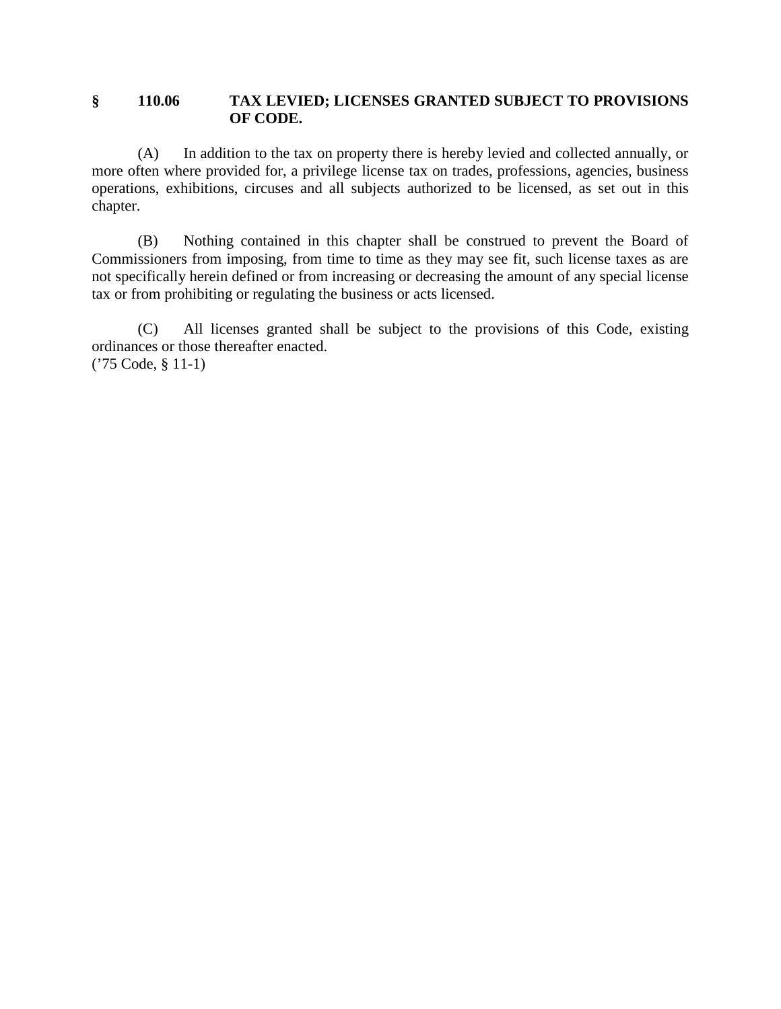#### **§ 110.06 TAX LEVIED; LICENSES GRANTED SUBJECT TO PROVISIONS OF CODE.**

(A) In addition to the tax on property there is hereby levied and collected annually, or more often where provided for, a privilege license tax on trades, professions, agencies, business operations, exhibitions, circuses and all subjects authorized to be licensed, as set out in this chapter.

(B) Nothing contained in this chapter shall be construed to prevent the Board of Commissioners from imposing, from time to time as they may see fit, such license taxes as are not specifically herein defined or from increasing or decreasing the amount of any special license tax or from prohibiting or regulating the business or acts licensed.

(C) All licenses granted shall be subject to the provisions of this Code, existing ordinances or those thereafter enacted. ('75 Code, § 11-1)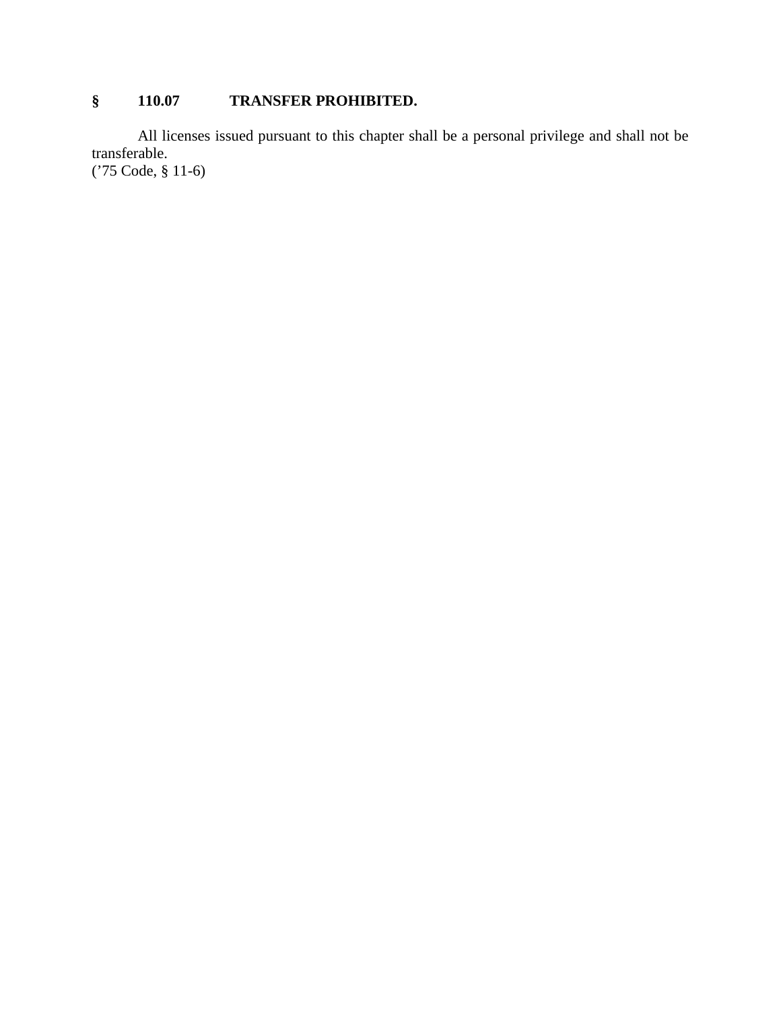# **§ 110.07 TRANSFER PROHIBITED.**

All licenses issued pursuant to this chapter shall be a personal privilege and shall not be transferable.

('75 Code, § 11-6)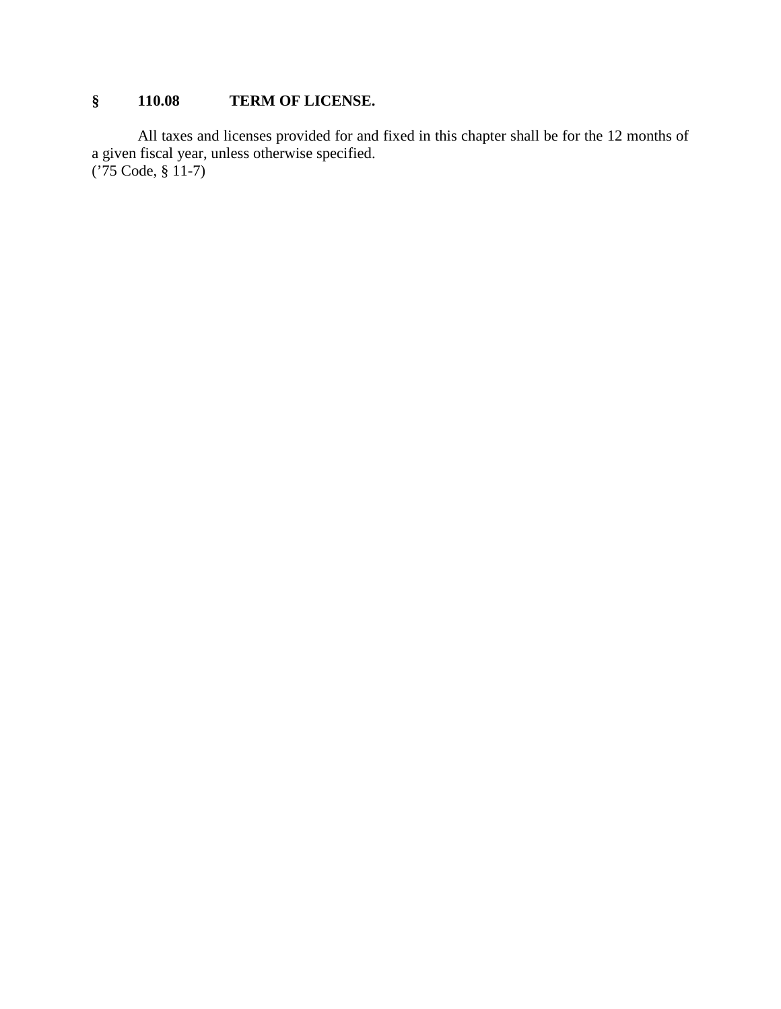# **§ 110.08 TERM OF LICENSE.**

All taxes and licenses provided for and fixed in this chapter shall be for the 12 months of a given fiscal year, unless otherwise specified. ('75 Code, § 11-7)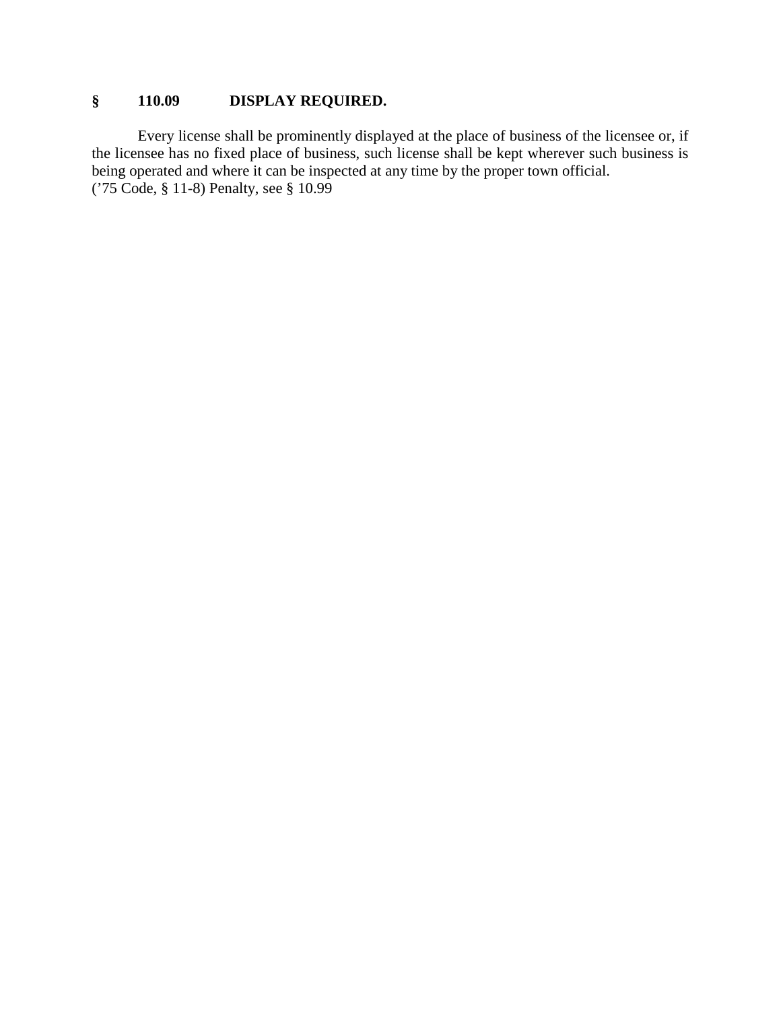# **§ 110.09 DISPLAY REQUIRED.**

Every license shall be prominently displayed at the place of business of the licensee or, if the licensee has no fixed place of business, such license shall be kept wherever such business is being operated and where it can be inspected at any time by the proper town official. ('75 Code, § 11-8) Penalty, see § 10.99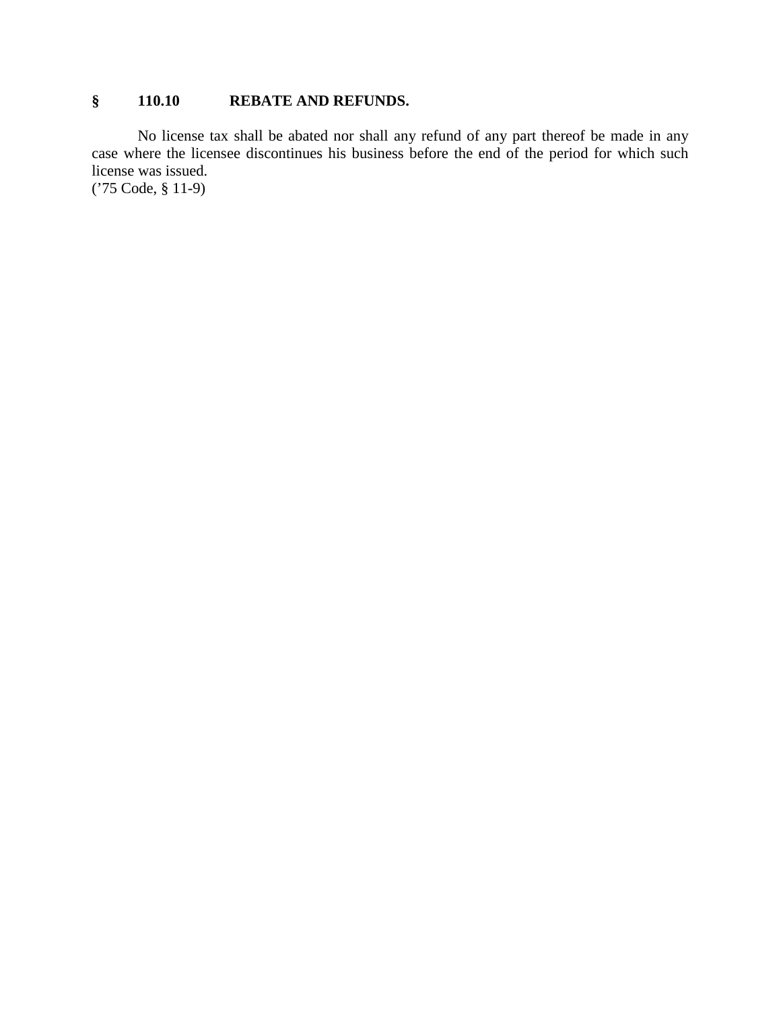### **§ 110.10 REBATE AND REFUNDS.**

No license tax shall be abated nor shall any refund of any part thereof be made in any case where the licensee discontinues his business before the end of the period for which such license was issued.

('75 Code, § 11-9)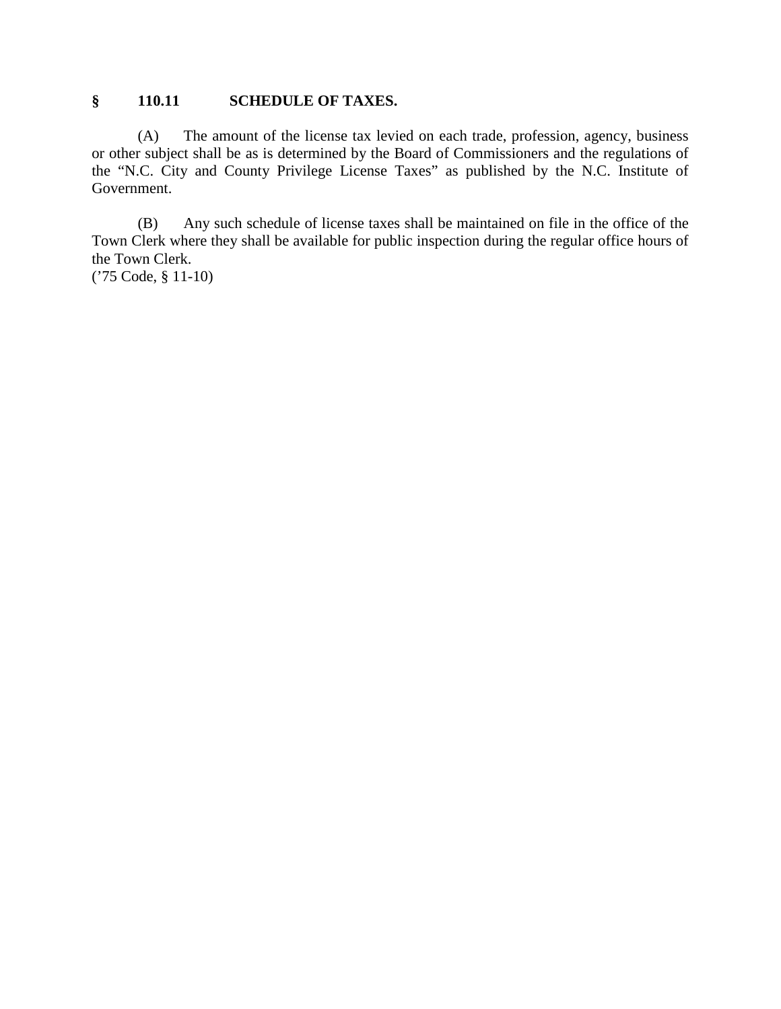### **§ 110.11 SCHEDULE OF TAXES.**

(A) The amount of the license tax levied on each trade, profession, agency, business or other subject shall be as is determined by the Board of Commissioners and the regulations of the "N.C. City and County Privilege License Taxes" as published by the N.C. Institute of Government.

(B) Any such schedule of license taxes shall be maintained on file in the office of the Town Clerk where they shall be available for public inspection during the regular office hours of the Town Clerk.

('75 Code, § 11-10)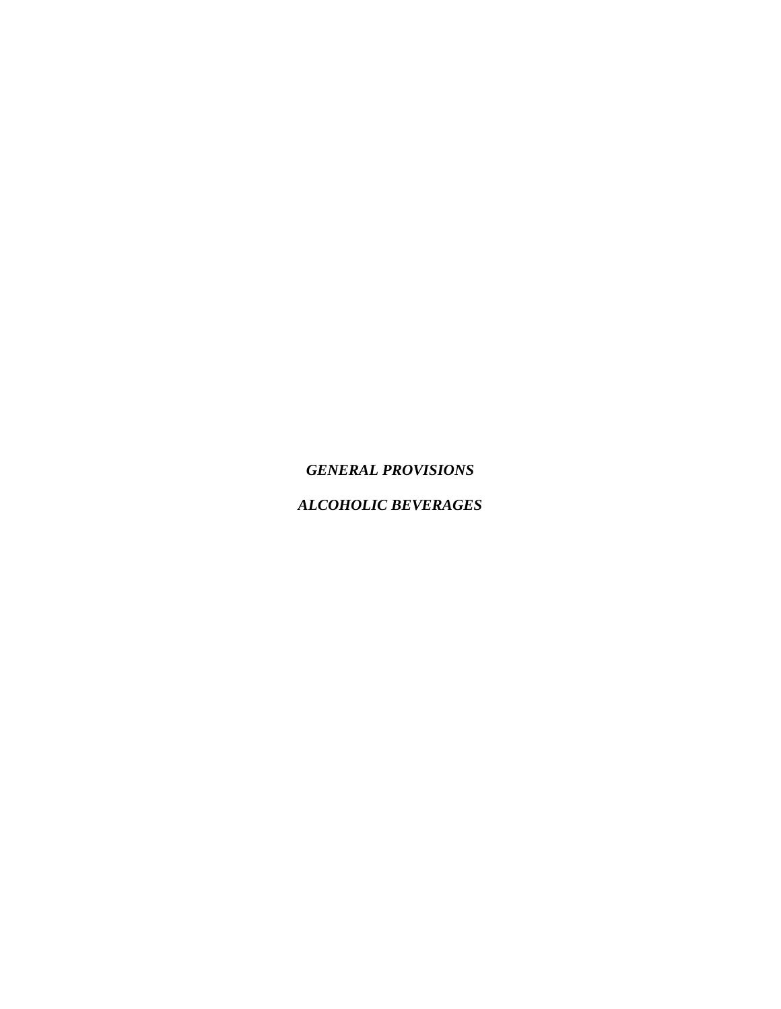*GENERAL PROVISIONS*

*ALCOHOLIC BEVERAGES*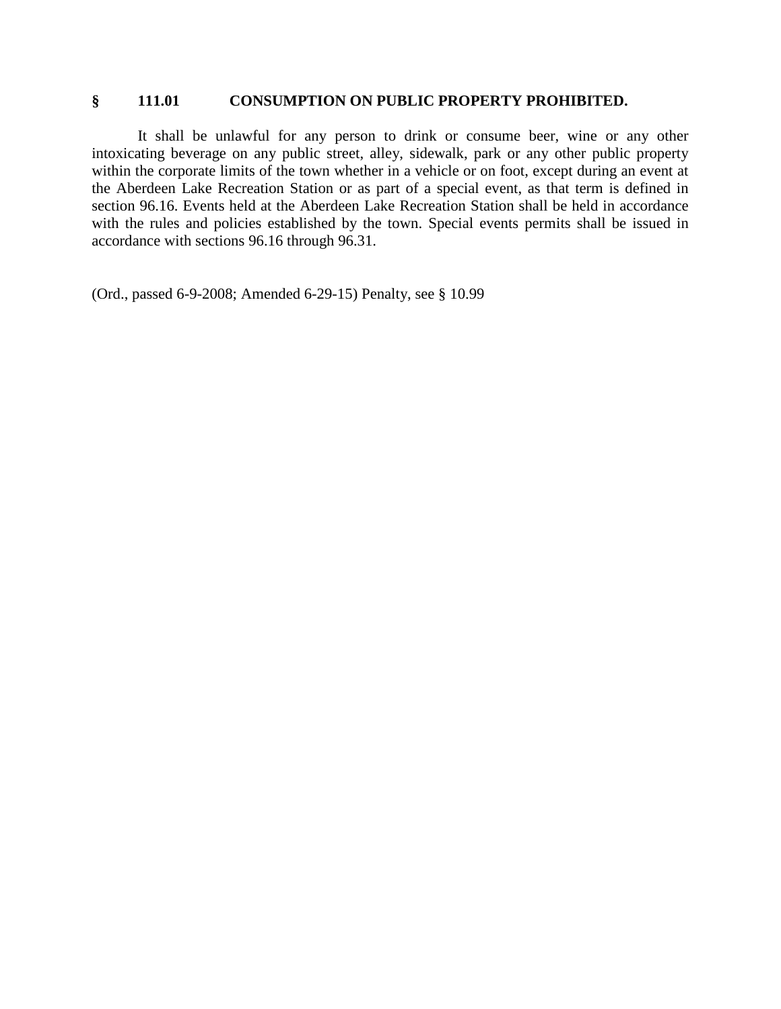#### **§ 111.01 CONSUMPTION ON PUBLIC PROPERTY PROHIBITED.**

It shall be unlawful for any person to drink or consume beer, wine or any other intoxicating beverage on any public street, alley, sidewalk, park or any other public property within the corporate limits of the town whether in a vehicle or on foot, except during an event at the Aberdeen Lake Recreation Station or as part of a special event, as that term is defined in section 96.16. Events held at the Aberdeen Lake Recreation Station shall be held in accordance with the rules and policies established by the town. Special events permits shall be issued in accordance with sections 96.16 through 96.31.

(Ord., passed 6-9-2008; Amended 6-29-15) Penalty, see § 10.99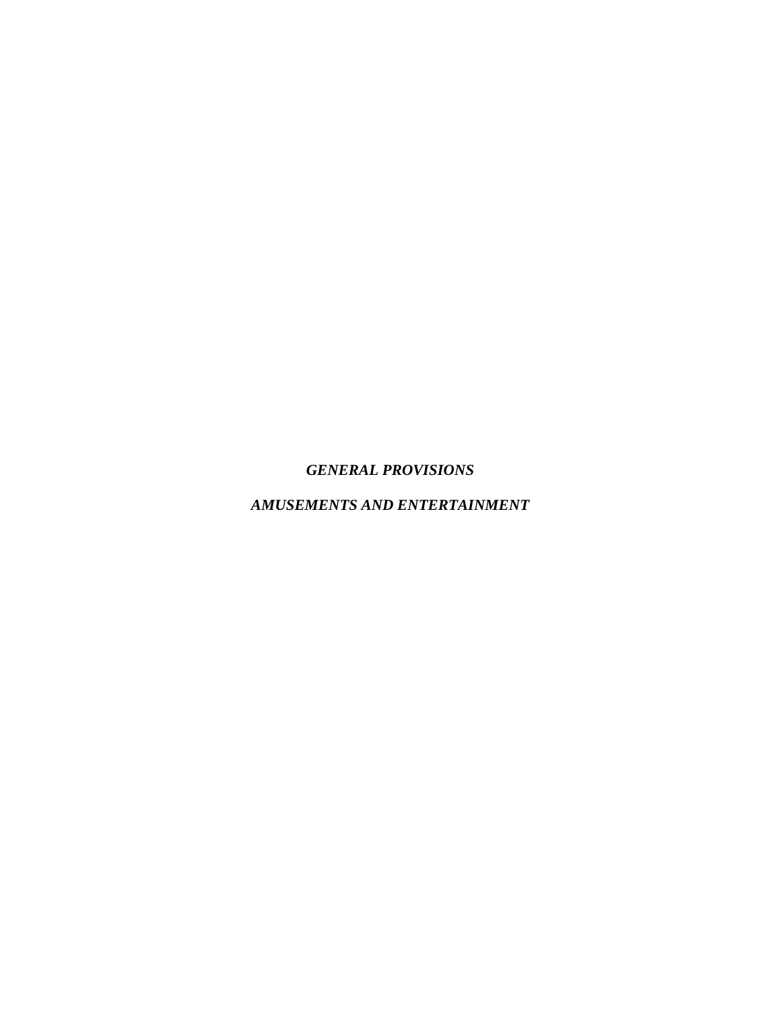# *GENERAL PROVISIONS*

# *AMUSEMENTS AND ENTERTAINMENT*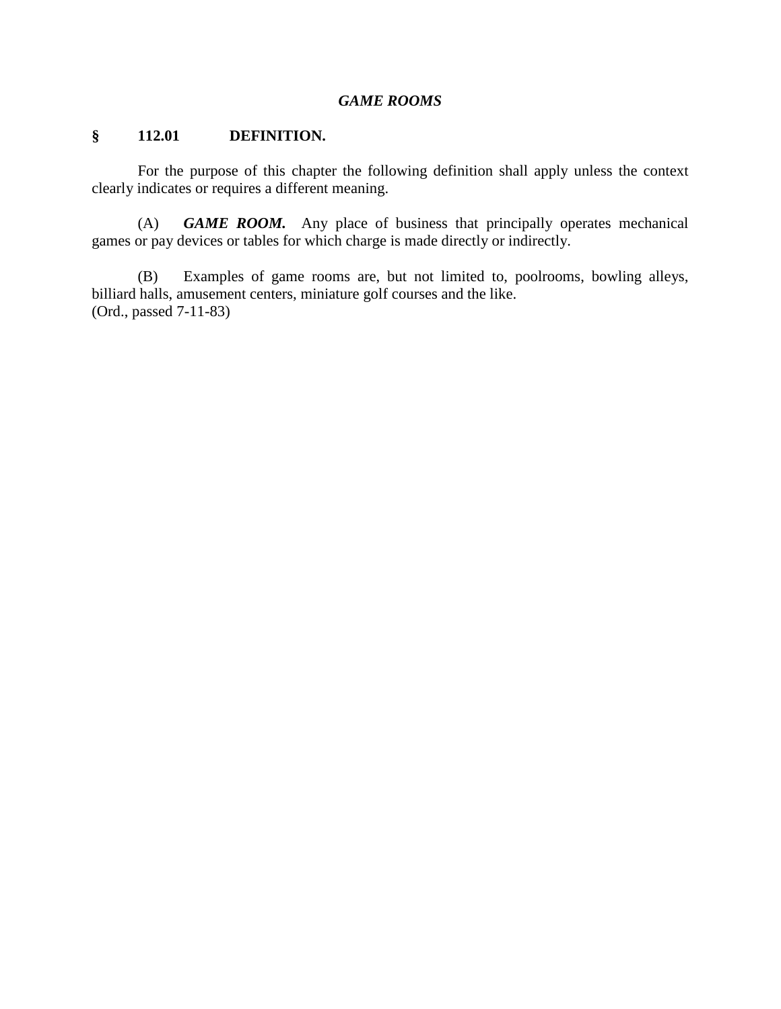#### *GAME ROOMS*

#### **§ 112.01 DEFINITION.**

For the purpose of this chapter the following definition shall apply unless the context clearly indicates or requires a different meaning.

(A) *GAME ROOM.* Any place of business that principally operates mechanical games or pay devices or tables for which charge is made directly or indirectly.

(B) Examples of game rooms are, but not limited to, poolrooms, bowling alleys, billiard halls, amusement centers, miniature golf courses and the like. (Ord., passed 7-11-83)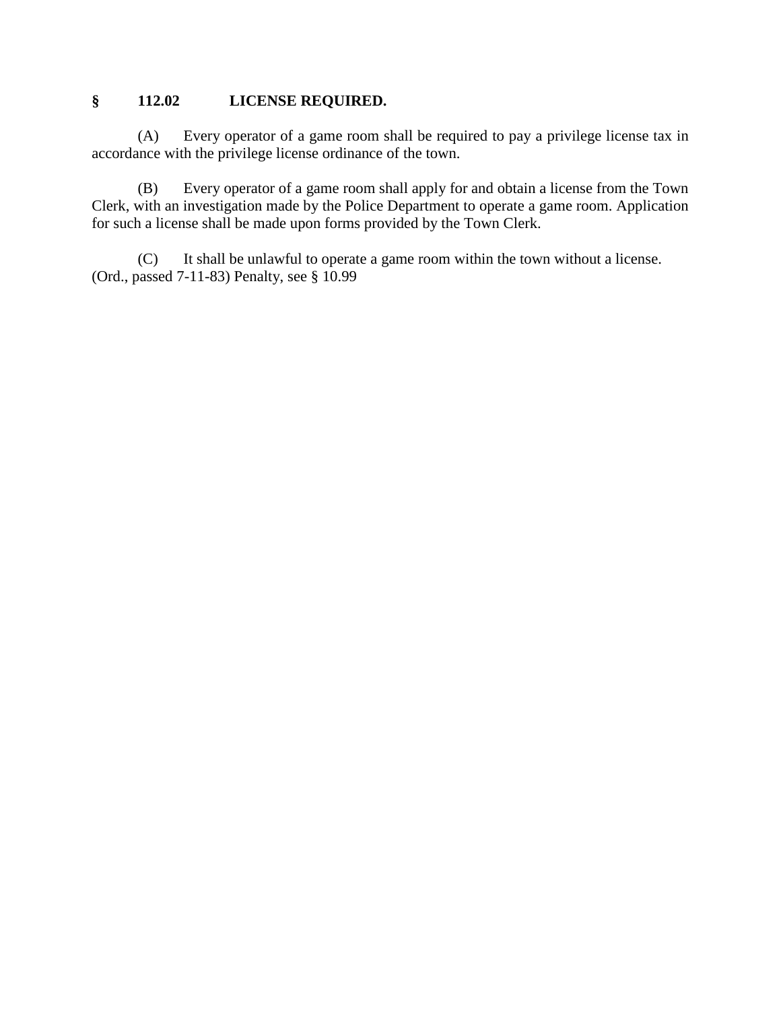## **§ 112.02 LICENSE REQUIRED.**

(A) Every operator of a game room shall be required to pay a privilege license tax in accordance with the privilege license ordinance of the town.

(B) Every operator of a game room shall apply for and obtain a license from the Town Clerk, with an investigation made by the Police Department to operate a game room. Application for such a license shall be made upon forms provided by the Town Clerk.

(C) It shall be unlawful to operate a game room within the town without a license. (Ord., passed 7-11-83) Penalty, see § 10.99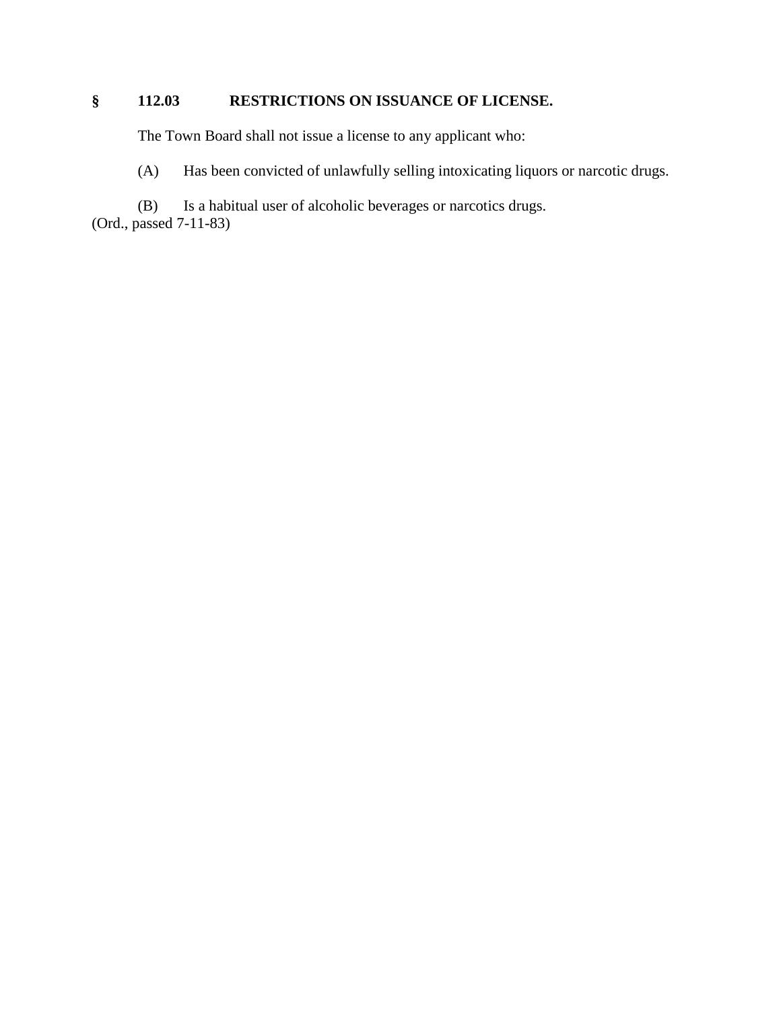# **§ 112.03 RESTRICTIONS ON ISSUANCE OF LICENSE.**

The Town Board shall not issue a license to any applicant who:

(A) Has been convicted of unlawfully selling intoxicating liquors or narcotic drugs.

(B) Is a habitual user of alcoholic beverages or narcotics drugs. (Ord., passed 7-11-83)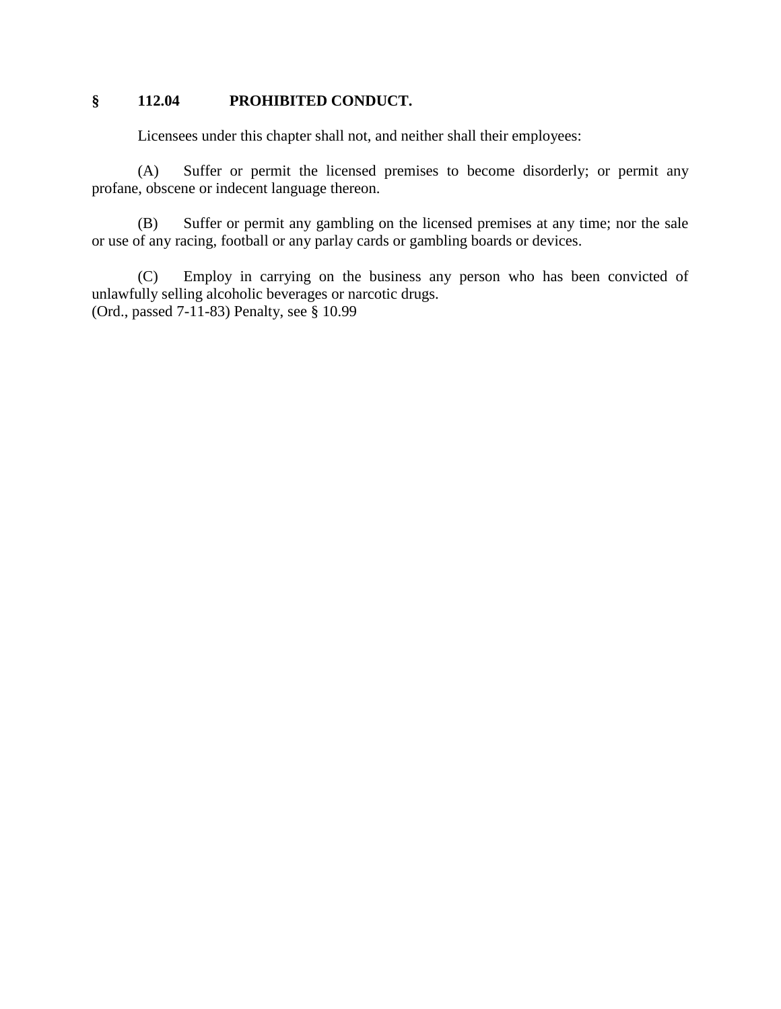## **§ 112.04 PROHIBITED CONDUCT.**

Licensees under this chapter shall not, and neither shall their employees:

(A) Suffer or permit the licensed premises to become disorderly; or permit any profane, obscene or indecent language thereon.

(B) Suffer or permit any gambling on the licensed premises at any time; nor the sale or use of any racing, football or any parlay cards or gambling boards or devices.

(C) Employ in carrying on the business any person who has been convicted of unlawfully selling alcoholic beverages or narcotic drugs. (Ord., passed 7-11-83) Penalty, see § 10.99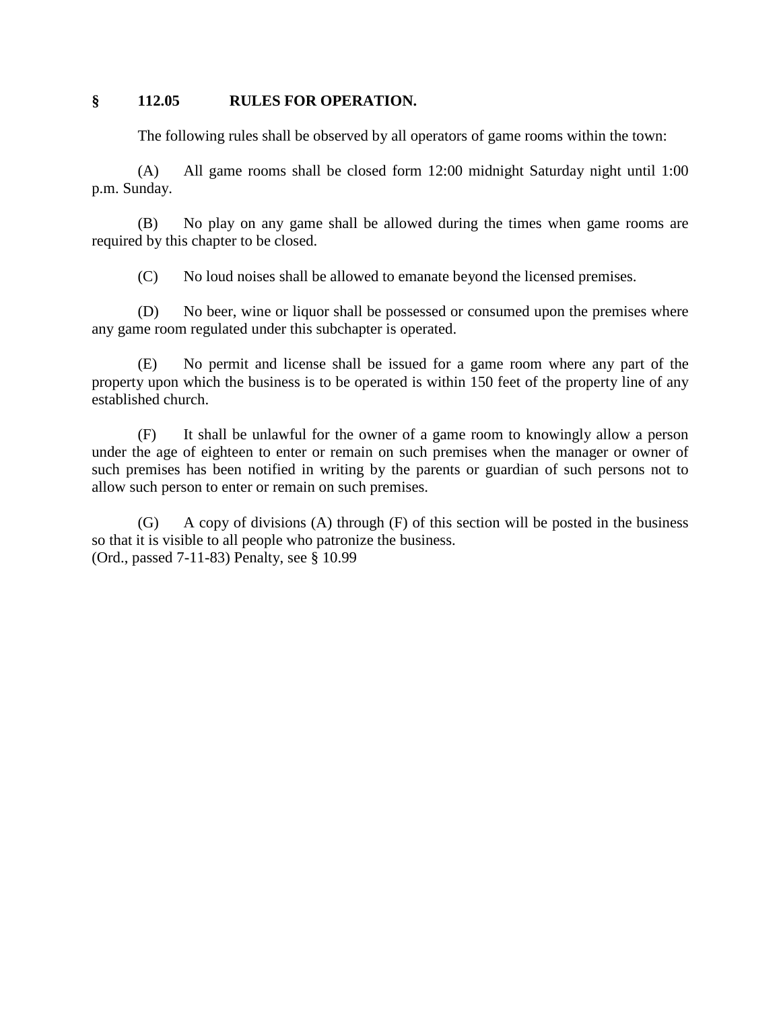#### **§ 112.05 RULES FOR OPERATION.**

The following rules shall be observed by all operators of game rooms within the town:

(A) All game rooms shall be closed form 12:00 midnight Saturday night until 1:00 p.m. Sunday.

(B) No play on any game shall be allowed during the times when game rooms are required by this chapter to be closed.

(C) No loud noises shall be allowed to emanate beyond the licensed premises.

(D) No beer, wine or liquor shall be possessed or consumed upon the premises where any game room regulated under this subchapter is operated.

(E) No permit and license shall be issued for a game room where any part of the property upon which the business is to be operated is within 150 feet of the property line of any established church.

(F) It shall be unlawful for the owner of a game room to knowingly allow a person under the age of eighteen to enter or remain on such premises when the manager or owner of such premises has been notified in writing by the parents or guardian of such persons not to allow such person to enter or remain on such premises.

(G) A copy of divisions (A) through (F) of this section will be posted in the business so that it is visible to all people who patronize the business. (Ord., passed 7-11-83) Penalty, see § 10.99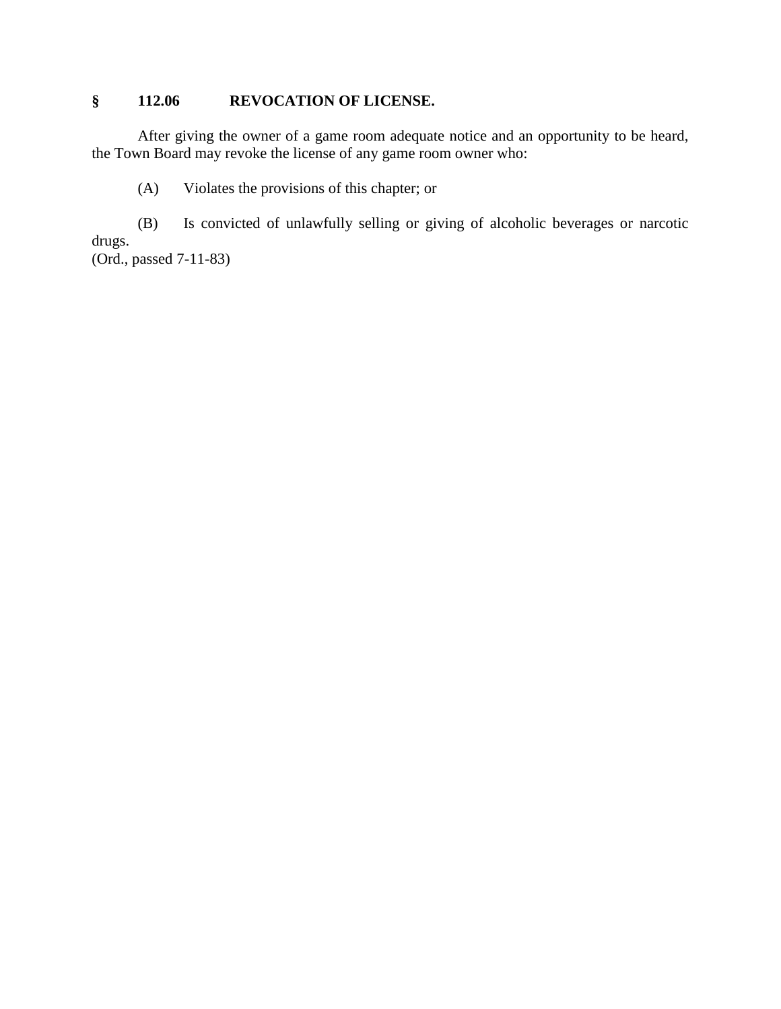### **§ 112.06 REVOCATION OF LICENSE.**

After giving the owner of a game room adequate notice and an opportunity to be heard, the Town Board may revoke the license of any game room owner who:

(A) Violates the provisions of this chapter; or

(B) Is convicted of unlawfully selling or giving of alcoholic beverages or narcotic drugs.

(Ord., passed 7-11-83)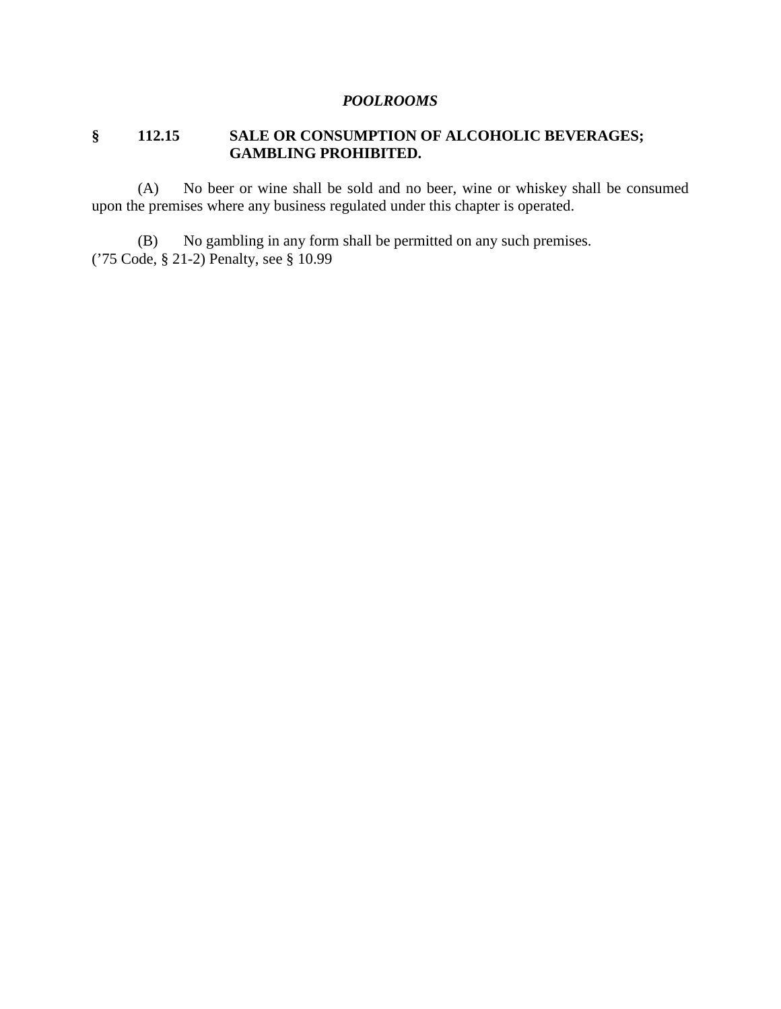#### *POOLROOMS*

### **§ 112.15 SALE OR CONSUMPTION OF ALCOHOLIC BEVERAGES; GAMBLING PROHIBITED.**

(A) No beer or wine shall be sold and no beer, wine or whiskey shall be consumed upon the premises where any business regulated under this chapter is operated.

(B) No gambling in any form shall be permitted on any such premises. ('75 Code, § 21-2) Penalty, see § 10.99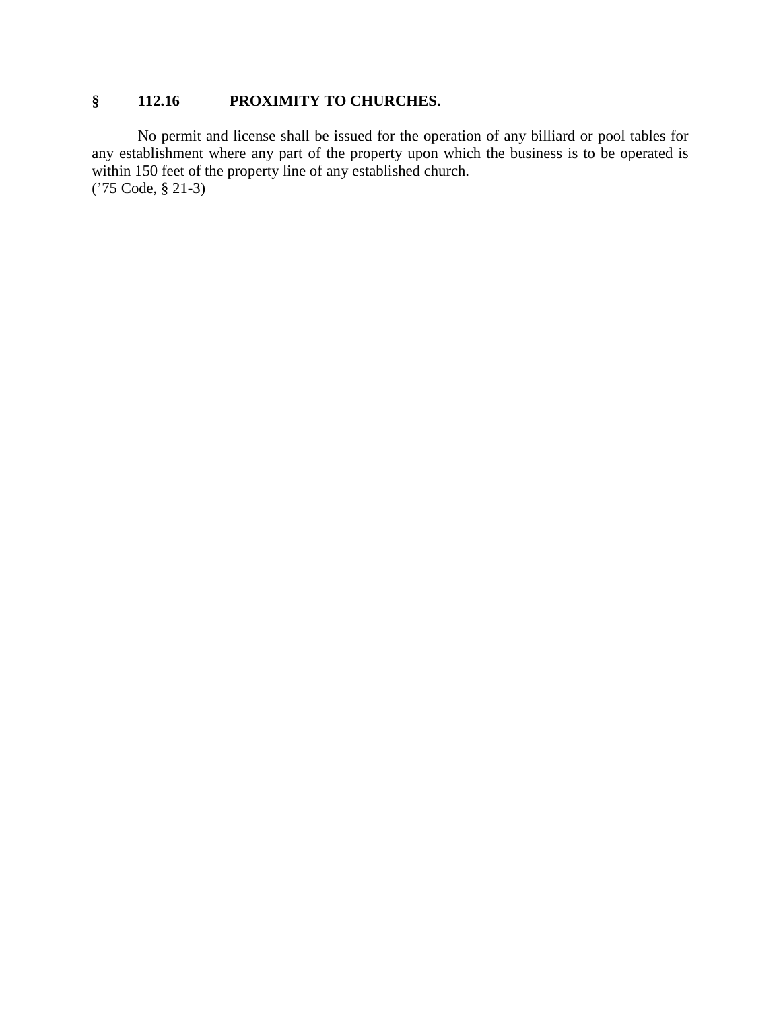### **§ 112.16 PROXIMITY TO CHURCHES.**

No permit and license shall be issued for the operation of any billiard or pool tables for any establishment where any part of the property upon which the business is to be operated is within 150 feet of the property line of any established church. ('75 Code, § 21-3)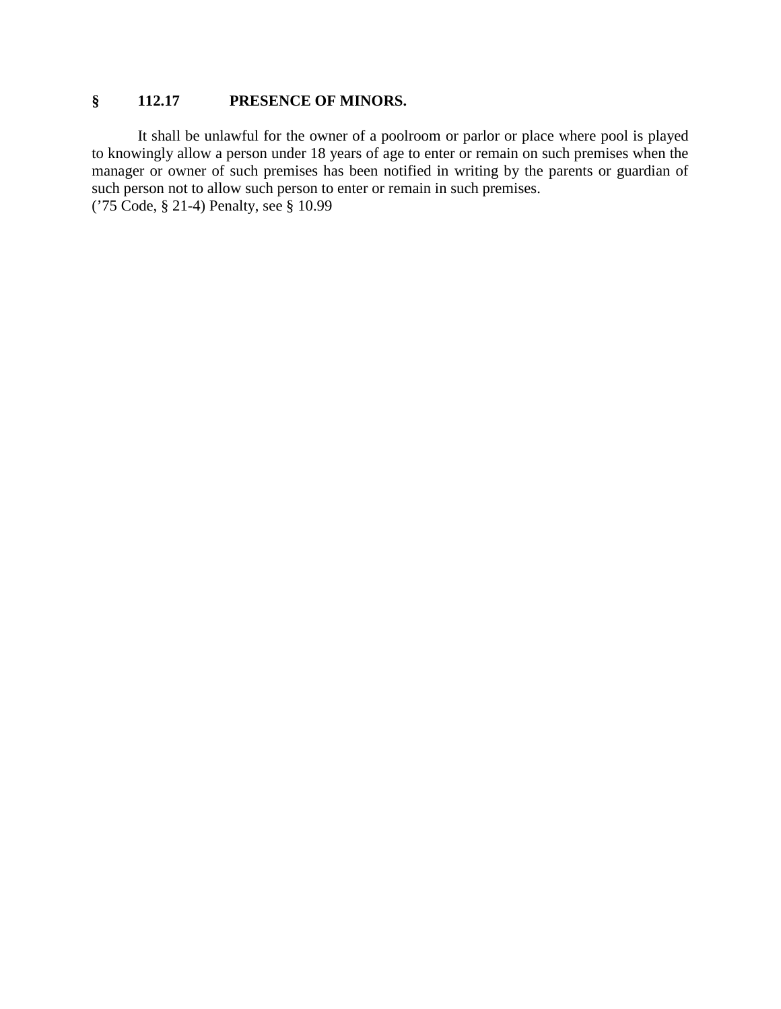### **§ 112.17 PRESENCE OF MINORS.**

It shall be unlawful for the owner of a poolroom or parlor or place where pool is played to knowingly allow a person under 18 years of age to enter or remain on such premises when the manager or owner of such premises has been notified in writing by the parents or guardian of such person not to allow such person to enter or remain in such premises. ('75 Code, § 21-4) Penalty, see § 10.99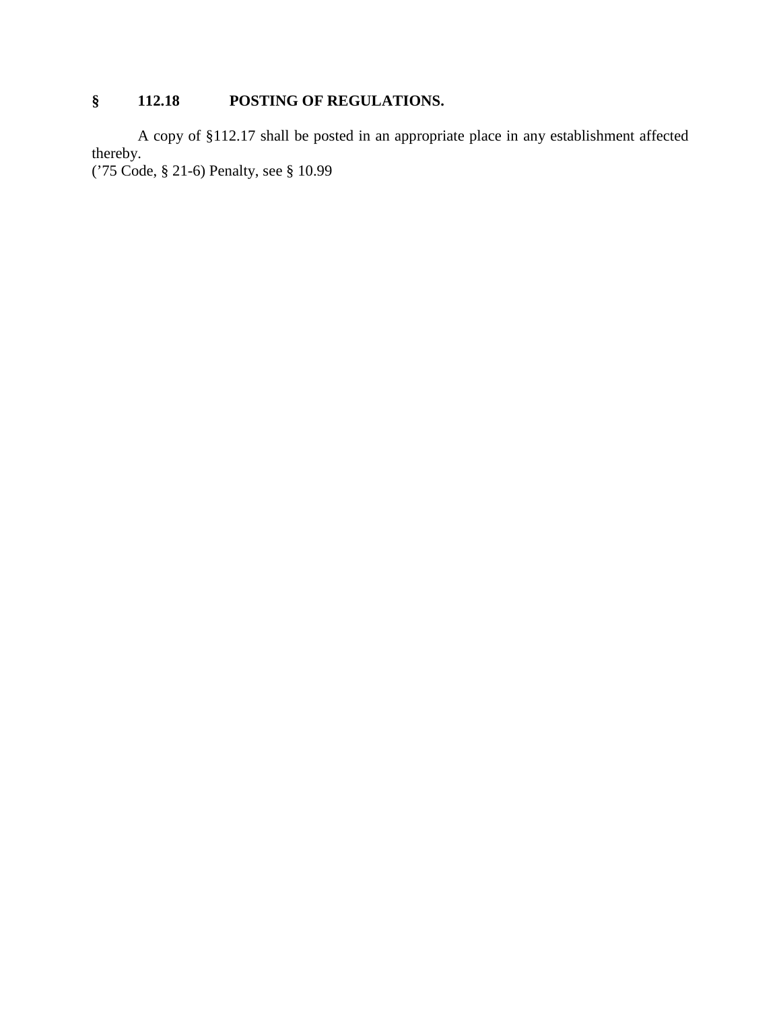# **§ 112.18 POSTING OF REGULATIONS.**

A copy of §112.17 shall be posted in an appropriate place in any establishment affected thereby.

('75 Code, § 21-6) Penalty, see § 10.99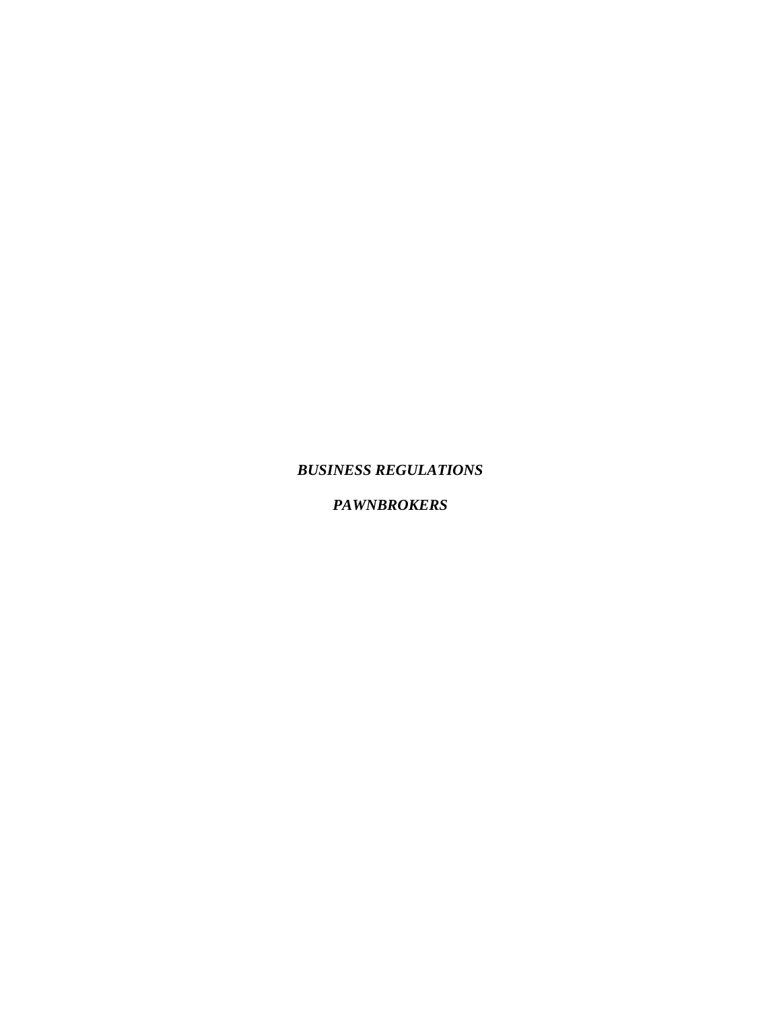#### *BUSINESS REGULATIONS*

### *PAWNBROKERS*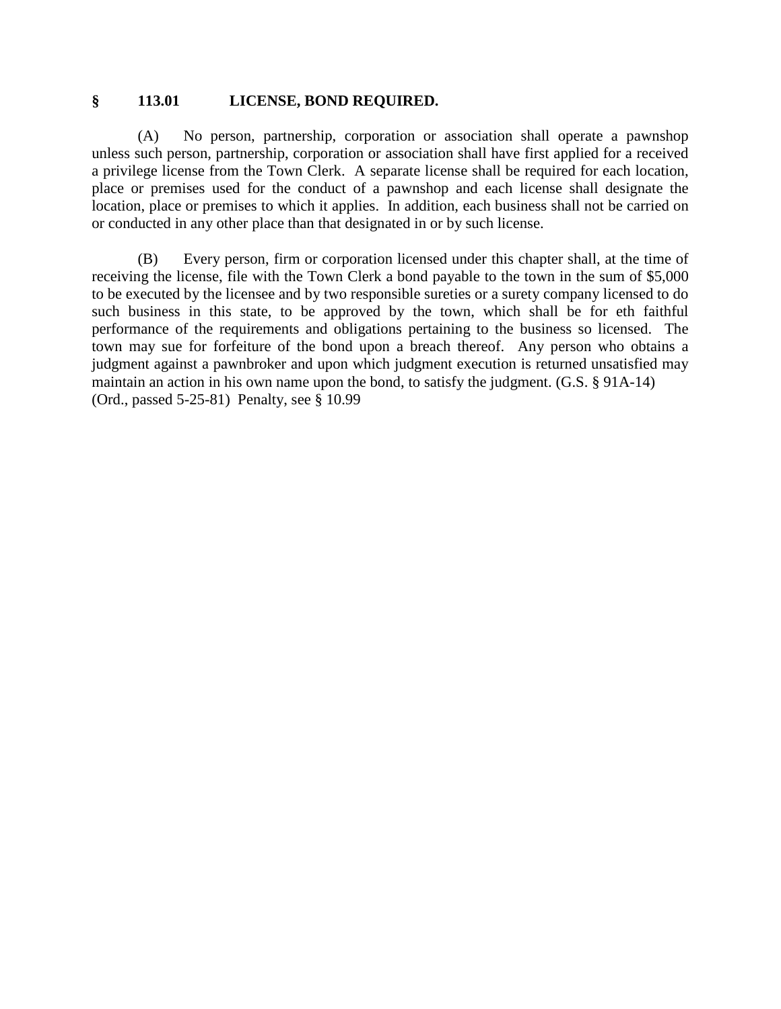#### **§ 113.01 LICENSE, BOND REQUIRED.**

(A) No person, partnership, corporation or association shall operate a pawnshop unless such person, partnership, corporation or association shall have first applied for a received a privilege license from the Town Clerk. A separate license shall be required for each location, place or premises used for the conduct of a pawnshop and each license shall designate the location, place or premises to which it applies. In addition, each business shall not be carried on or conducted in any other place than that designated in or by such license.

(B) Every person, firm or corporation licensed under this chapter shall, at the time of receiving the license, file with the Town Clerk a bond payable to the town in the sum of \$5,000 to be executed by the licensee and by two responsible sureties or a surety company licensed to do such business in this state, to be approved by the town, which shall be for eth faithful performance of the requirements and obligations pertaining to the business so licensed. The town may sue for forfeiture of the bond upon a breach thereof. Any person who obtains a judgment against a pawnbroker and upon which judgment execution is returned unsatisfied may maintain an action in his own name upon the bond, to satisfy the judgment. (G.S. § 91A-14) (Ord., passed 5-25-81) Penalty, see § 10.99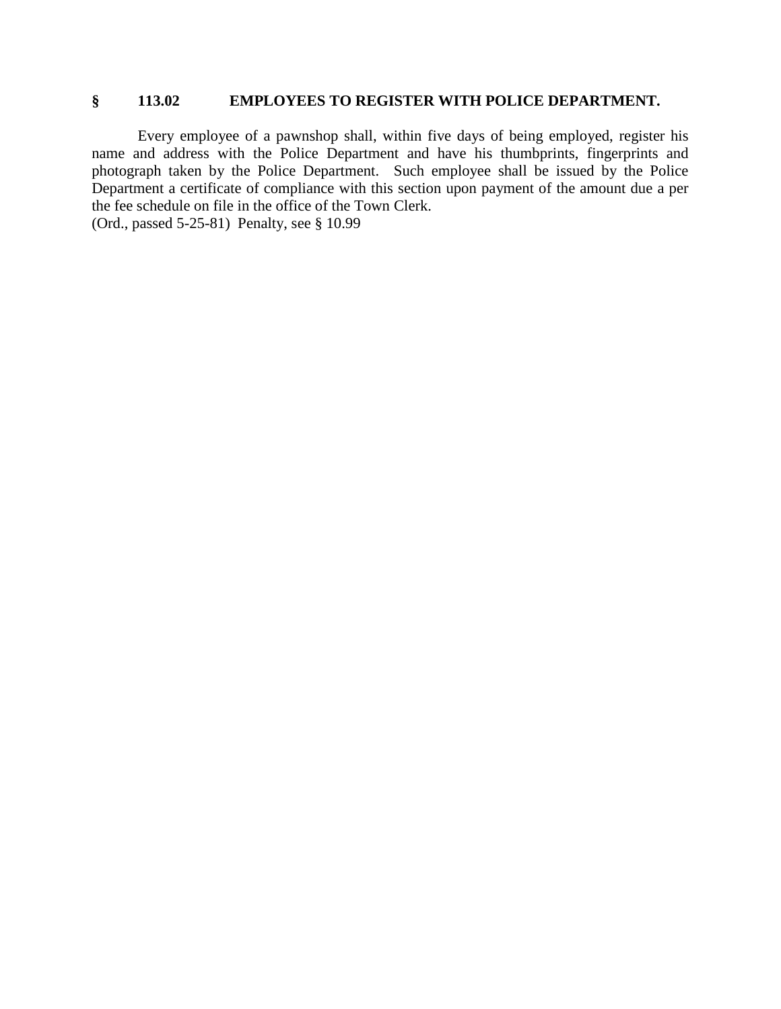### **§ 113.02 EMPLOYEES TO REGISTER WITH POLICE DEPARTMENT.**

Every employee of a pawnshop shall, within five days of being employed, register his name and address with the Police Department and have his thumbprints, fingerprints and photograph taken by the Police Department. Such employee shall be issued by the Police Department a certificate of compliance with this section upon payment of the amount due a per the fee schedule on file in the office of the Town Clerk.

(Ord., passed 5-25-81) Penalty, see § 10.99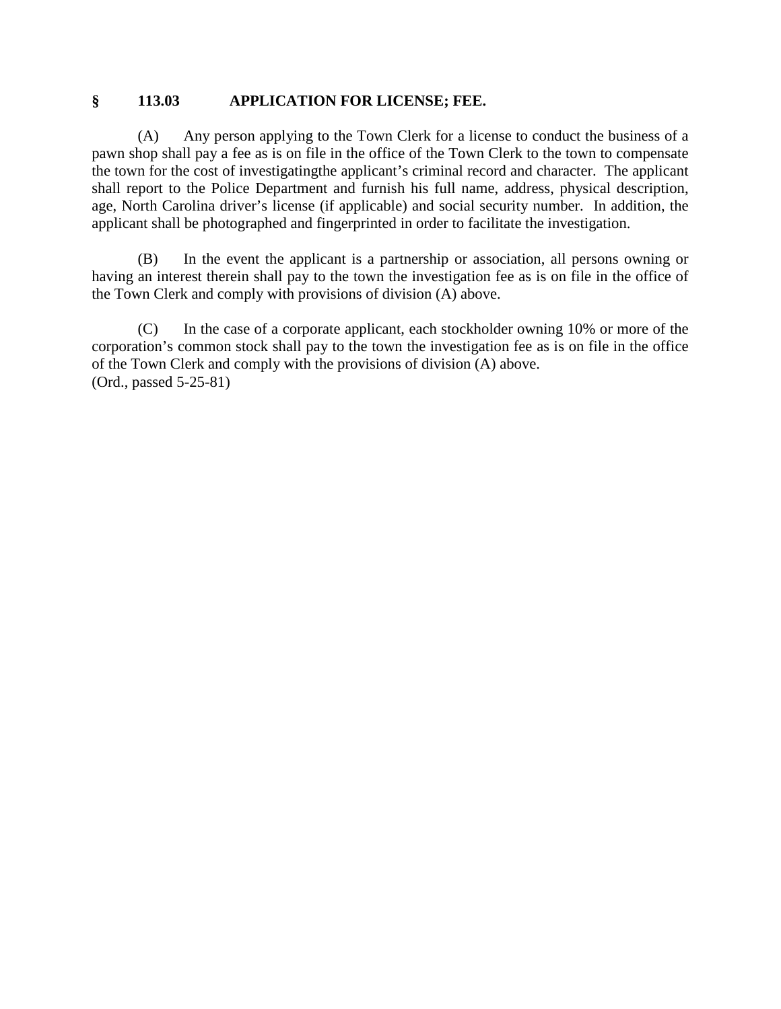### **§ 113.03 APPLICATION FOR LICENSE; FEE.**

(A) Any person applying to the Town Clerk for a license to conduct the business of a pawn shop shall pay a fee as is on file in the office of the Town Clerk to the town to compensate the town for the cost of investigatingthe applicant's criminal record and character. The applicant shall report to the Police Department and furnish his full name, address, physical description, age, North Carolina driver's license (if applicable) and social security number. In addition, the applicant shall be photographed and fingerprinted in order to facilitate the investigation.

(B) In the event the applicant is a partnership or association, all persons owning or having an interest therein shall pay to the town the investigation fee as is on file in the office of the Town Clerk and comply with provisions of division (A) above.

(C) In the case of a corporate applicant, each stockholder owning 10% or more of the corporation's common stock shall pay to the town the investigation fee as is on file in the office of the Town Clerk and comply with the provisions of division (A) above. (Ord., passed 5-25-81)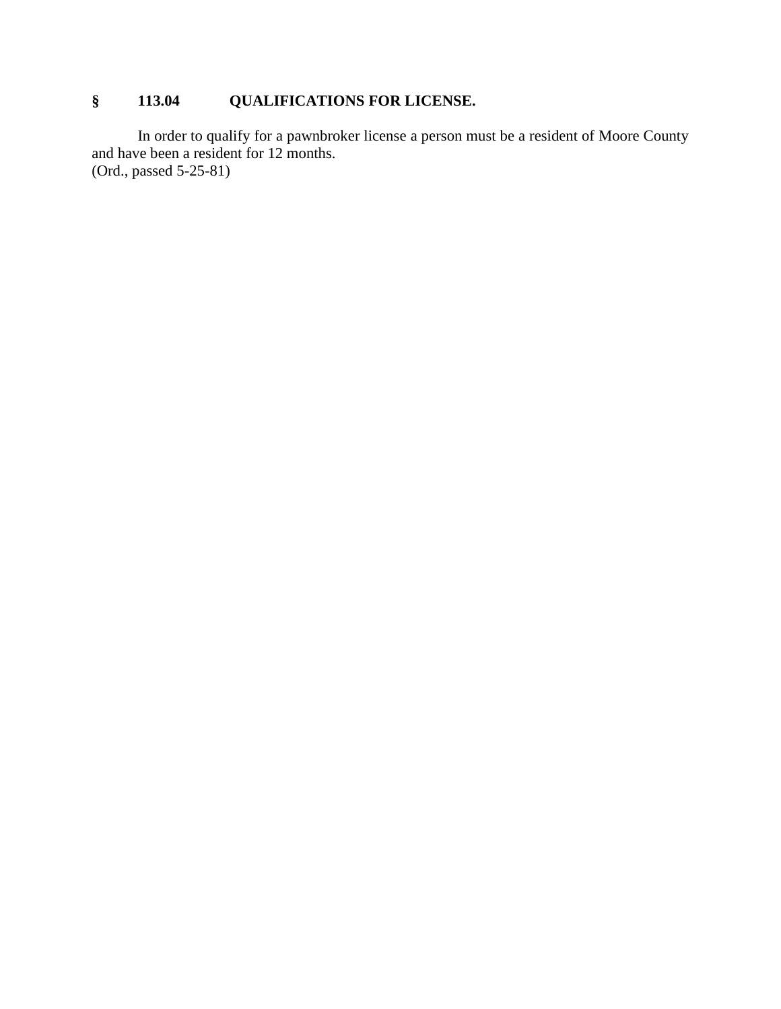# **§ 113.04 QUALIFICATIONS FOR LICENSE.**

In order to qualify for a pawnbroker license a person must be a resident of Moore County and have been a resident for 12 months. (Ord., passed 5-25-81)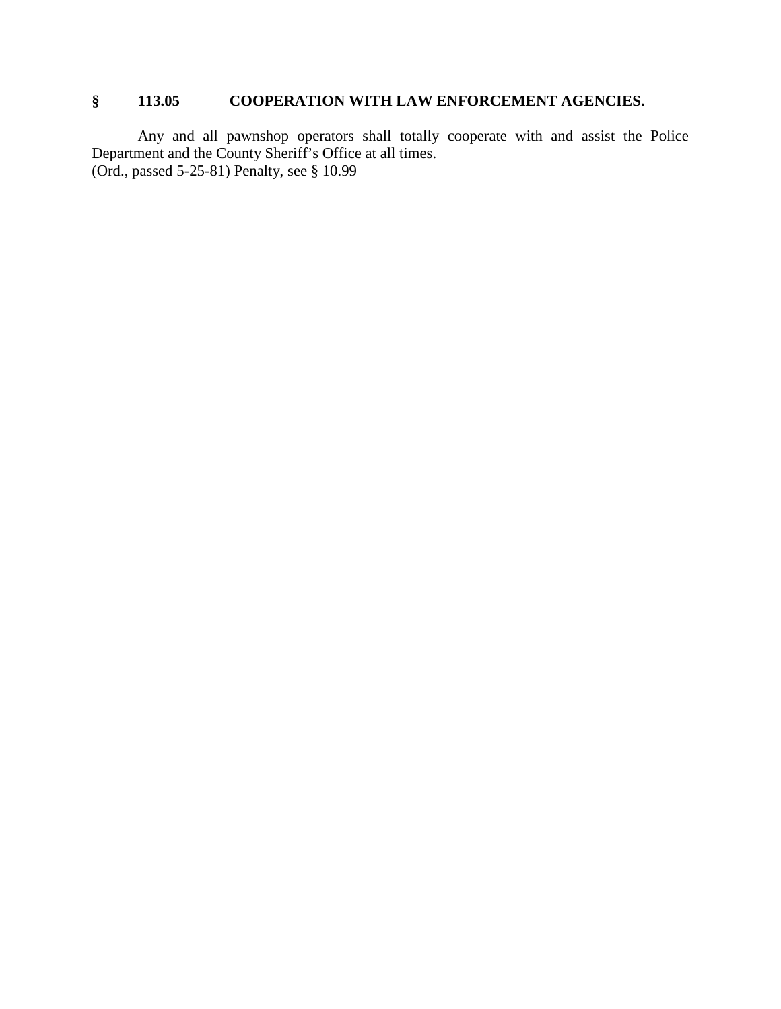## **§ 113.05 COOPERATION WITH LAW ENFORCEMENT AGENCIES.**

Any and all pawnshop operators shall totally cooperate with and assist the Police Department and the County Sheriff's Office at all times. (Ord., passed 5-25-81) Penalty, see § 10.99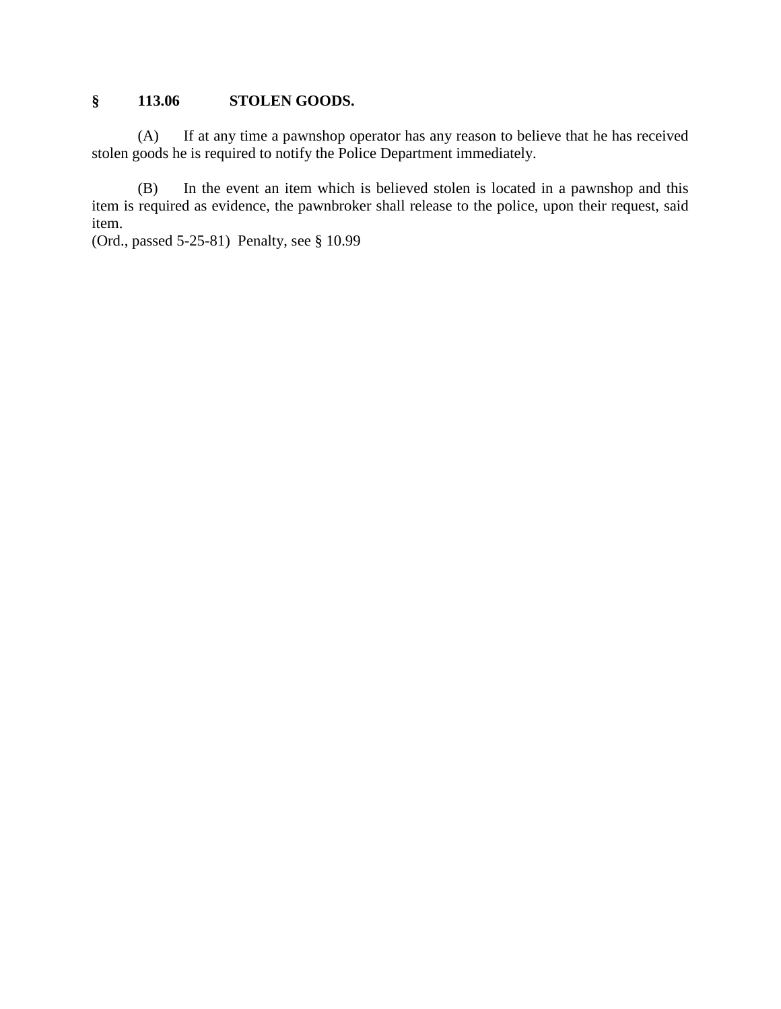## **§ 113.06 STOLEN GOODS.**

(A) If at any time a pawnshop operator has any reason to believe that he has received stolen goods he is required to notify the Police Department immediately.

(B) In the event an item which is believed stolen is located in a pawnshop and this item is required as evidence, the pawnbroker shall release to the police, upon their request, said item.

(Ord., passed 5-25-81) Penalty, see § 10.99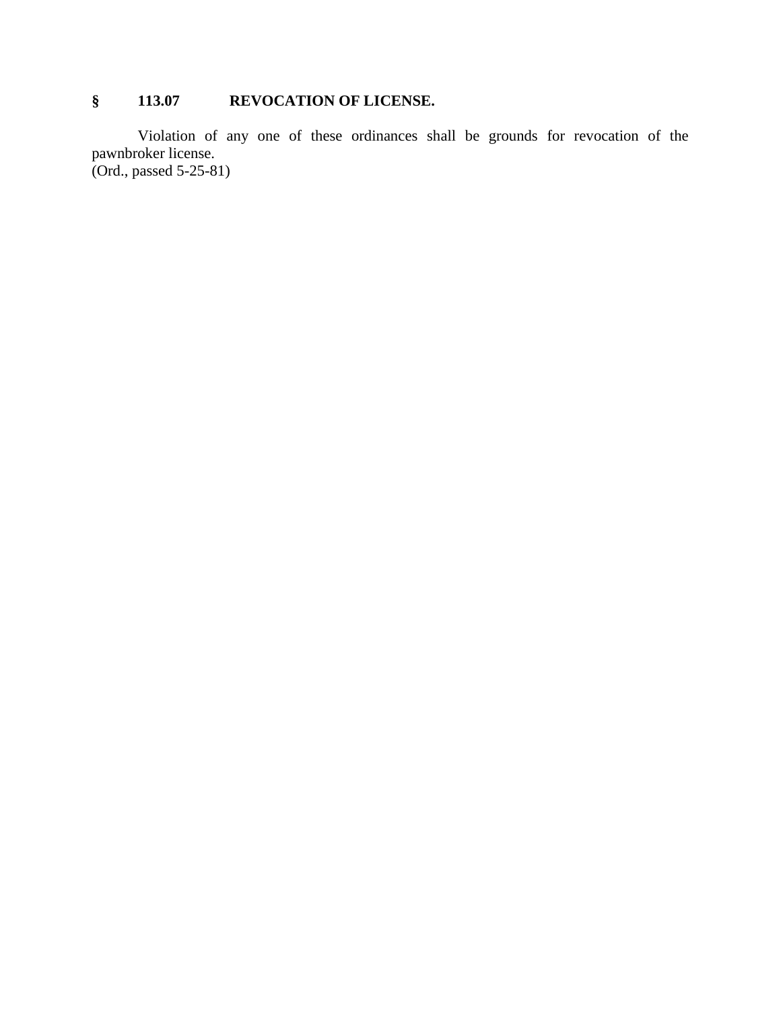## **§ 113.07 REVOCATION OF LICENSE.**

Violation of any one of these ordinances shall be grounds for revocation of the pawnbroker license. (Ord., passed 5-25-81)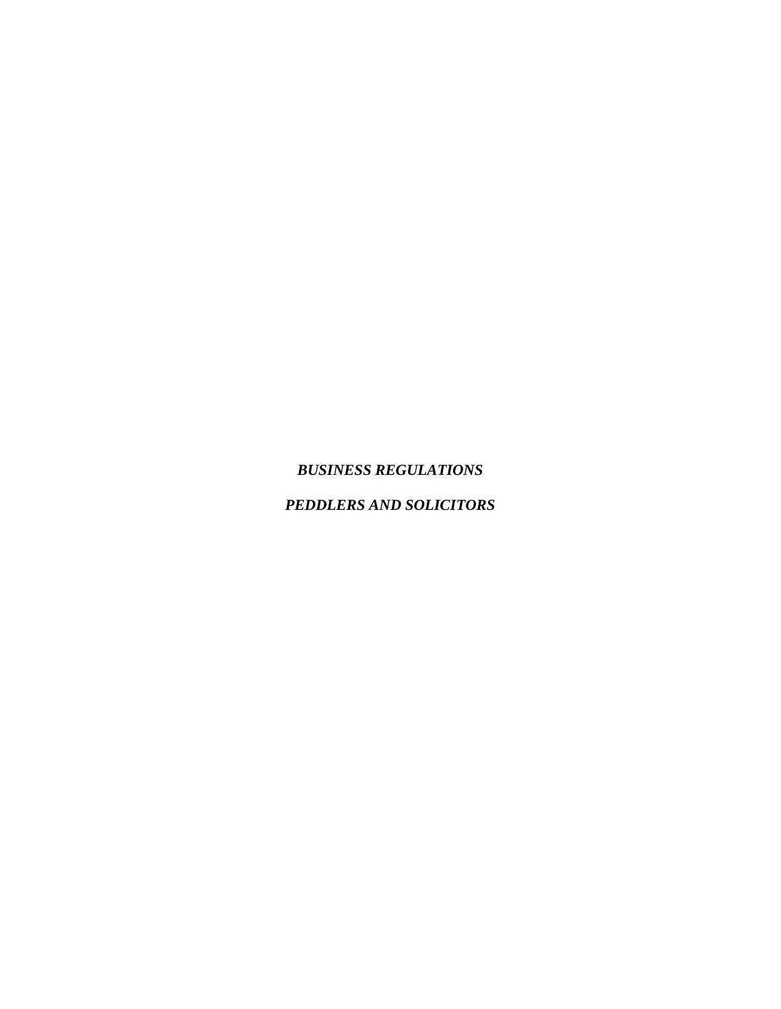## *BUSINESS REGULATIONS*

## *PEDDLERS AND SOLICITORS*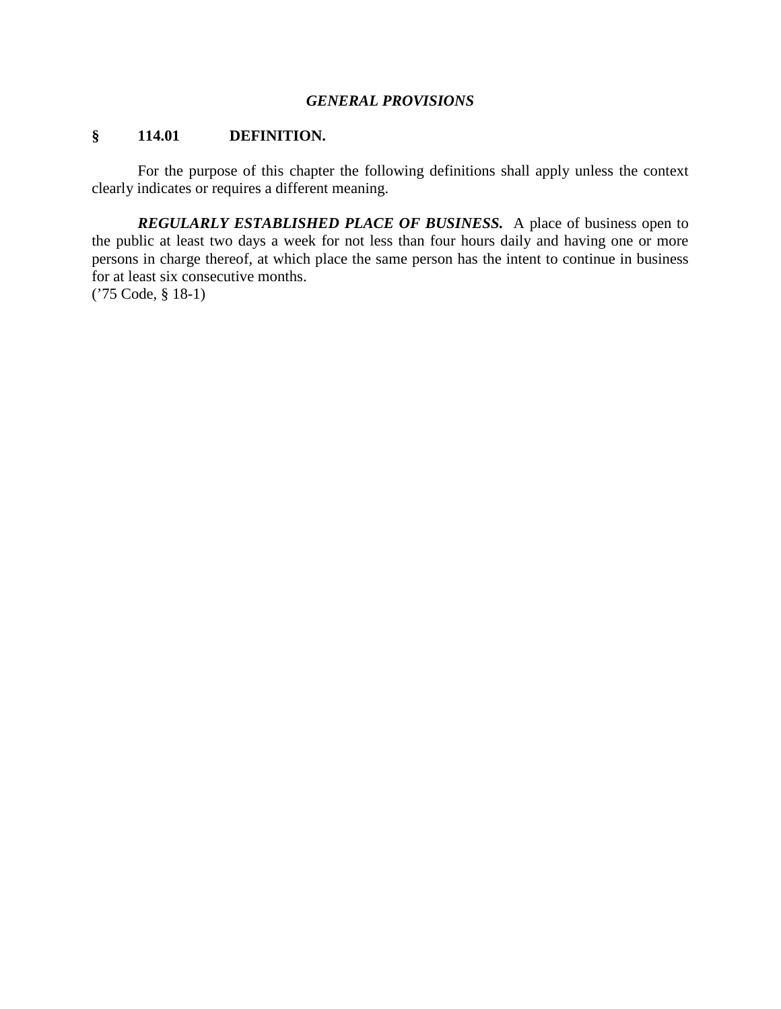#### *GENERAL PROVISIONS*

#### **§ 114.01 DEFINITION.**

For the purpose of this chapter the following definitions shall apply unless the context clearly indicates or requires a different meaning.

*REGULARLY ESTABLISHED PLACE OF BUSINESS.* A place of business open to the public at least two days a week for not less than four hours daily and having one or more persons in charge thereof, at which place the same person has the intent to continue in business for at least six consecutive months.

('75 Code, § 18-1)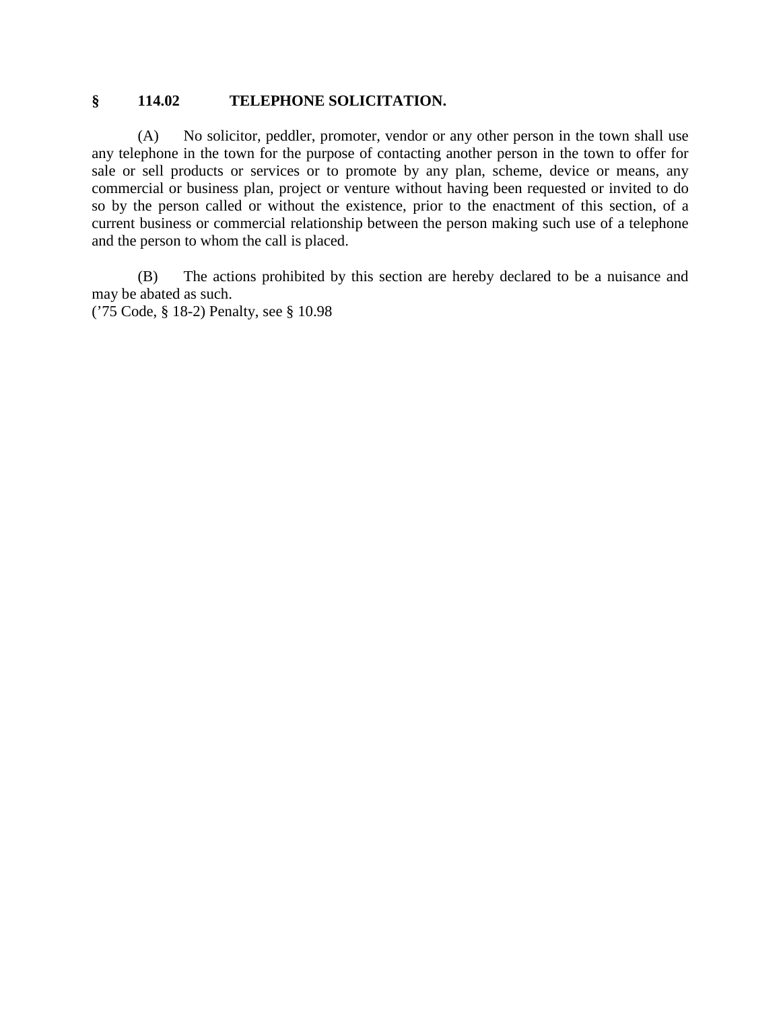#### **§ 114.02 TELEPHONE SOLICITATION.**

(A) No solicitor, peddler, promoter, vendor or any other person in the town shall use any telephone in the town for the purpose of contacting another person in the town to offer for sale or sell products or services or to promote by any plan, scheme, device or means, any commercial or business plan, project or venture without having been requested or invited to do so by the person called or without the existence, prior to the enactment of this section, of a current business or commercial relationship between the person making such use of a telephone and the person to whom the call is placed.

(B) The actions prohibited by this section are hereby declared to be a nuisance and may be abated as such.

('75 Code, § 18-2) Penalty, see § 10.98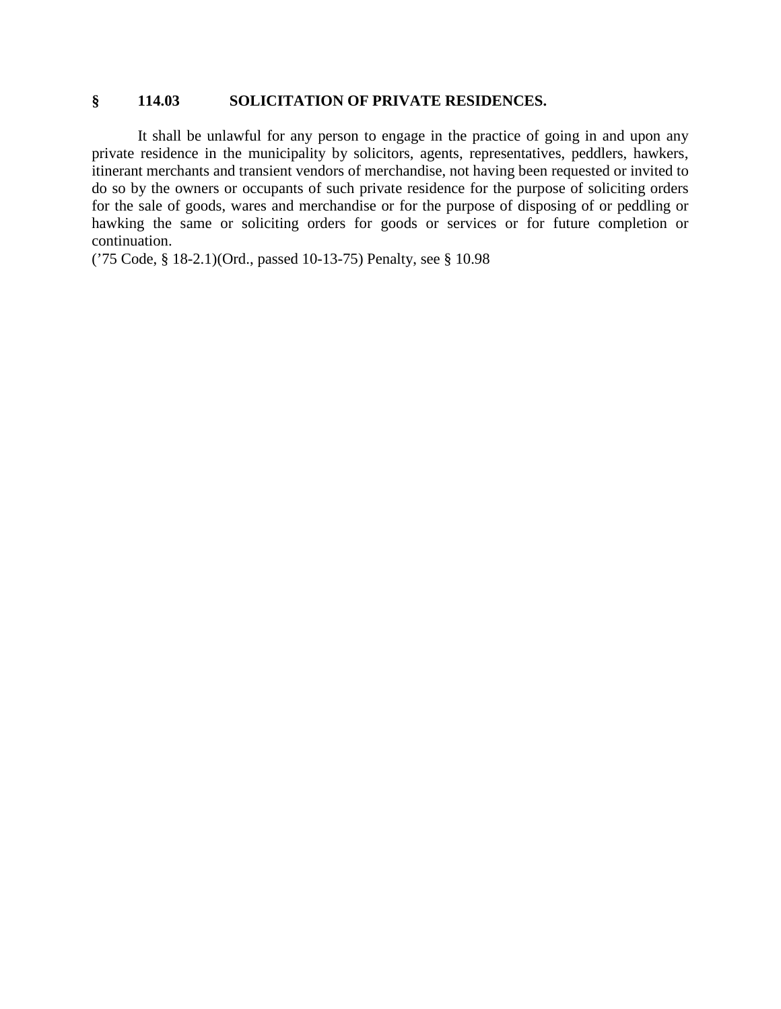#### **§ 114.03 SOLICITATION OF PRIVATE RESIDENCES.**

It shall be unlawful for any person to engage in the practice of going in and upon any private residence in the municipality by solicitors, agents, representatives, peddlers, hawkers, itinerant merchants and transient vendors of merchandise, not having been requested or invited to do so by the owners or occupants of such private residence for the purpose of soliciting orders for the sale of goods, wares and merchandise or for the purpose of disposing of or peddling or hawking the same or soliciting orders for goods or services or for future completion or continuation.

('75 Code, § 18-2.1)(Ord., passed 10-13-75) Penalty, see § 10.98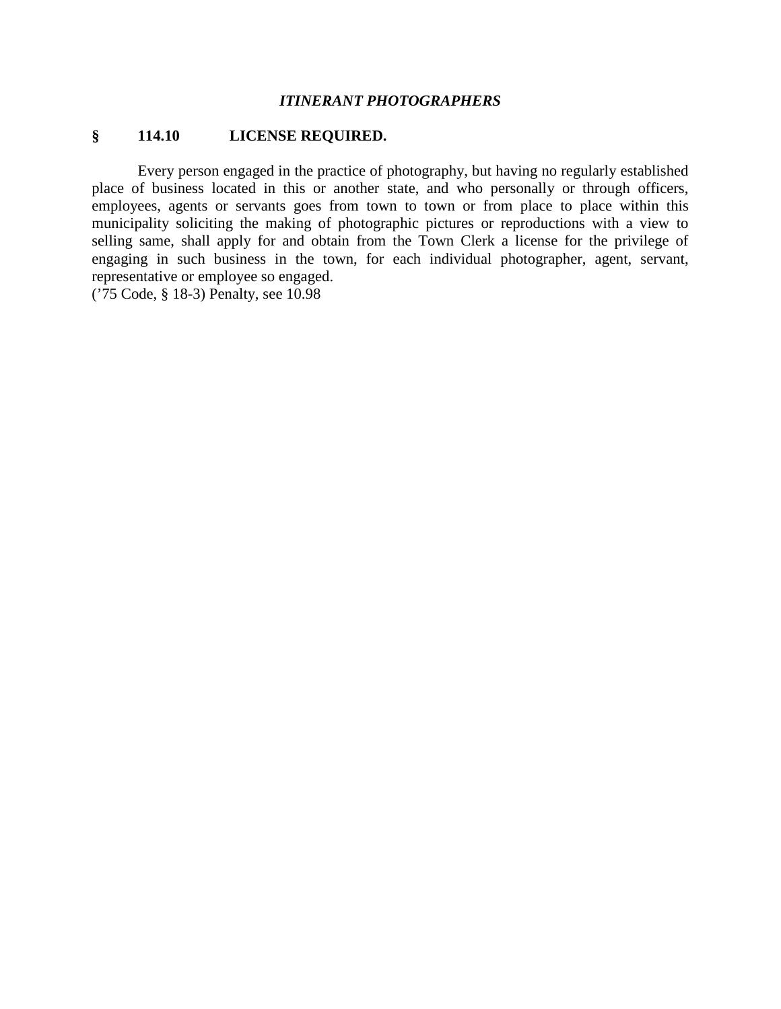#### *ITINERANT PHOTOGRAPHERS*

#### **§ 114.10 LICENSE REQUIRED.**

Every person engaged in the practice of photography, but having no regularly established place of business located in this or another state, and who personally or through officers, employees, agents or servants goes from town to town or from place to place within this municipality soliciting the making of photographic pictures or reproductions with a view to selling same, shall apply for and obtain from the Town Clerk a license for the privilege of engaging in such business in the town, for each individual photographer, agent, servant, representative or employee so engaged.

('75 Code, § 18-3) Penalty, see 10.98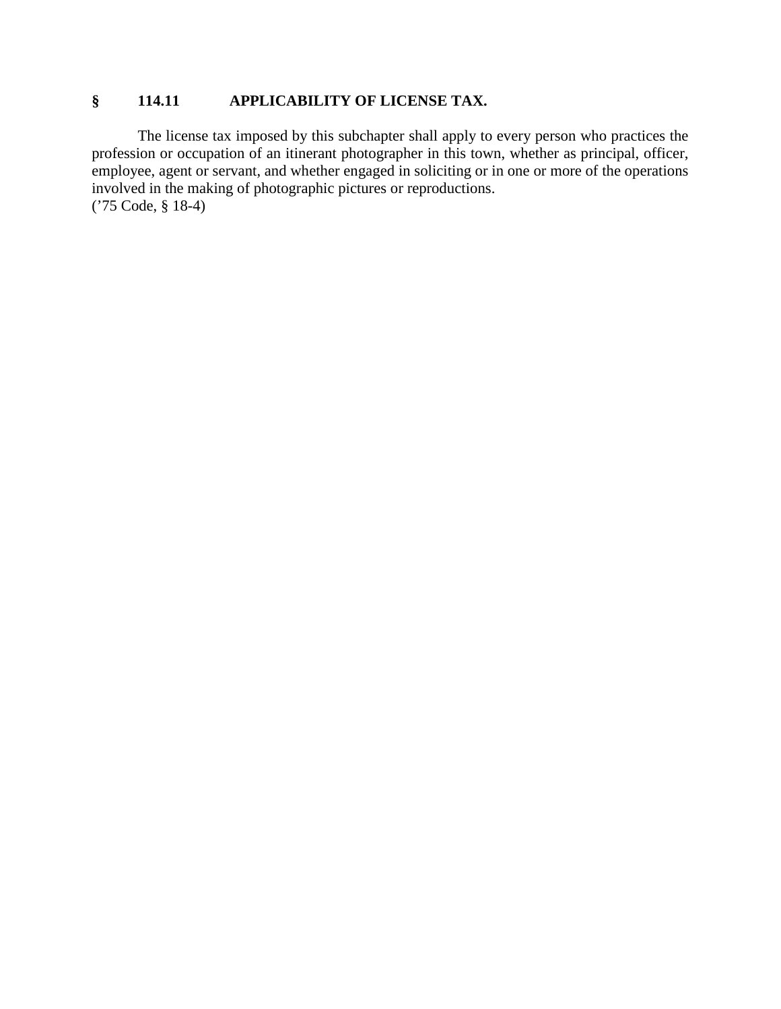## **§ 114.11 APPLICABILITY OF LICENSE TAX.**

The license tax imposed by this subchapter shall apply to every person who practices the profession or occupation of an itinerant photographer in this town, whether as principal, officer, employee, agent or servant, and whether engaged in soliciting or in one or more of the operations involved in the making of photographic pictures or reproductions. ('75 Code, § 18-4)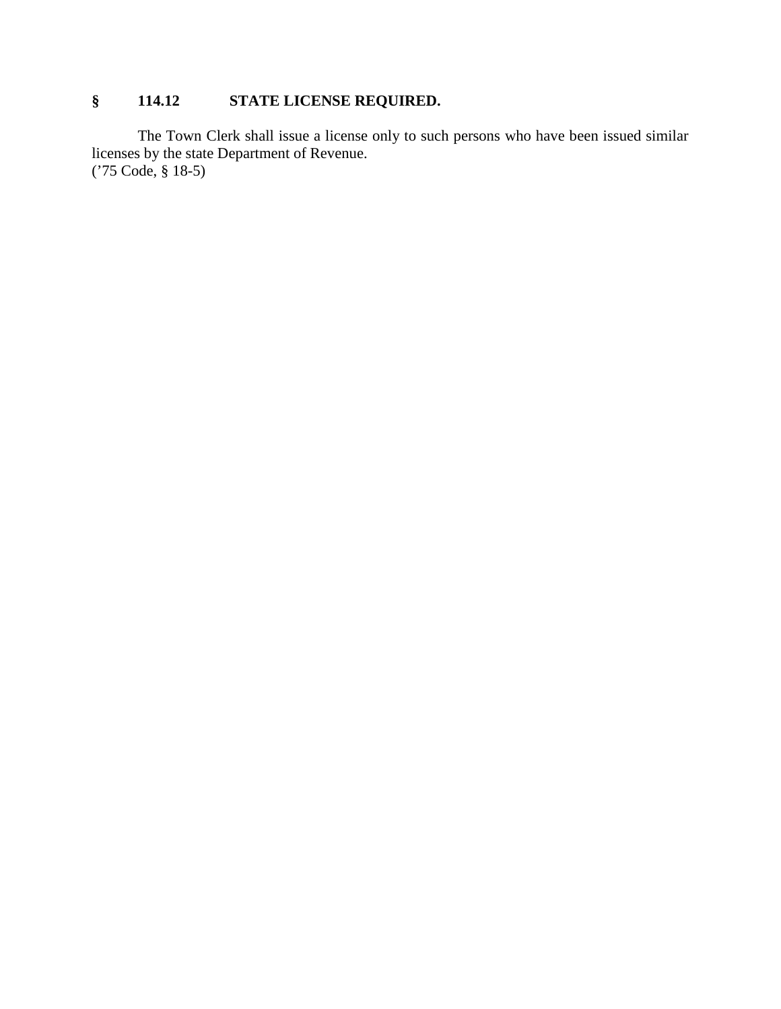# **§ 114.12 STATE LICENSE REQUIRED.**

The Town Clerk shall issue a license only to such persons who have been issued similar licenses by the state Department of Revenue. ('75 Code, § 18-5)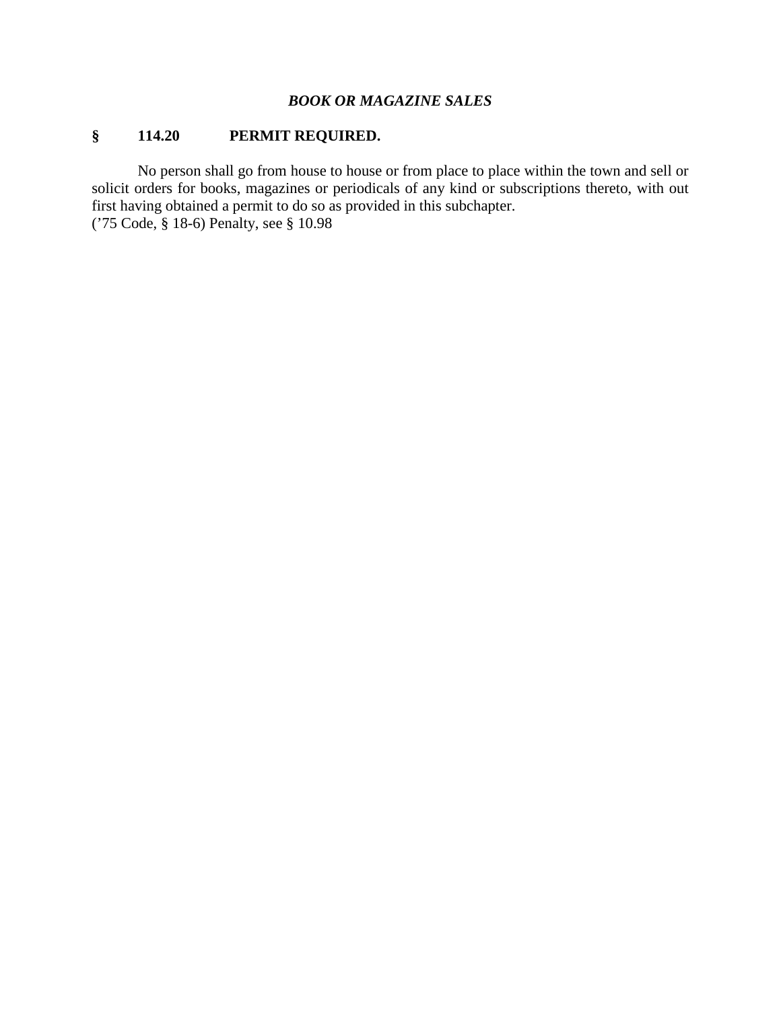#### *BOOK OR MAGAZINE SALES*

# **§ 114.20 PERMIT REQUIRED.**

No person shall go from house to house or from place to place within the town and sell or solicit orders for books, magazines or periodicals of any kind or subscriptions thereto, with out first having obtained a permit to do so as provided in this subchapter. ('75 Code, § 18-6) Penalty, see § 10.98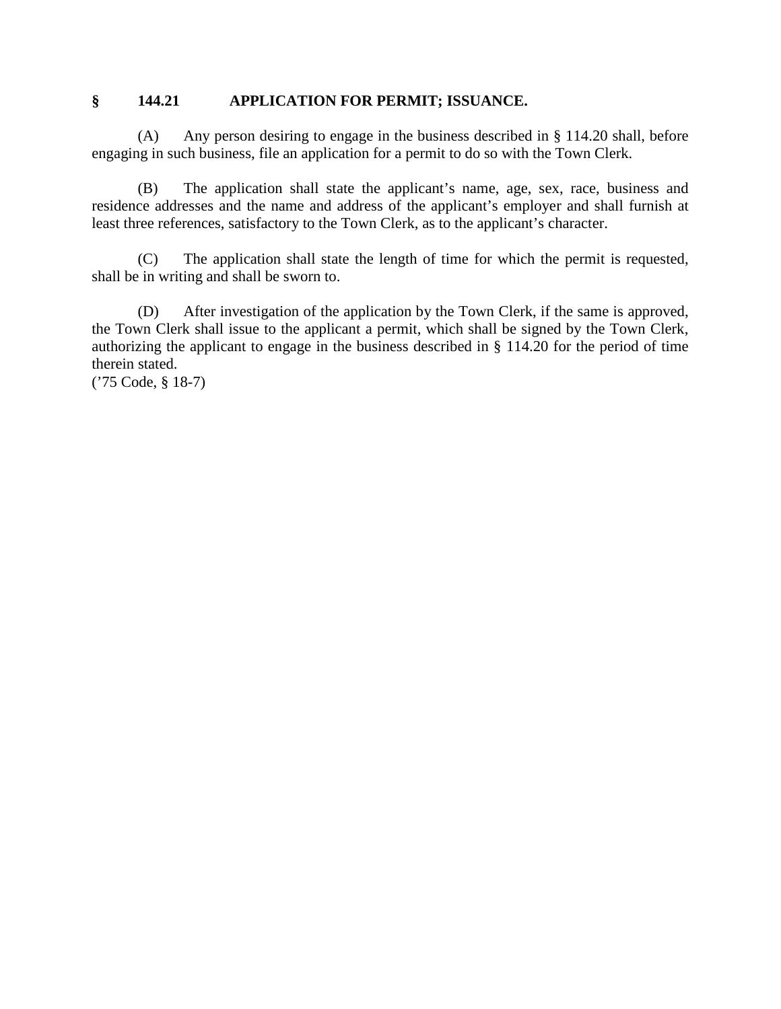#### **§ 144.21 APPLICATION FOR PERMIT; ISSUANCE.**

(A) Any person desiring to engage in the business described in § 114.20 shall, before engaging in such business, file an application for a permit to do so with the Town Clerk.

(B) The application shall state the applicant's name, age, sex, race, business and residence addresses and the name and address of the applicant's employer and shall furnish at least three references, satisfactory to the Town Clerk, as to the applicant's character.

(C) The application shall state the length of time for which the permit is requested, shall be in writing and shall be sworn to.

(D) After investigation of the application by the Town Clerk, if the same is approved, the Town Clerk shall issue to the applicant a permit, which shall be signed by the Town Clerk, authorizing the applicant to engage in the business described in § 114.20 for the period of time therein stated.

('75 Code, § 18-7)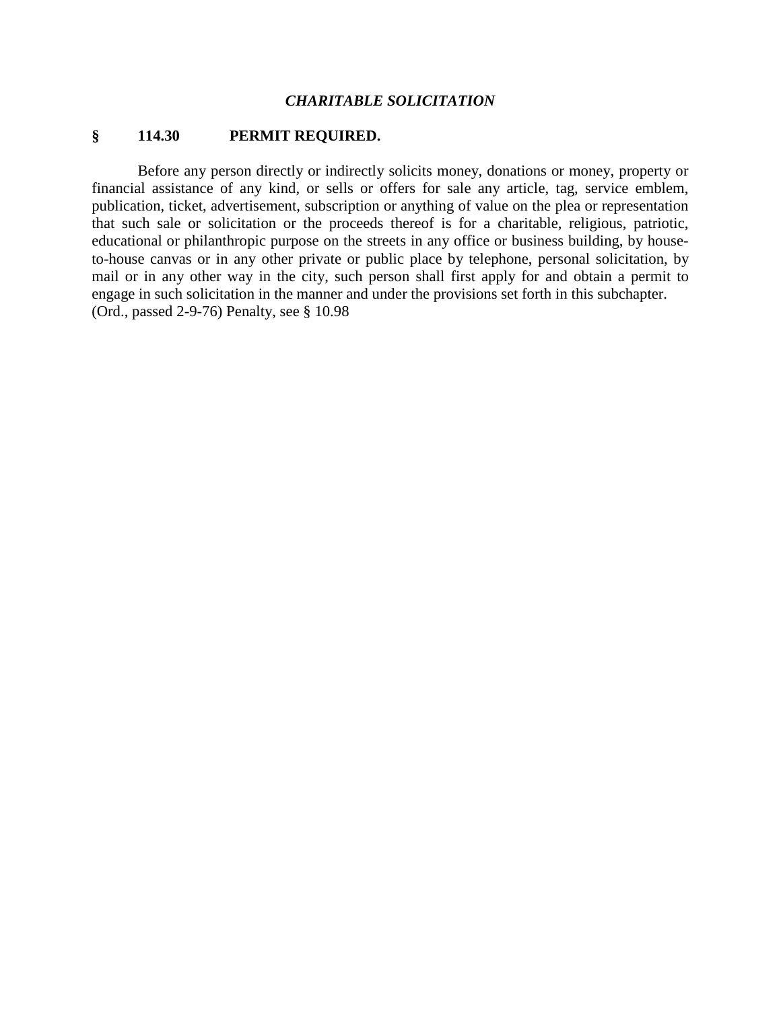#### *CHARITABLE SOLICITATION*

#### **§ 114.30 PERMIT REQUIRED.**

Before any person directly or indirectly solicits money, donations or money, property or financial assistance of any kind, or sells or offers for sale any article, tag, service emblem, publication, ticket, advertisement, subscription or anything of value on the plea or representation that such sale or solicitation or the proceeds thereof is for a charitable, religious, patriotic, educational or philanthropic purpose on the streets in any office or business building, by houseto-house canvas or in any other private or public place by telephone, personal solicitation, by mail or in any other way in the city, such person shall first apply for and obtain a permit to engage in such solicitation in the manner and under the provisions set forth in this subchapter. (Ord., passed 2-9-76) Penalty, see § 10.98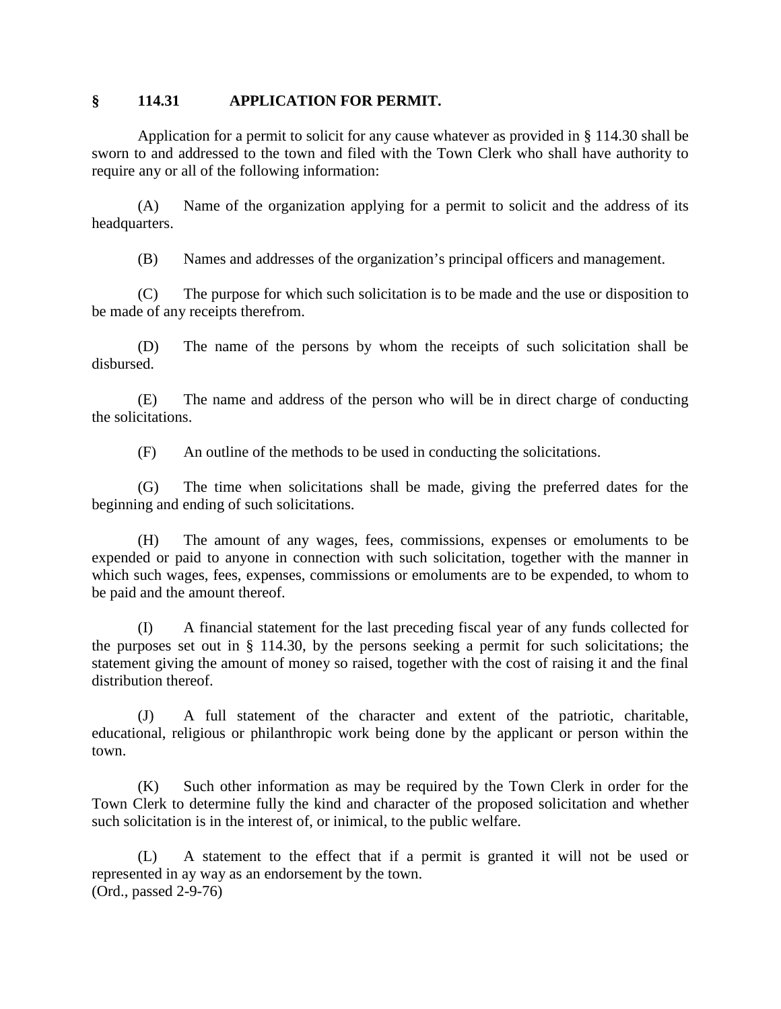#### **§ 114.31 APPLICATION FOR PERMIT.**

Application for a permit to solicit for any cause whatever as provided in § 114.30 shall be sworn to and addressed to the town and filed with the Town Clerk who shall have authority to require any or all of the following information:

(A) Name of the organization applying for a permit to solicit and the address of its headquarters.

(B) Names and addresses of the organization's principal officers and management.

(C) The purpose for which such solicitation is to be made and the use or disposition to be made of any receipts therefrom.

(D) The name of the persons by whom the receipts of such solicitation shall be disbursed.

(E) The name and address of the person who will be in direct charge of conducting the solicitations.

(F) An outline of the methods to be used in conducting the solicitations.

(G) The time when solicitations shall be made, giving the preferred dates for the beginning and ending of such solicitations.

(H) The amount of any wages, fees, commissions, expenses or emoluments to be expended or paid to anyone in connection with such solicitation, together with the manner in which such wages, fees, expenses, commissions or emoluments are to be expended, to whom to be paid and the amount thereof.

(I) A financial statement for the last preceding fiscal year of any funds collected for the purposes set out in § 114.30, by the persons seeking a permit for such solicitations; the statement giving the amount of money so raised, together with the cost of raising it and the final distribution thereof.

(J) A full statement of the character and extent of the patriotic, charitable, educational, religious or philanthropic work being done by the applicant or person within the town.

(K) Such other information as may be required by the Town Clerk in order for the Town Clerk to determine fully the kind and character of the proposed solicitation and whether such solicitation is in the interest of, or inimical, to the public welfare.

(L) A statement to the effect that if a permit is granted it will not be used or represented in ay way as an endorsement by the town. (Ord., passed 2-9-76)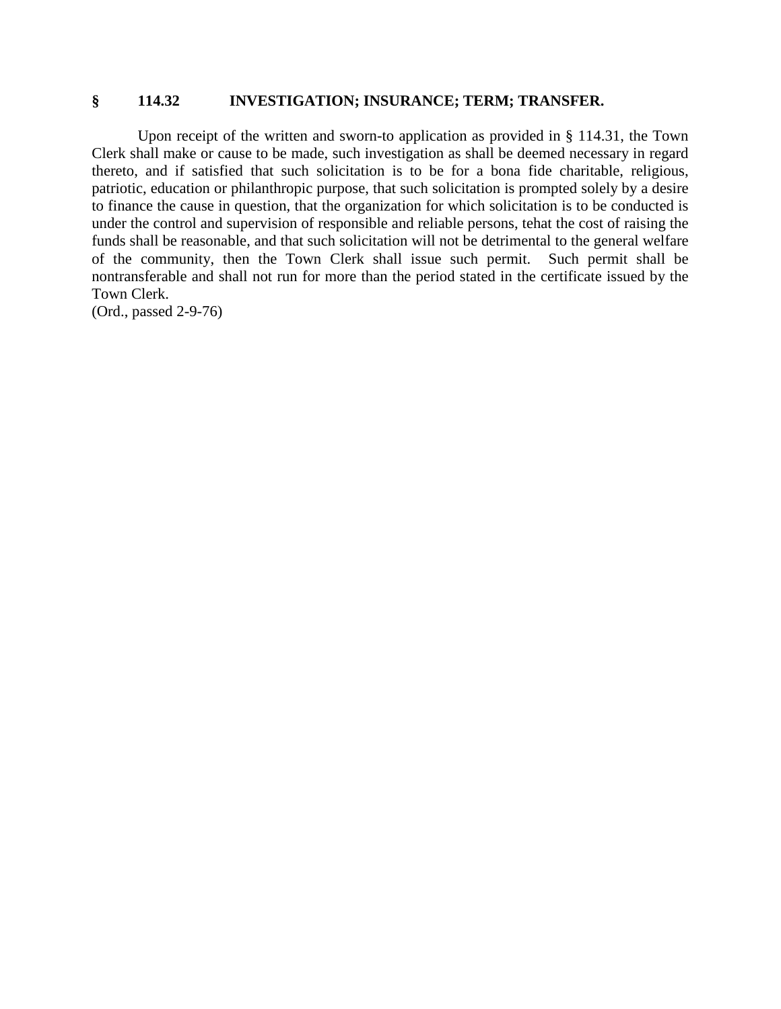#### **§ 114.32 INVESTIGATION; INSURANCE; TERM; TRANSFER.**

Upon receipt of the written and sworn-to application as provided in § 114.31, the Town Clerk shall make or cause to be made, such investigation as shall be deemed necessary in regard thereto, and if satisfied that such solicitation is to be for a bona fide charitable, religious, patriotic, education or philanthropic purpose, that such solicitation is prompted solely by a desire to finance the cause in question, that the organization for which solicitation is to be conducted is under the control and supervision of responsible and reliable persons, tehat the cost of raising the funds shall be reasonable, and that such solicitation will not be detrimental to the general welfare of the community, then the Town Clerk shall issue such permit. Such permit shall be nontransferable and shall not run for more than the period stated in the certificate issued by the Town Clerk.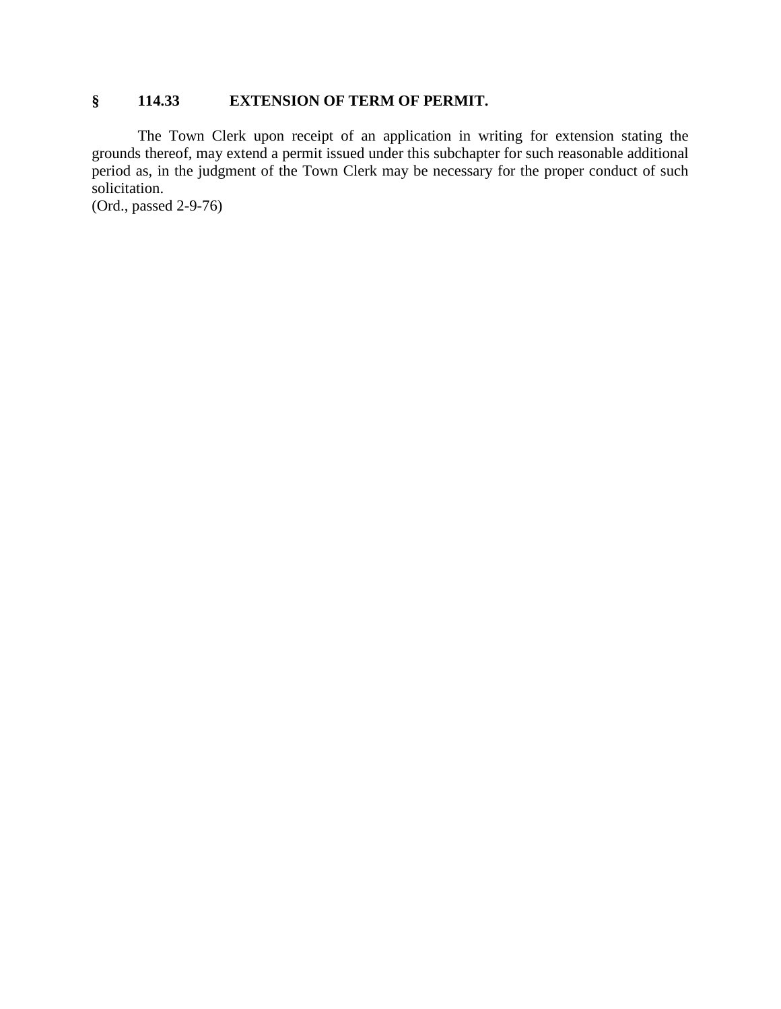## **§ 114.33 EXTENSION OF TERM OF PERMIT.**

The Town Clerk upon receipt of an application in writing for extension stating the grounds thereof, may extend a permit issued under this subchapter for such reasonable additional period as, in the judgment of the Town Clerk may be necessary for the proper conduct of such solicitation.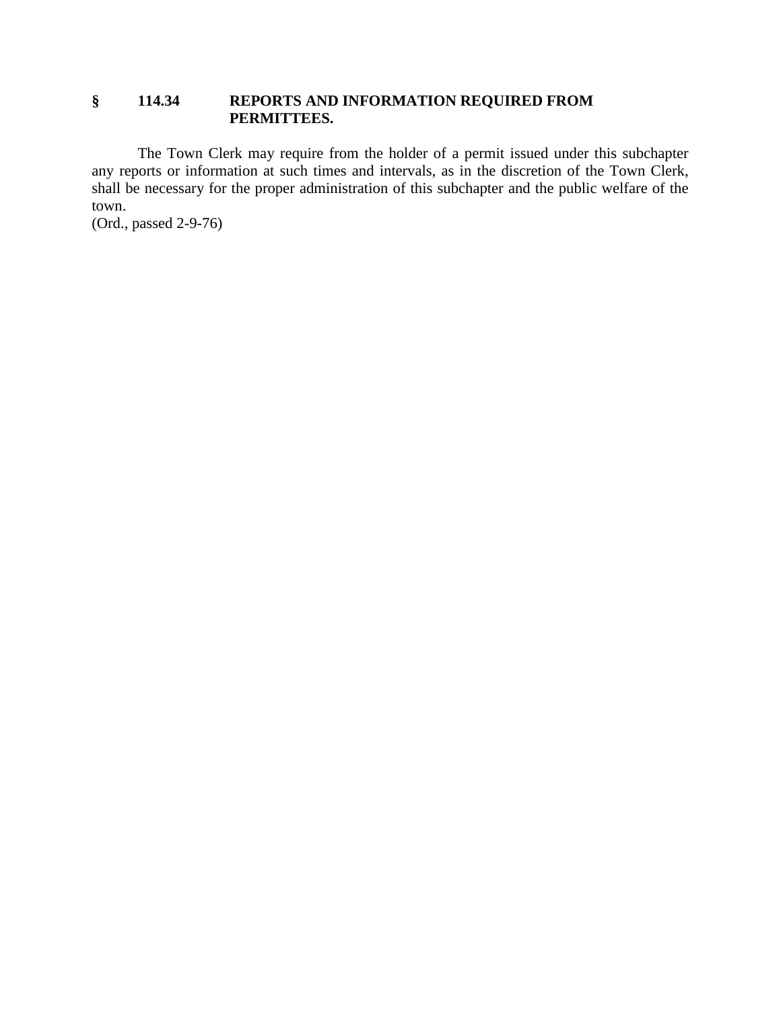## **§ 114.34 REPORTS AND INFORMATION REQUIRED FROM PERMITTEES.**

The Town Clerk may require from the holder of a permit issued under this subchapter any reports or information at such times and intervals, as in the discretion of the Town Clerk, shall be necessary for the proper administration of this subchapter and the public welfare of the town.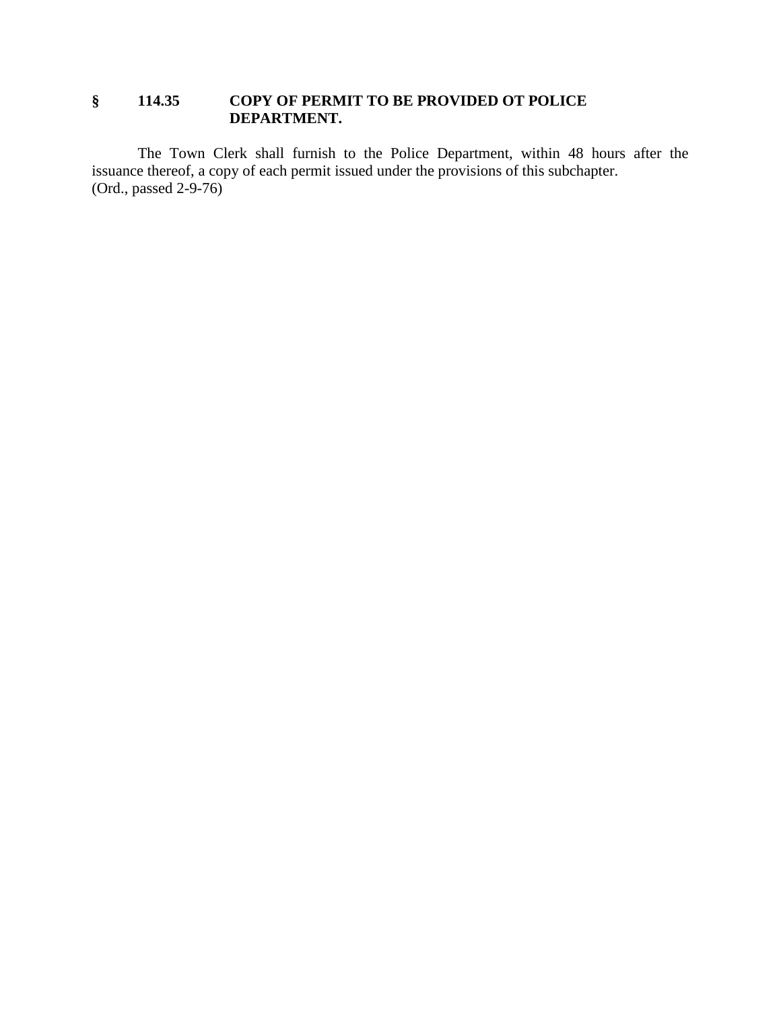## **§ 114.35 COPY OF PERMIT TO BE PROVIDED OT POLICE DEPARTMENT.**

The Town Clerk shall furnish to the Police Department, within 48 hours after the issuance thereof, a copy of each permit issued under the provisions of this subchapter. (Ord., passed 2-9-76)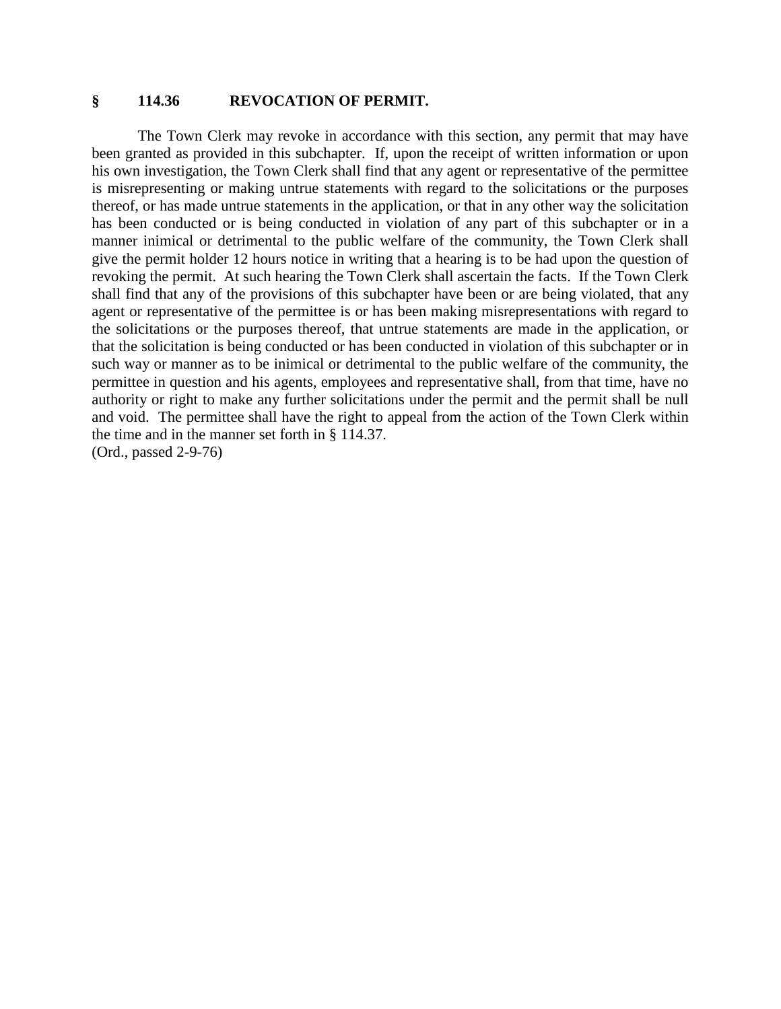#### **§ 114.36 REVOCATION OF PERMIT.**

The Town Clerk may revoke in accordance with this section, any permit that may have been granted as provided in this subchapter. If, upon the receipt of written information or upon his own investigation, the Town Clerk shall find that any agent or representative of the permittee is misrepresenting or making untrue statements with regard to the solicitations or the purposes thereof, or has made untrue statements in the application, or that in any other way the solicitation has been conducted or is being conducted in violation of any part of this subchapter or in a manner inimical or detrimental to the public welfare of the community, the Town Clerk shall give the permit holder 12 hours notice in writing that a hearing is to be had upon the question of revoking the permit. At such hearing the Town Clerk shall ascertain the facts. If the Town Clerk shall find that any of the provisions of this subchapter have been or are being violated, that any agent or representative of the permittee is or has been making misrepresentations with regard to the solicitations or the purposes thereof, that untrue statements are made in the application, or that the solicitation is being conducted or has been conducted in violation of this subchapter or in such way or manner as to be inimical or detrimental to the public welfare of the community, the permittee in question and his agents, employees and representative shall, from that time, have no authority or right to make any further solicitations under the permit and the permit shall be null and void. The permittee shall have the right to appeal from the action of the Town Clerk within the time and in the manner set forth in § 114.37.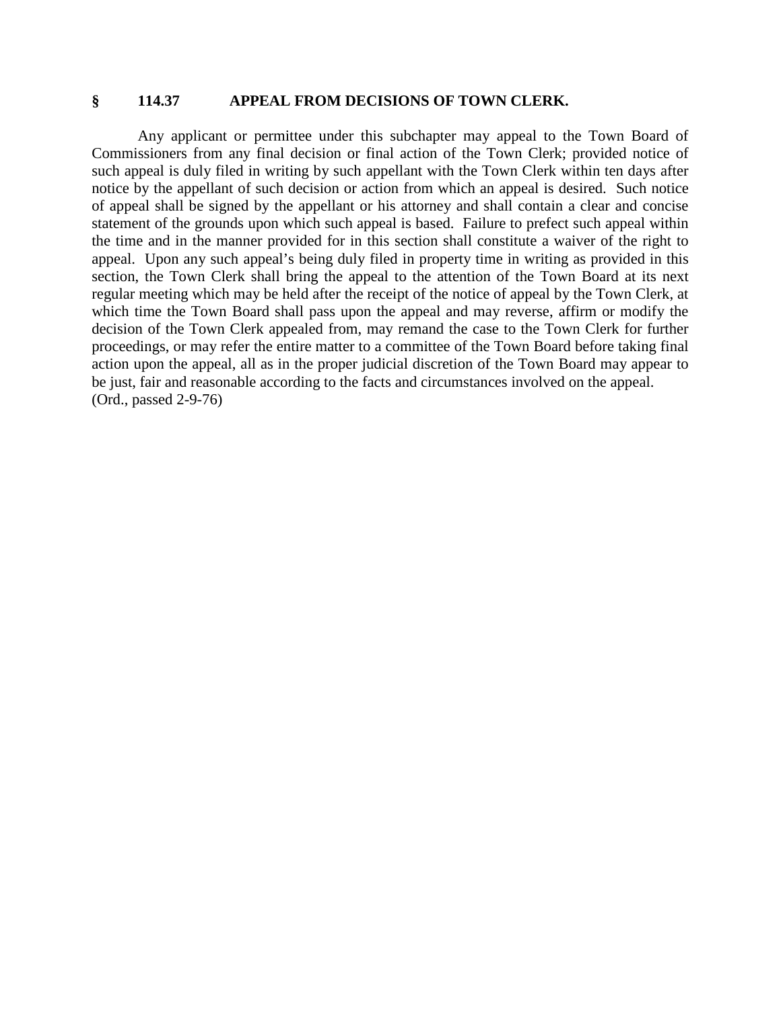#### **§ 114.37 APPEAL FROM DECISIONS OF TOWN CLERK.**

Any applicant or permittee under this subchapter may appeal to the Town Board of Commissioners from any final decision or final action of the Town Clerk; provided notice of such appeal is duly filed in writing by such appellant with the Town Clerk within ten days after notice by the appellant of such decision or action from which an appeal is desired. Such notice of appeal shall be signed by the appellant or his attorney and shall contain a clear and concise statement of the grounds upon which such appeal is based. Failure to prefect such appeal within the time and in the manner provided for in this section shall constitute a waiver of the right to appeal. Upon any such appeal's being duly filed in property time in writing as provided in this section, the Town Clerk shall bring the appeal to the attention of the Town Board at its next regular meeting which may be held after the receipt of the notice of appeal by the Town Clerk, at which time the Town Board shall pass upon the appeal and may reverse, affirm or modify the decision of the Town Clerk appealed from, may remand the case to the Town Clerk for further proceedings, or may refer the entire matter to a committee of the Town Board before taking final action upon the appeal, all as in the proper judicial discretion of the Town Board may appear to be just, fair and reasonable according to the facts and circumstances involved on the appeal. (Ord., passed 2-9-76)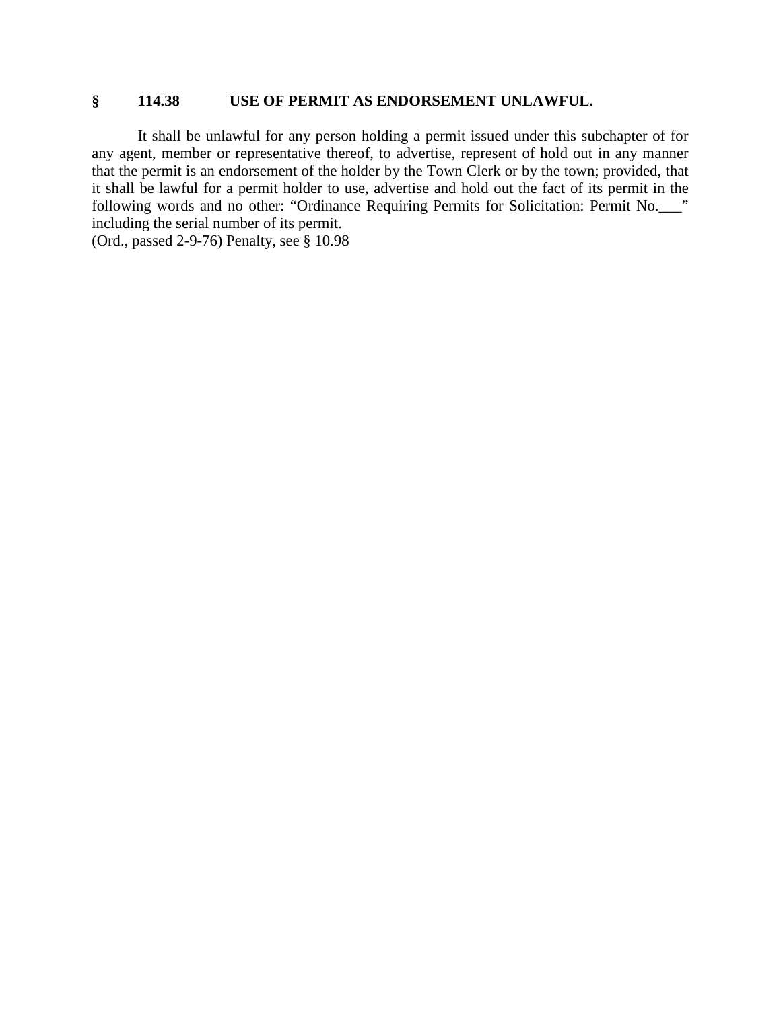#### **§ 114.38 USE OF PERMIT AS ENDORSEMENT UNLAWFUL.**

It shall be unlawful for any person holding a permit issued under this subchapter of for any agent, member or representative thereof, to advertise, represent of hold out in any manner that the permit is an endorsement of the holder by the Town Clerk or by the town; provided, that it shall be lawful for a permit holder to use, advertise and hold out the fact of its permit in the following words and no other: "Ordinance Requiring Permits for Solicitation: Permit No.\_\_\_" including the serial number of its permit.

(Ord., passed 2-9-76) Penalty, see § 10.98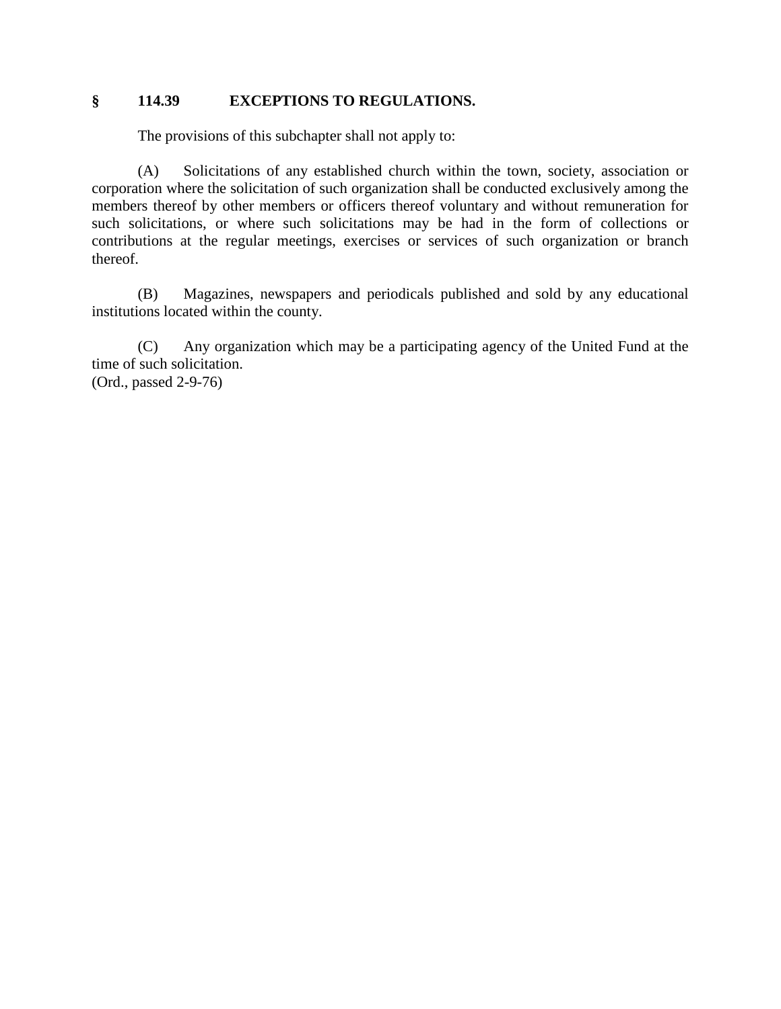#### **§ 114.39 EXCEPTIONS TO REGULATIONS.**

The provisions of this subchapter shall not apply to:

(A) Solicitations of any established church within the town, society, association or corporation where the solicitation of such organization shall be conducted exclusively among the members thereof by other members or officers thereof voluntary and without remuneration for such solicitations, or where such solicitations may be had in the form of collections or contributions at the regular meetings, exercises or services of such organization or branch thereof.

(B) Magazines, newspapers and periodicals published and sold by any educational institutions located within the county.

(C) Any organization which may be a participating agency of the United Fund at the time of such solicitation. (Ord., passed 2-9-76)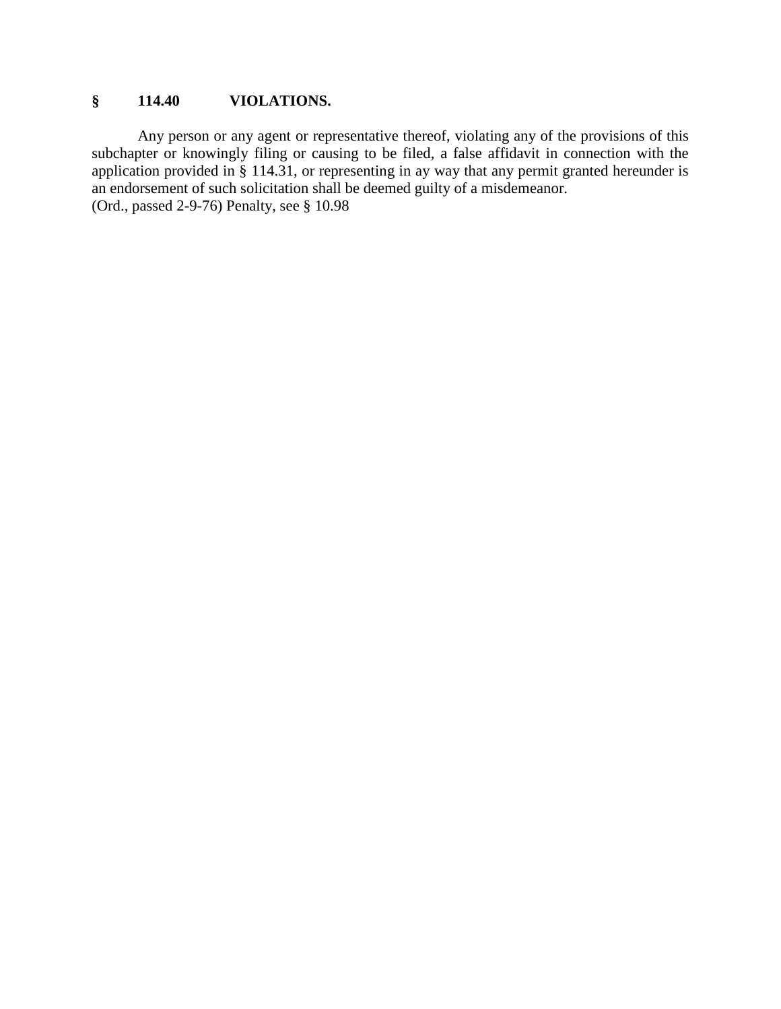## **§ 114.40 VIOLATIONS.**

Any person or any agent or representative thereof, violating any of the provisions of this subchapter or knowingly filing or causing to be filed, a false affidavit in connection with the application provided in § 114.31, or representing in ay way that any permit granted hereunder is an endorsement of such solicitation shall be deemed guilty of a misdemeanor. (Ord., passed 2-9-76) Penalty, see § 10.98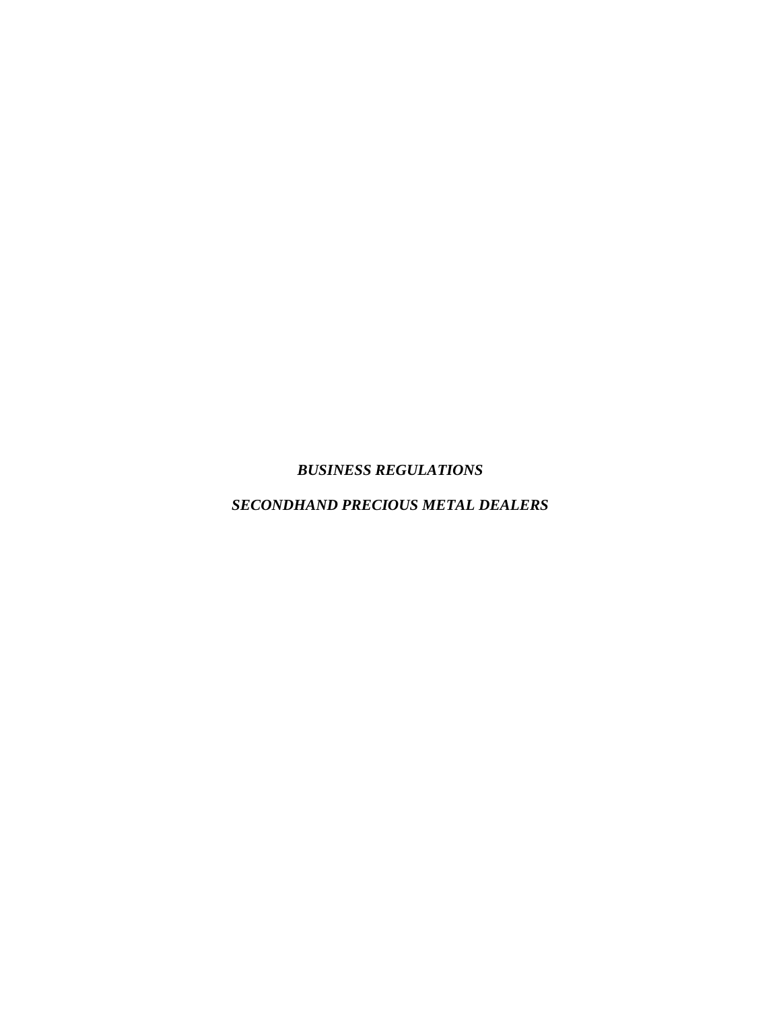*BUSINESS REGULATIONS*

*SECONDHAND PRECIOUS METAL DEALERS*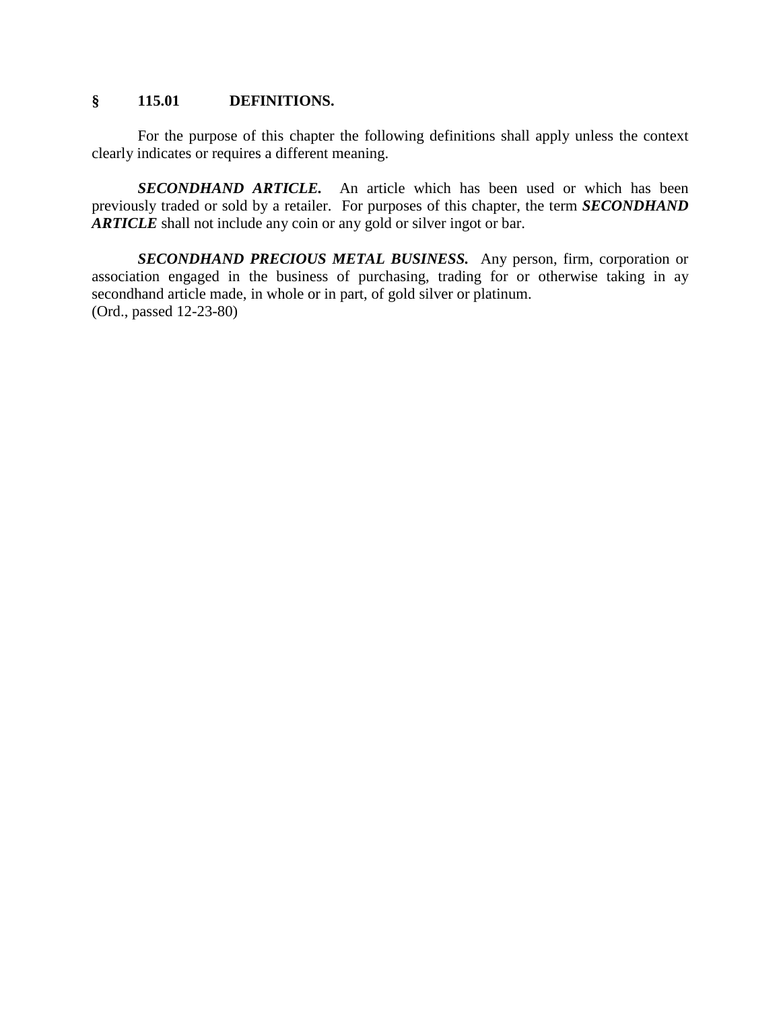#### **§ 115.01 DEFINITIONS.**

For the purpose of this chapter the following definitions shall apply unless the context clearly indicates or requires a different meaning.

*SECONDHAND ARTICLE.* An article which has been used or which has been previously traded or sold by a retailer. For purposes of this chapter, the term *SECONDHAND ARTICLE* shall not include any coin or any gold or silver ingot or bar.

*SECONDHAND PRECIOUS METAL BUSINESS.* Any person, firm, corporation or association engaged in the business of purchasing, trading for or otherwise taking in ay secondhand article made, in whole or in part, of gold silver or platinum. (Ord., passed 12-23-80)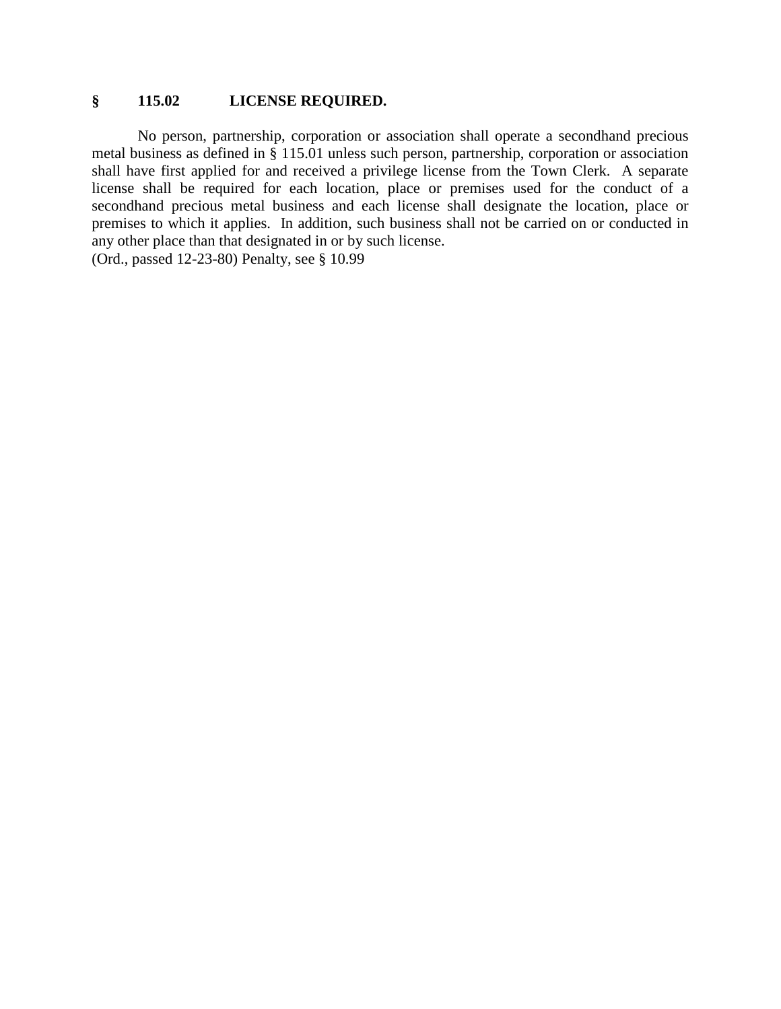#### **§ 115.02 LICENSE REQUIRED.**

No person, partnership, corporation or association shall operate a secondhand precious metal business as defined in § 115.01 unless such person, partnership, corporation or association shall have first applied for and received a privilege license from the Town Clerk. A separate license shall be required for each location, place or premises used for the conduct of a secondhand precious metal business and each license shall designate the location, place or premises to which it applies. In addition, such business shall not be carried on or conducted in any other place than that designated in or by such license.

(Ord., passed 12-23-80) Penalty, see § 10.99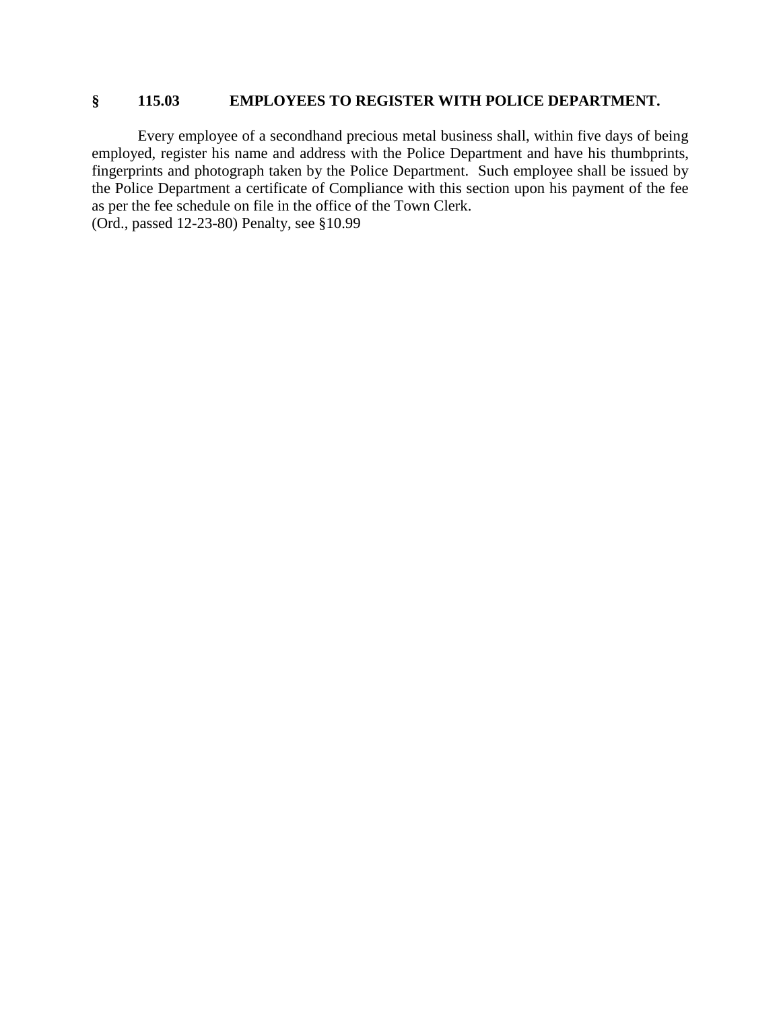## **§ 115.03 EMPLOYEES TO REGISTER WITH POLICE DEPARTMENT.**

Every employee of a secondhand precious metal business shall, within five days of being employed, register his name and address with the Police Department and have his thumbprints, fingerprints and photograph taken by the Police Department. Such employee shall be issued by the Police Department a certificate of Compliance with this section upon his payment of the fee as per the fee schedule on file in the office of the Town Clerk. (Ord., passed 12-23-80) Penalty, see §10.99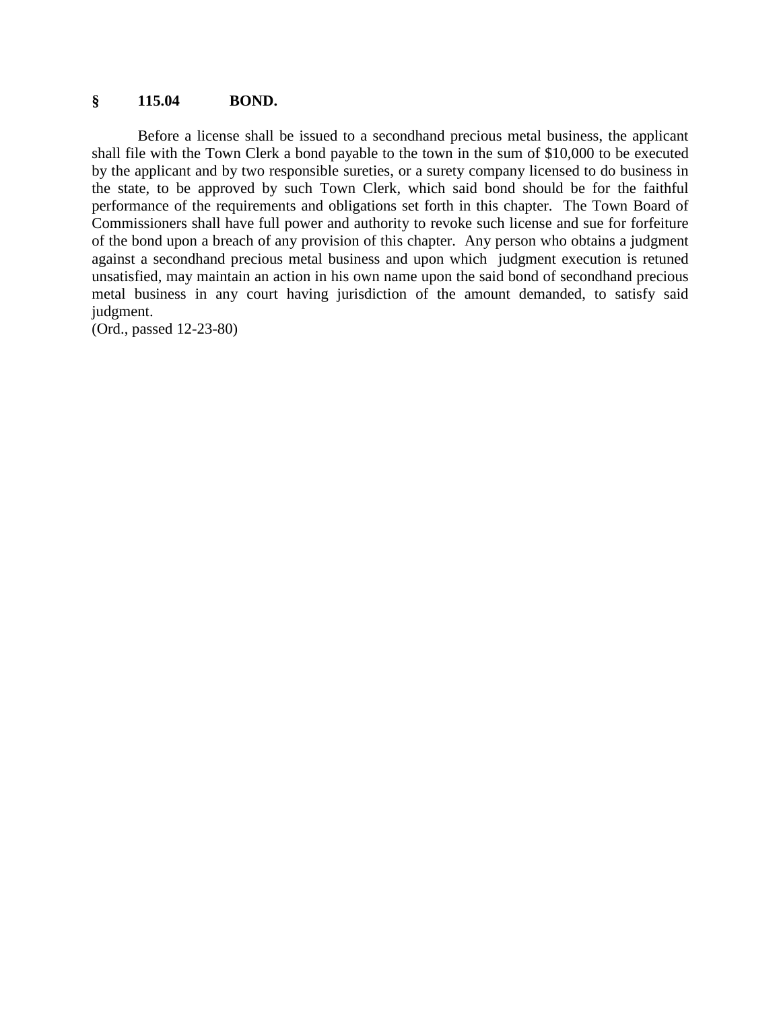#### **§ 115.04 BOND.**

Before a license shall be issued to a secondhand precious metal business, the applicant shall file with the Town Clerk a bond payable to the town in the sum of \$10,000 to be executed by the applicant and by two responsible sureties, or a surety company licensed to do business in the state, to be approved by such Town Clerk, which said bond should be for the faithful performance of the requirements and obligations set forth in this chapter. The Town Board of Commissioners shall have full power and authority to revoke such license and sue for forfeiture of the bond upon a breach of any provision of this chapter. Any person who obtains a judgment against a secondhand precious metal business and upon which judgment execution is retuned unsatisfied, may maintain an action in his own name upon the said bond of secondhand precious metal business in any court having jurisdiction of the amount demanded, to satisfy said judgment.

(Ord., passed 12-23-80)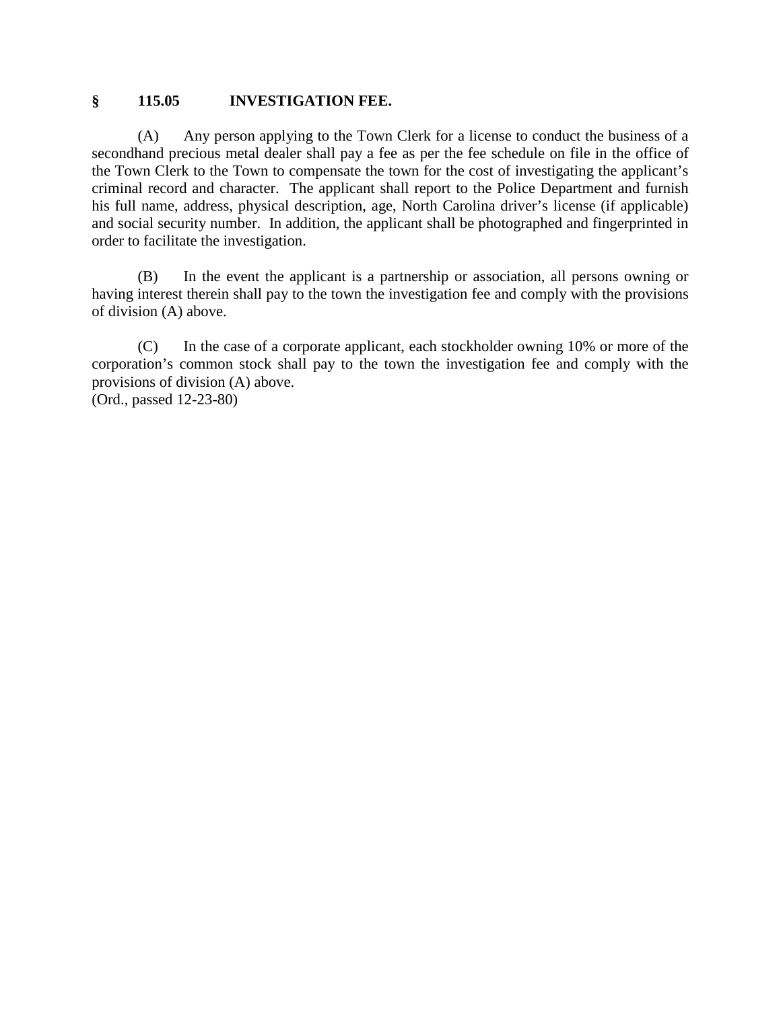#### **§ 115.05 INVESTIGATION FEE.**

(A) Any person applying to the Town Clerk for a license to conduct the business of a secondhand precious metal dealer shall pay a fee as per the fee schedule on file in the office of the Town Clerk to the Town to compensate the town for the cost of investigating the applicant's criminal record and character. The applicant shall report to the Police Department and furnish his full name, address, physical description, age, North Carolina driver's license (if applicable) and social security number. In addition, the applicant shall be photographed and fingerprinted in order to facilitate the investigation.

(B) In the event the applicant is a partnership or association, all persons owning or having interest therein shall pay to the town the investigation fee and comply with the provisions of division (A) above.

(C) In the case of a corporate applicant, each stockholder owning 10% or more of the corporation's common stock shall pay to the town the investigation fee and comply with the provisions of division (A) above.

(Ord., passed 12-23-80)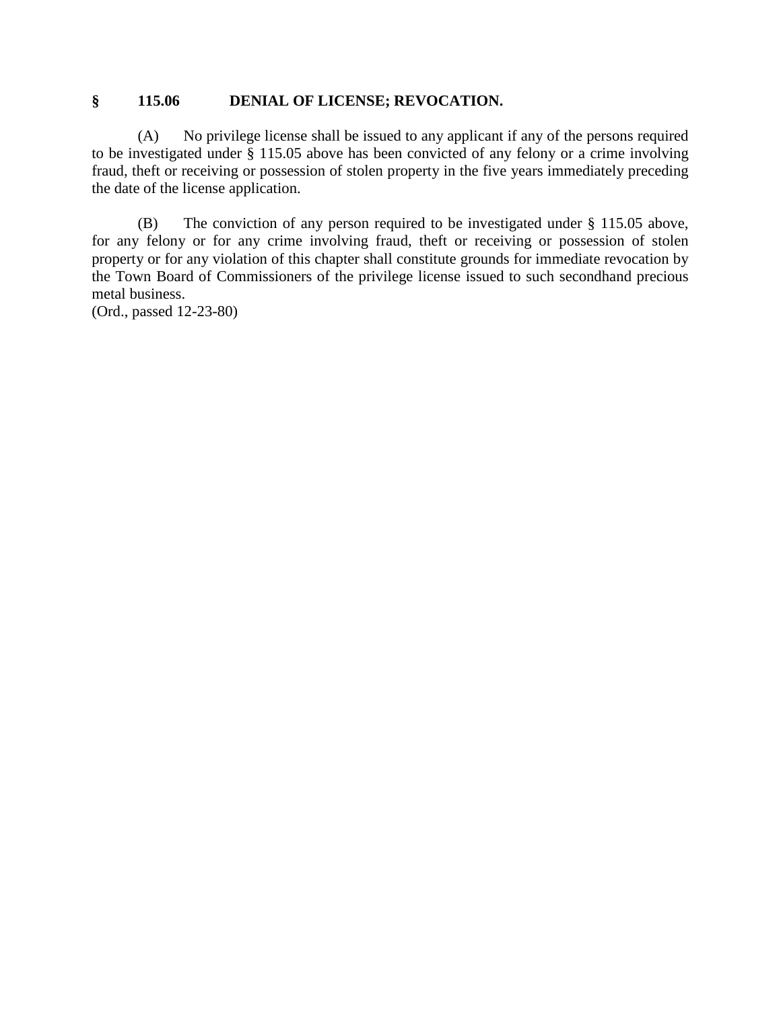#### **§ 115.06 DENIAL OF LICENSE; REVOCATION.**

(A) No privilege license shall be issued to any applicant if any of the persons required to be investigated under § 115.05 above has been convicted of any felony or a crime involving fraud, theft or receiving or possession of stolen property in the five years immediately preceding the date of the license application.

(B) The conviction of any person required to be investigated under § 115.05 above, for any felony or for any crime involving fraud, theft or receiving or possession of stolen property or for any violation of this chapter shall constitute grounds for immediate revocation by the Town Board of Commissioners of the privilege license issued to such secondhand precious metal business.

(Ord., passed 12-23-80)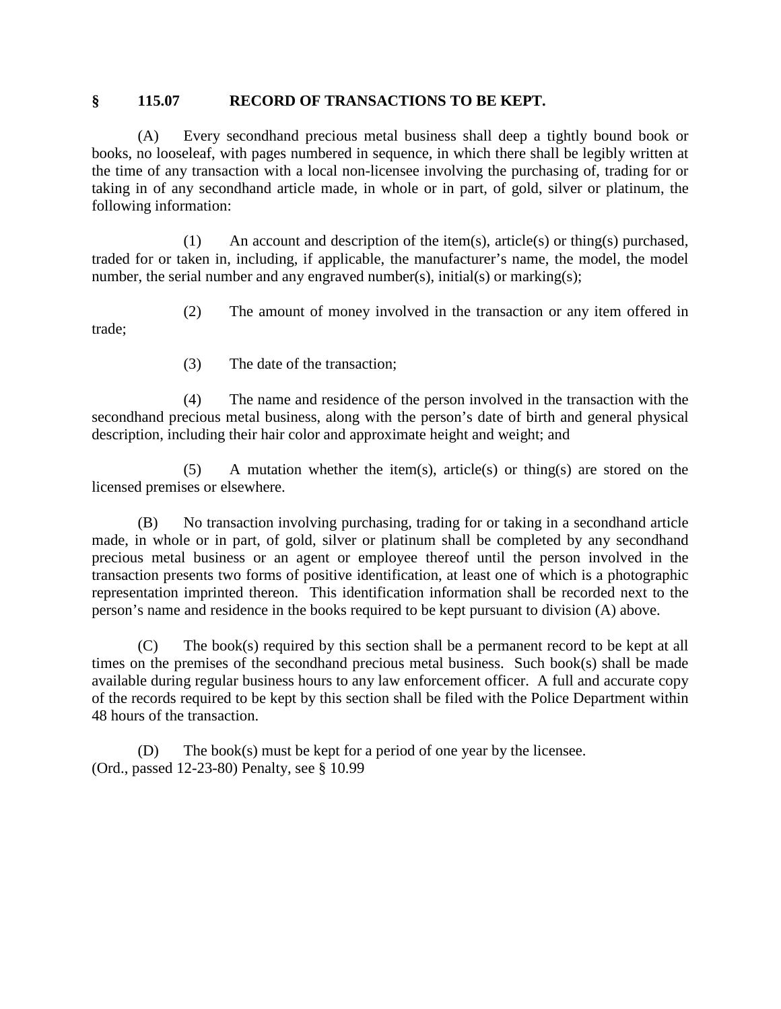#### **§ 115.07 RECORD OF TRANSACTIONS TO BE KEPT.**

(A) Every secondhand precious metal business shall deep a tightly bound book or books, no looseleaf, with pages numbered in sequence, in which there shall be legibly written at the time of any transaction with a local non-licensee involving the purchasing of, trading for or taking in of any secondhand article made, in whole or in part, of gold, silver or platinum, the following information:

(1) An account and description of the item(s), article(s) or thing(s) purchased, traded for or taken in, including, if applicable, the manufacturer's name, the model, the model number, the serial number and any engraved number(s), initial(s) or marking(s);

(2) The amount of money involved in the transaction or any item offered in trade;

(3) The date of the transaction;

(4) The name and residence of the person involved in the transaction with the secondhand precious metal business, along with the person's date of birth and general physical description, including their hair color and approximate height and weight; and

(5) A mutation whether the item(s), article(s) or thing(s) are stored on the licensed premises or elsewhere.

(B) No transaction involving purchasing, trading for or taking in a secondhand article made, in whole or in part, of gold, silver or platinum shall be completed by any secondhand precious metal business or an agent or employee thereof until the person involved in the transaction presents two forms of positive identification, at least one of which is a photographic representation imprinted thereon. This identification information shall be recorded next to the person's name and residence in the books required to be kept pursuant to division (A) above.

(C) The book(s) required by this section shall be a permanent record to be kept at all times on the premises of the secondhand precious metal business. Such book(s) shall be made available during regular business hours to any law enforcement officer. A full and accurate copy of the records required to be kept by this section shall be filed with the Police Department within 48 hours of the transaction.

(D) The book(s) must be kept for a period of one year by the licensee. (Ord., passed 12-23-80) Penalty, see § 10.99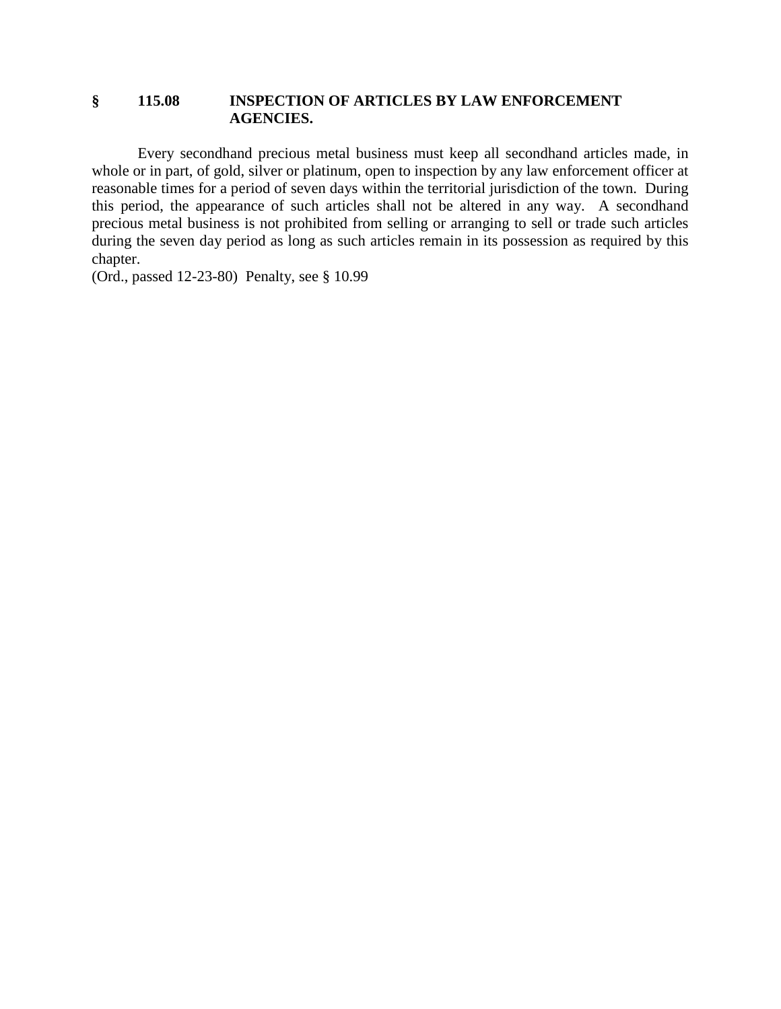#### **§ 115.08 INSPECTION OF ARTICLES BY LAW ENFORCEMENT AGENCIES.**

Every secondhand precious metal business must keep all secondhand articles made, in whole or in part, of gold, silver or platinum, open to inspection by any law enforcement officer at reasonable times for a period of seven days within the territorial jurisdiction of the town. During this period, the appearance of such articles shall not be altered in any way. A secondhand precious metal business is not prohibited from selling or arranging to sell or trade such articles during the seven day period as long as such articles remain in its possession as required by this chapter.

(Ord., passed 12-23-80) Penalty, see § 10.99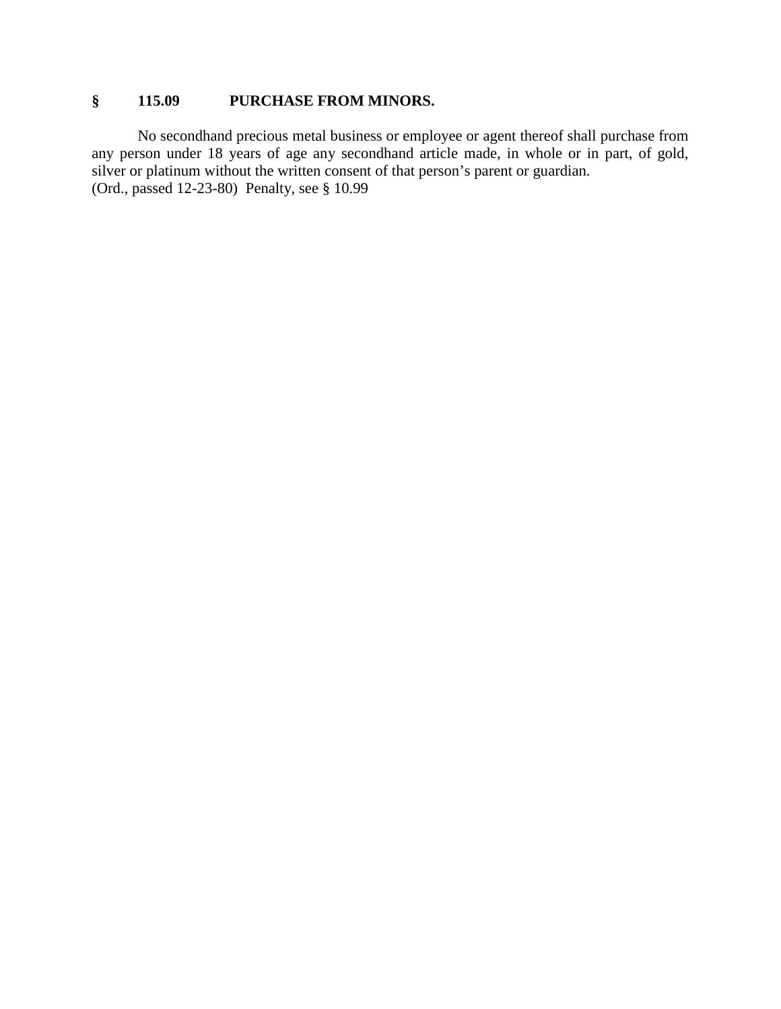## **§ 115.09 PURCHASE FROM MINORS.**

No secondhand precious metal business or employee or agent thereof shall purchase from any person under 18 years of age any secondhand article made, in whole or in part, of gold, silver or platinum without the written consent of that person's parent or guardian. (Ord., passed 12-23-80) Penalty, see § 10.99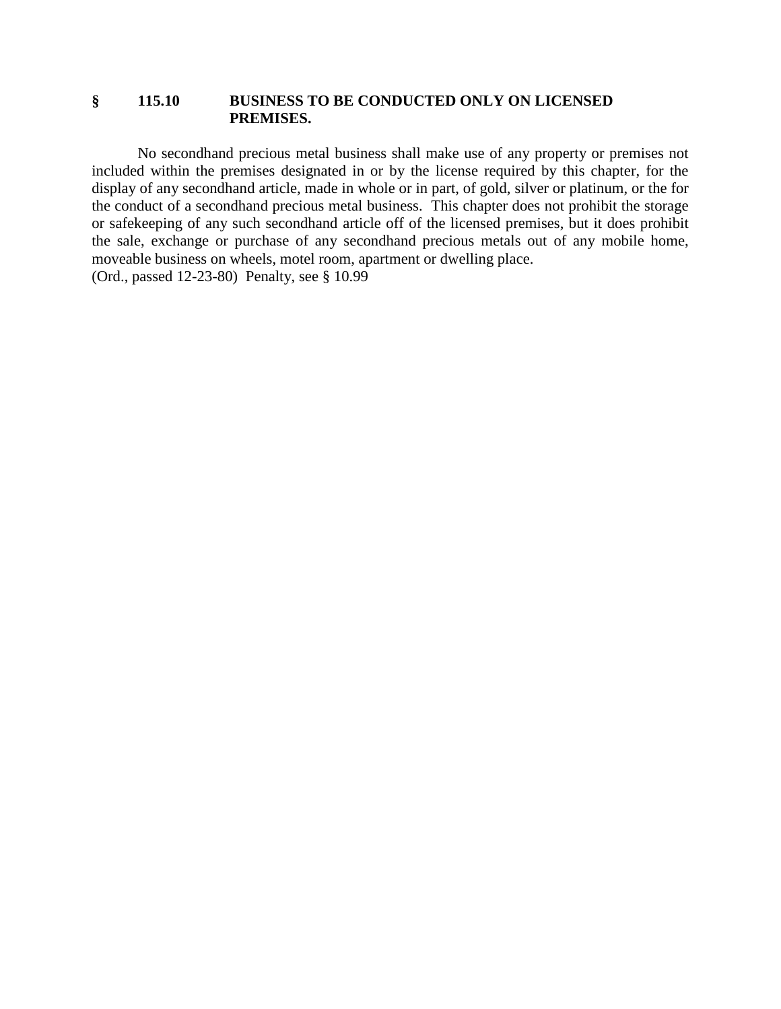### **§ 115.10 BUSINESS TO BE CONDUCTED ONLY ON LICENSED PREMISES.**

No secondhand precious metal business shall make use of any property or premises not included within the premises designated in or by the license required by this chapter, for the display of any secondhand article, made in whole or in part, of gold, silver or platinum, or the for the conduct of a secondhand precious metal business. This chapter does not prohibit the storage or safekeeping of any such secondhand article off of the licensed premises, but it does prohibit the sale, exchange or purchase of any secondhand precious metals out of any mobile home, moveable business on wheels, motel room, apartment or dwelling place. (Ord., passed 12-23-80) Penalty, see § 10.99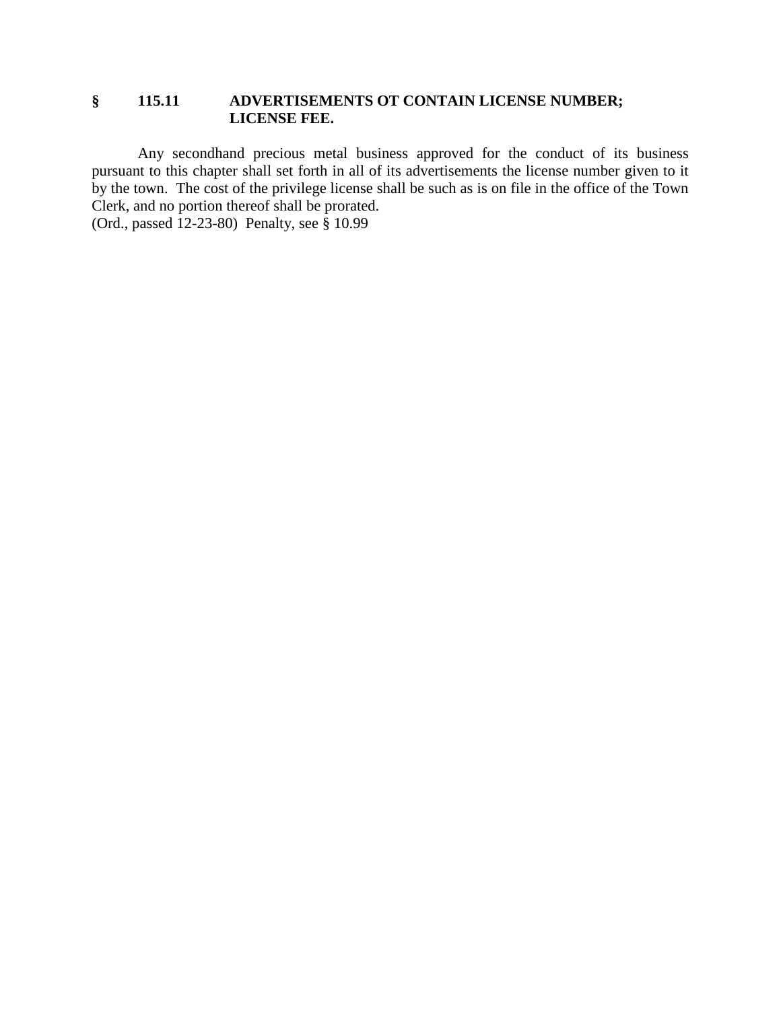### **§ 115.11 ADVERTISEMENTS OT CONTAIN LICENSE NUMBER; LICENSE FEE.**

Any secondhand precious metal business approved for the conduct of its business pursuant to this chapter shall set forth in all of its advertisements the license number given to it by the town. The cost of the privilege license shall be such as is on file in the office of the Town Clerk, and no portion thereof shall be prorated. (Ord., passed 12-23-80) Penalty, see § 10.99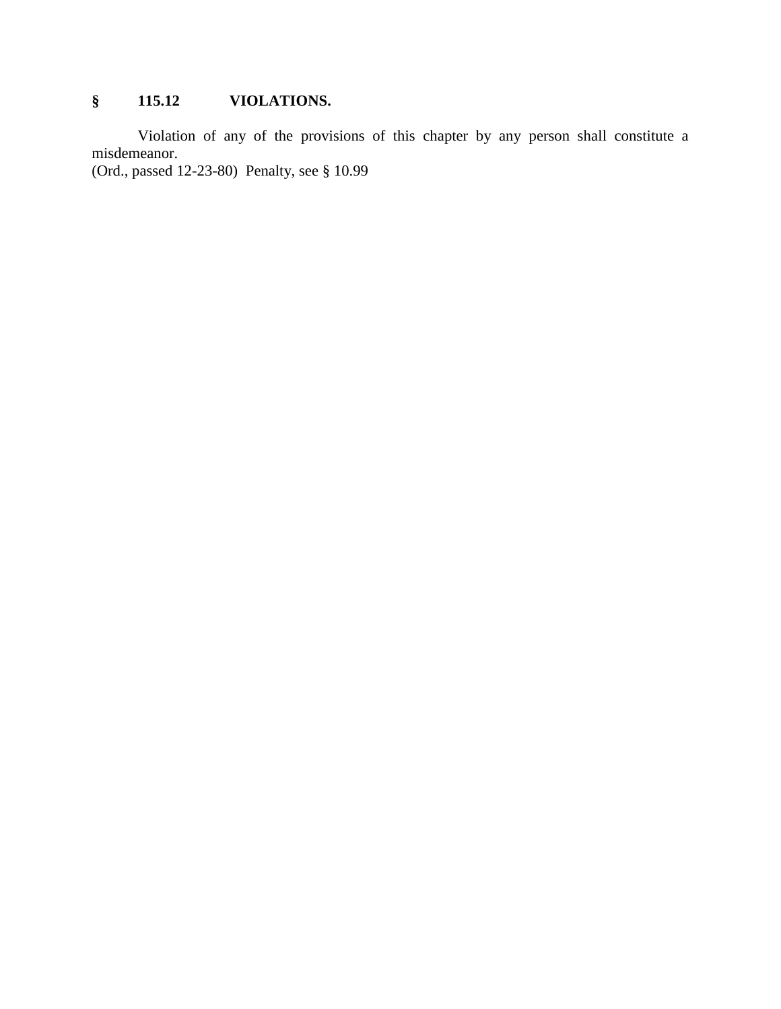# **§ 115.12 VIOLATIONS.**

Violation of any of the provisions of this chapter by any person shall constitute a misdemeanor.

(Ord., passed 12-23-80) Penalty, see § 10.99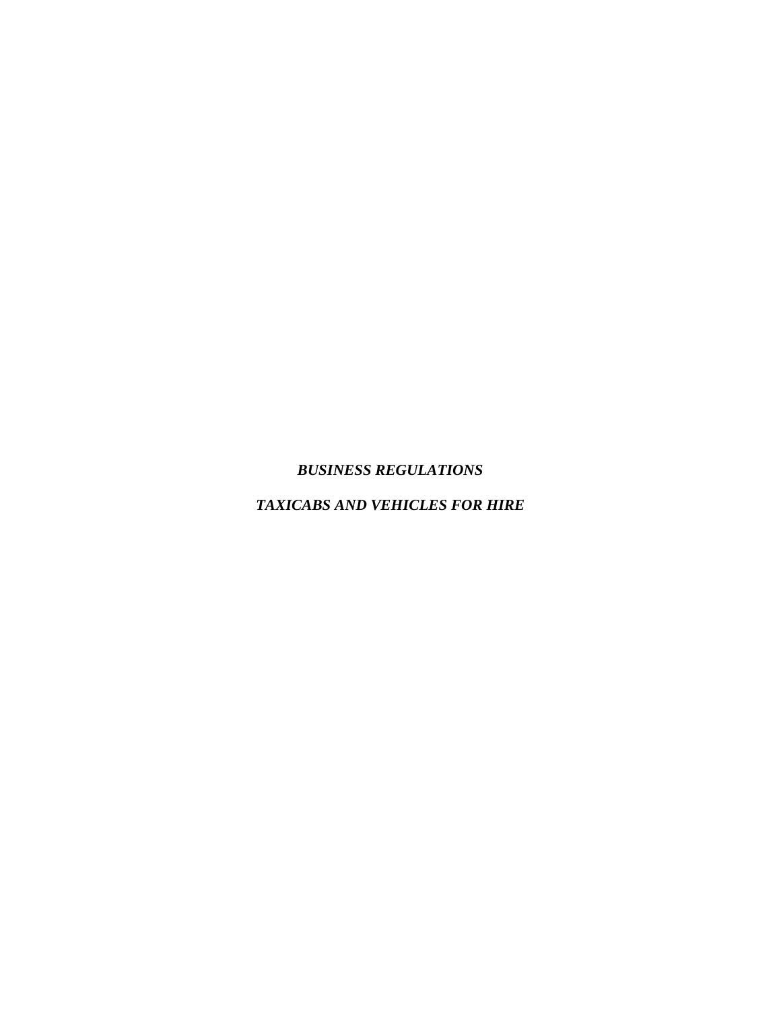## *BUSINESS REGULATIONS*

## *TAXICABS AND VEHICLES FOR HIRE*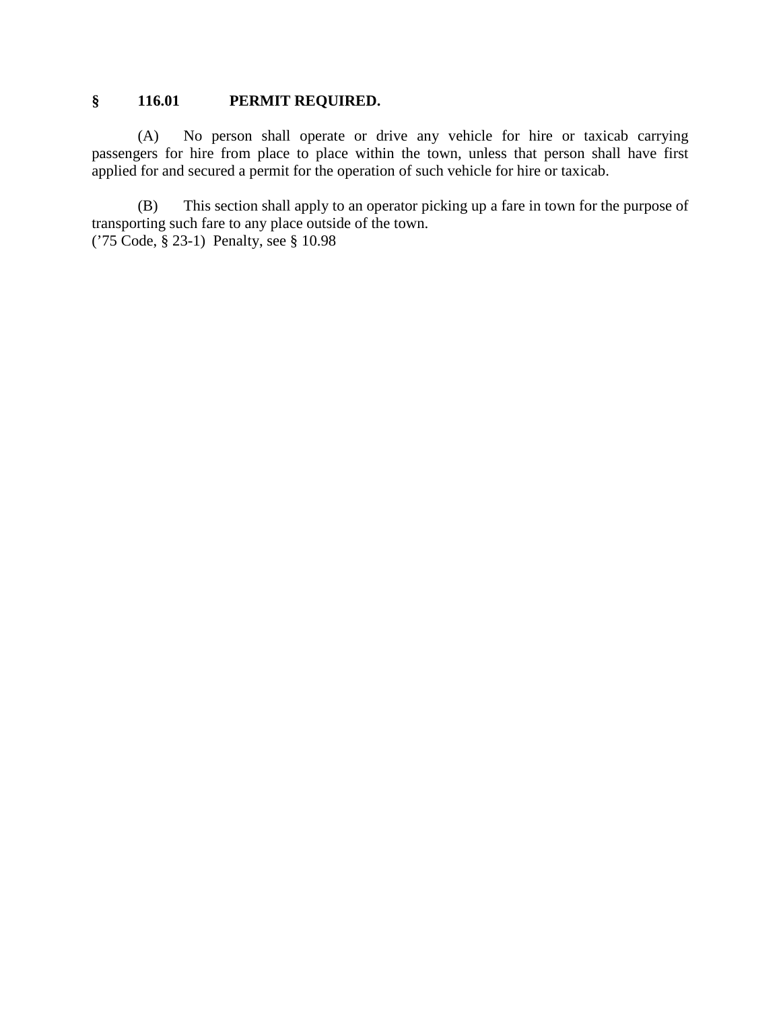### **§ 116.01 PERMIT REQUIRED.**

(A) No person shall operate or drive any vehicle for hire or taxicab carrying passengers for hire from place to place within the town, unless that person shall have first applied for and secured a permit for the operation of such vehicle for hire or taxicab.

(B) This section shall apply to an operator picking up a fare in town for the purpose of transporting such fare to any place outside of the town. ('75 Code, § 23-1) Penalty, see § 10.98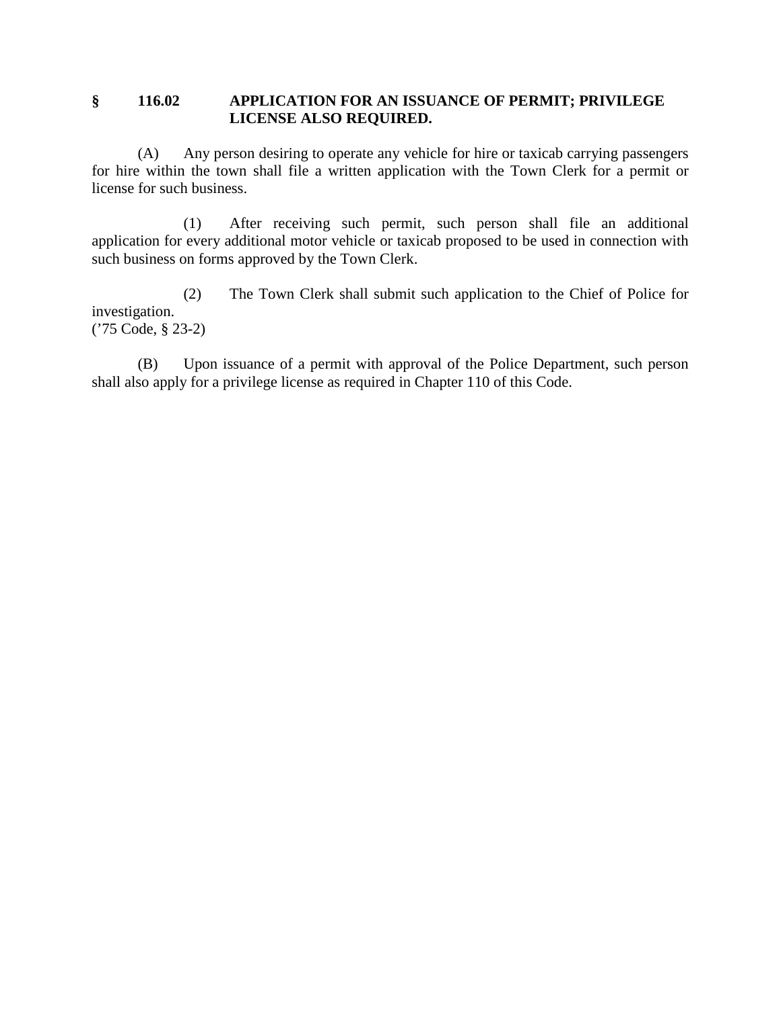### **§ 116.02 APPLICATION FOR AN ISSUANCE OF PERMIT; PRIVILEGE LICENSE ALSO REQUIRED.**

(A) Any person desiring to operate any vehicle for hire or taxicab carrying passengers for hire within the town shall file a written application with the Town Clerk for a permit or license for such business.

(1) After receiving such permit, such person shall file an additional application for every additional motor vehicle or taxicab proposed to be used in connection with such business on forms approved by the Town Clerk.

(2) The Town Clerk shall submit such application to the Chief of Police for investigation. ('75 Code, § 23-2)

(B) Upon issuance of a permit with approval of the Police Department, such person shall also apply for a privilege license as required in Chapter 110 of this Code.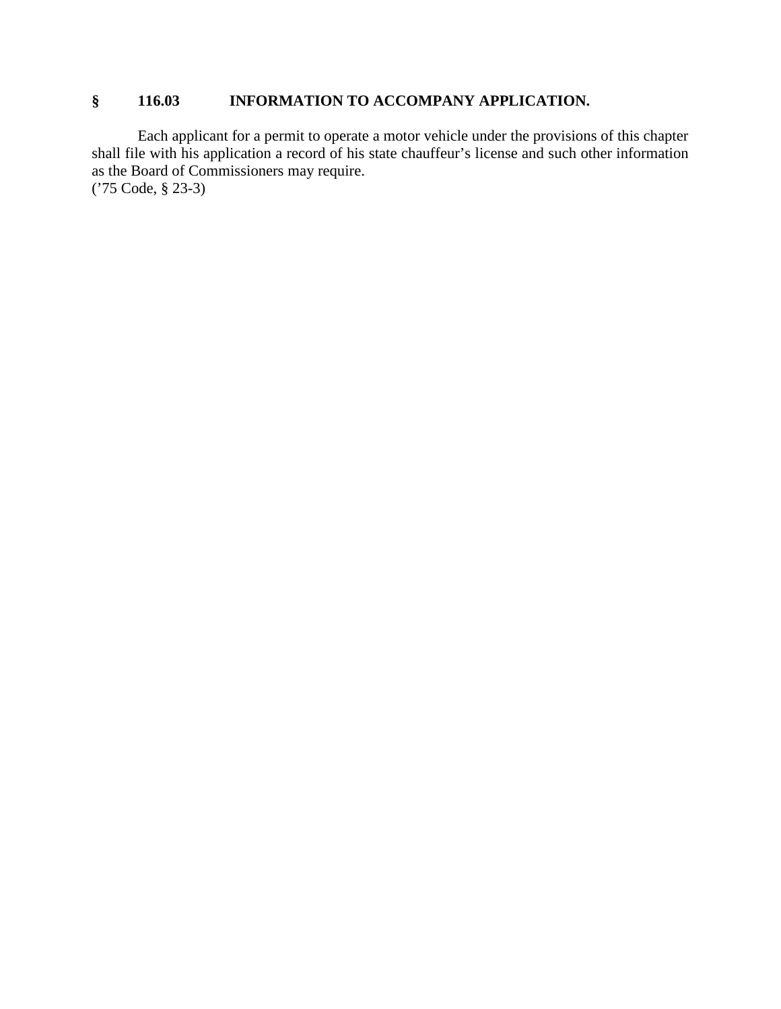## **§ 116.03 INFORMATION TO ACCOMPANY APPLICATION.**

Each applicant for a permit to operate a motor vehicle under the provisions of this chapter shall file with his application a record of his state chauffeur's license and such other information as the Board of Commissioners may require. ('75 Code, § 23-3)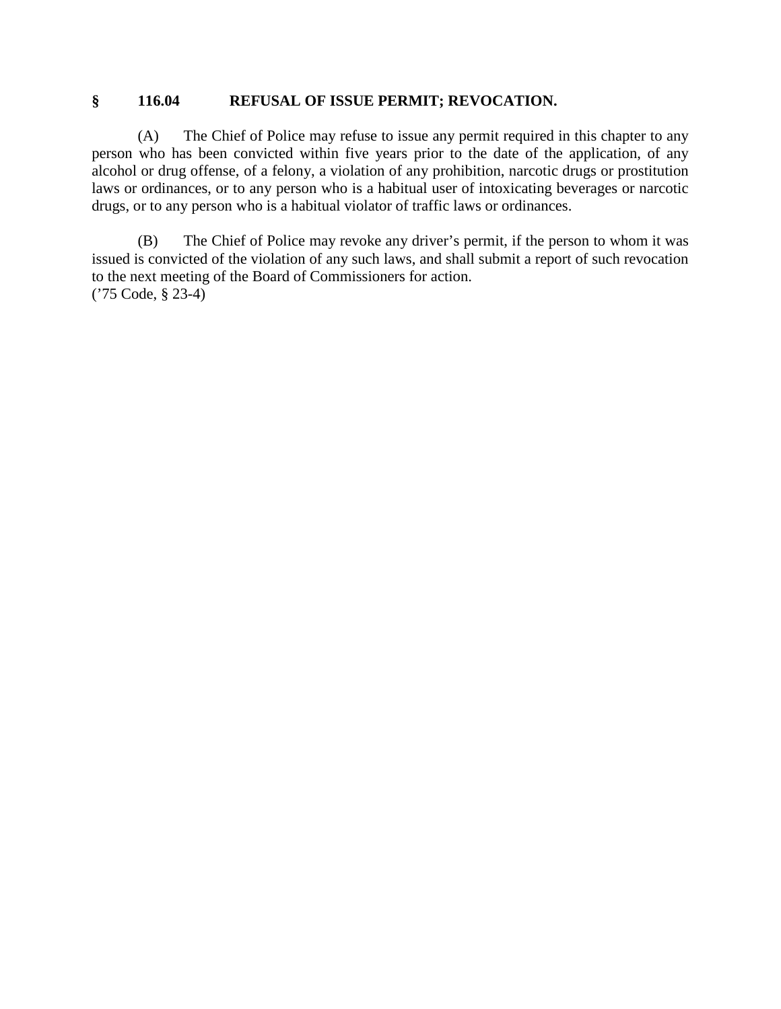### **§ 116.04 REFUSAL OF ISSUE PERMIT; REVOCATION.**

(A) The Chief of Police may refuse to issue any permit required in this chapter to any person who has been convicted within five years prior to the date of the application, of any alcohol or drug offense, of a felony, a violation of any prohibition, narcotic drugs or prostitution laws or ordinances, or to any person who is a habitual user of intoxicating beverages or narcotic drugs, or to any person who is a habitual violator of traffic laws or ordinances.

(B) The Chief of Police may revoke any driver's permit, if the person to whom it was issued is convicted of the violation of any such laws, and shall submit a report of such revocation to the next meeting of the Board of Commissioners for action. ('75 Code, § 23-4)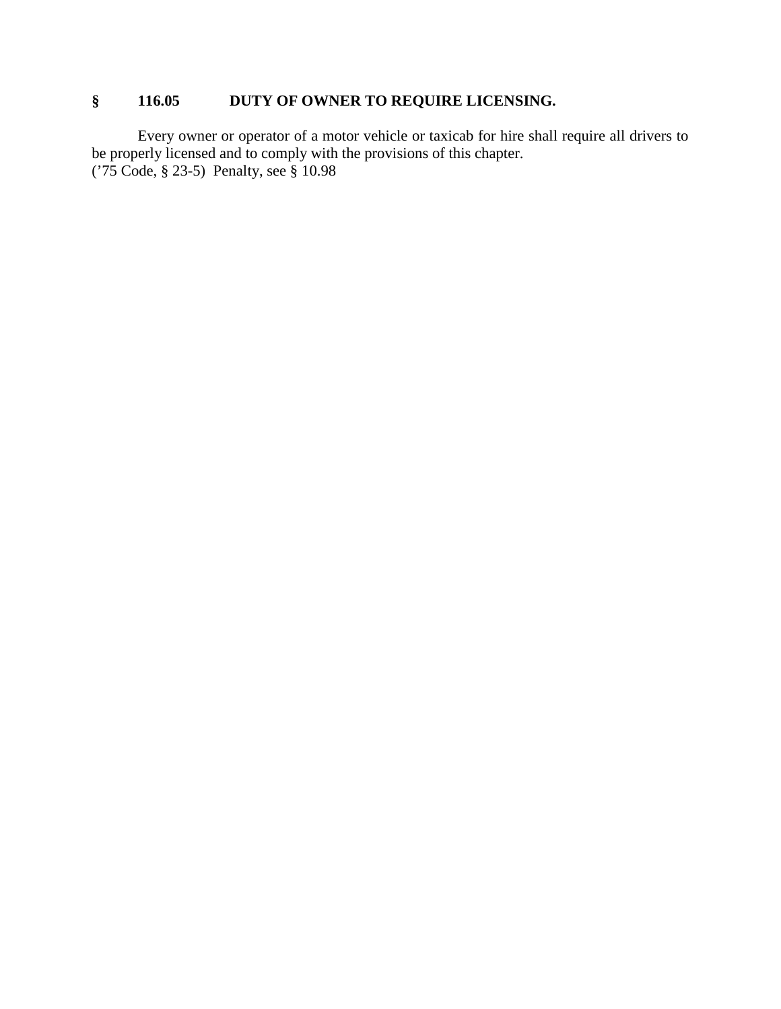## **§ 116.05 DUTY OF OWNER TO REQUIRE LICENSING.**

Every owner or operator of a motor vehicle or taxicab for hire shall require all drivers to be properly licensed and to comply with the provisions of this chapter. ('75 Code, § 23-5) Penalty, see § 10.98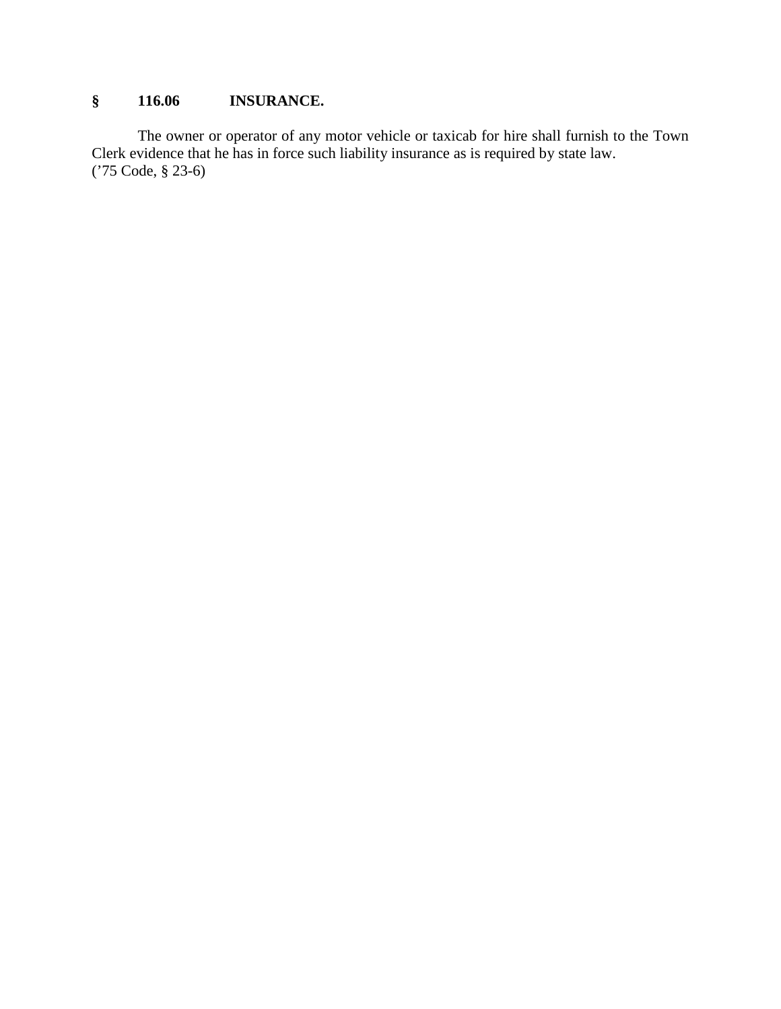## **§ 116.06 INSURANCE.**

The owner or operator of any motor vehicle or taxicab for hire shall furnish to the Town Clerk evidence that he has in force such liability insurance as is required by state law. ('75 Code, § 23-6)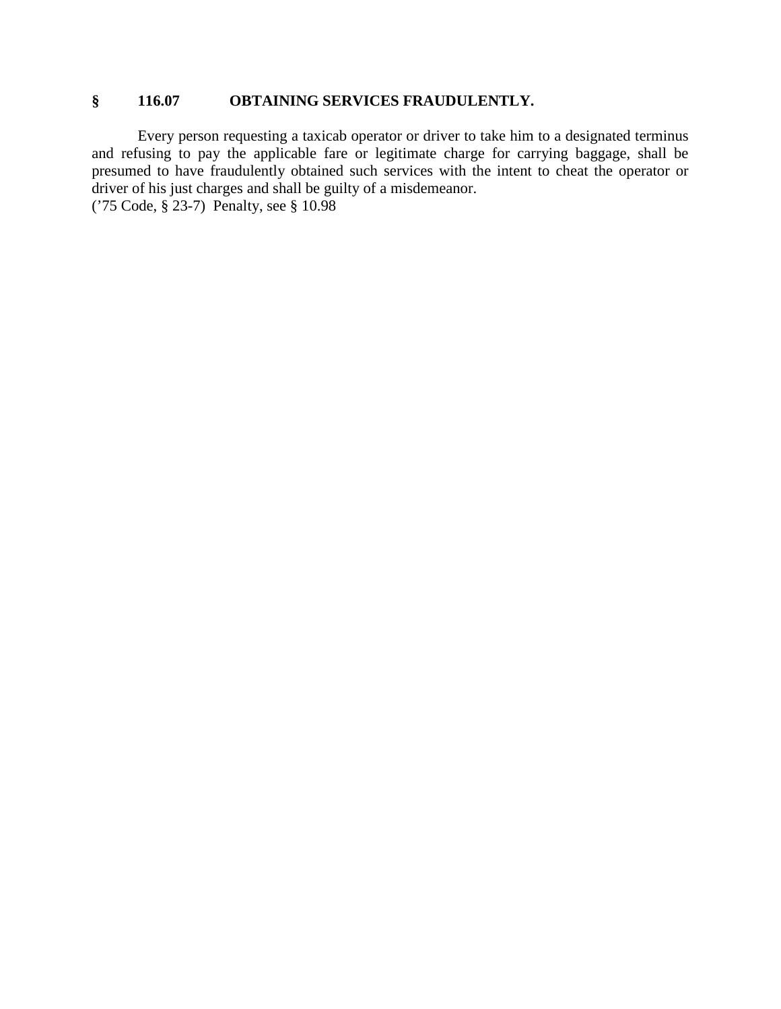### **§ 116.07 OBTAINING SERVICES FRAUDULENTLY.**

Every person requesting a taxicab operator or driver to take him to a designated terminus and refusing to pay the applicable fare or legitimate charge for carrying baggage, shall be presumed to have fraudulently obtained such services with the intent to cheat the operator or driver of his just charges and shall be guilty of a misdemeanor. ('75 Code, § 23-7) Penalty, see § 10.98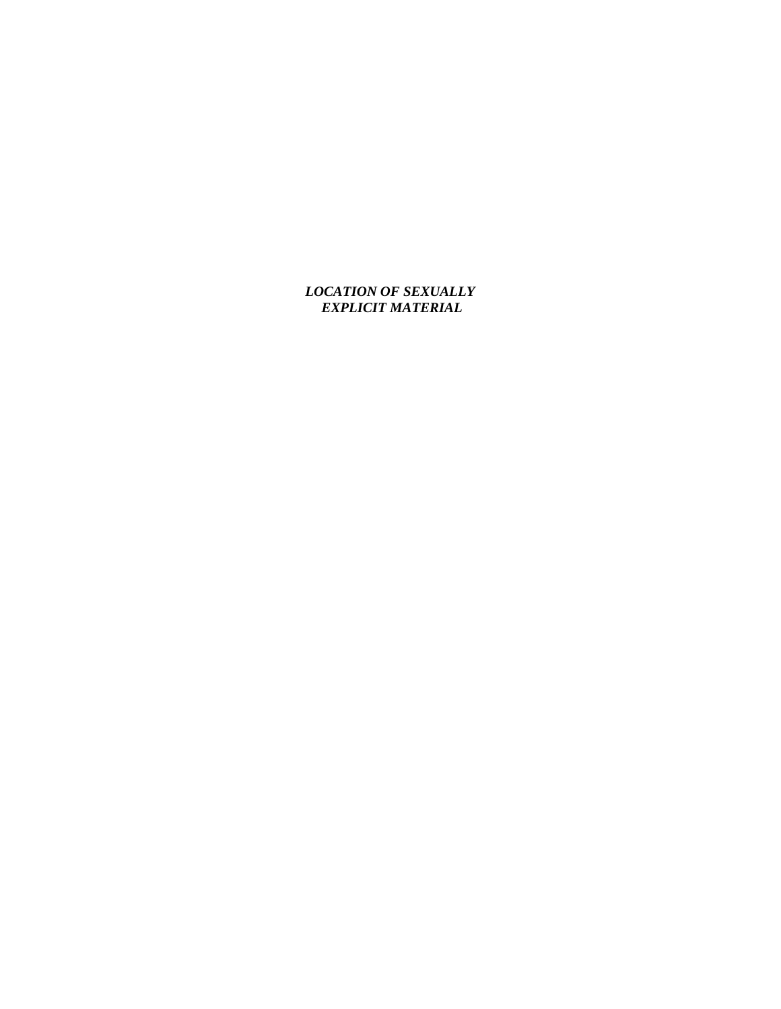*LOCATION OF SEXUALLY EXPLICIT MATERIAL*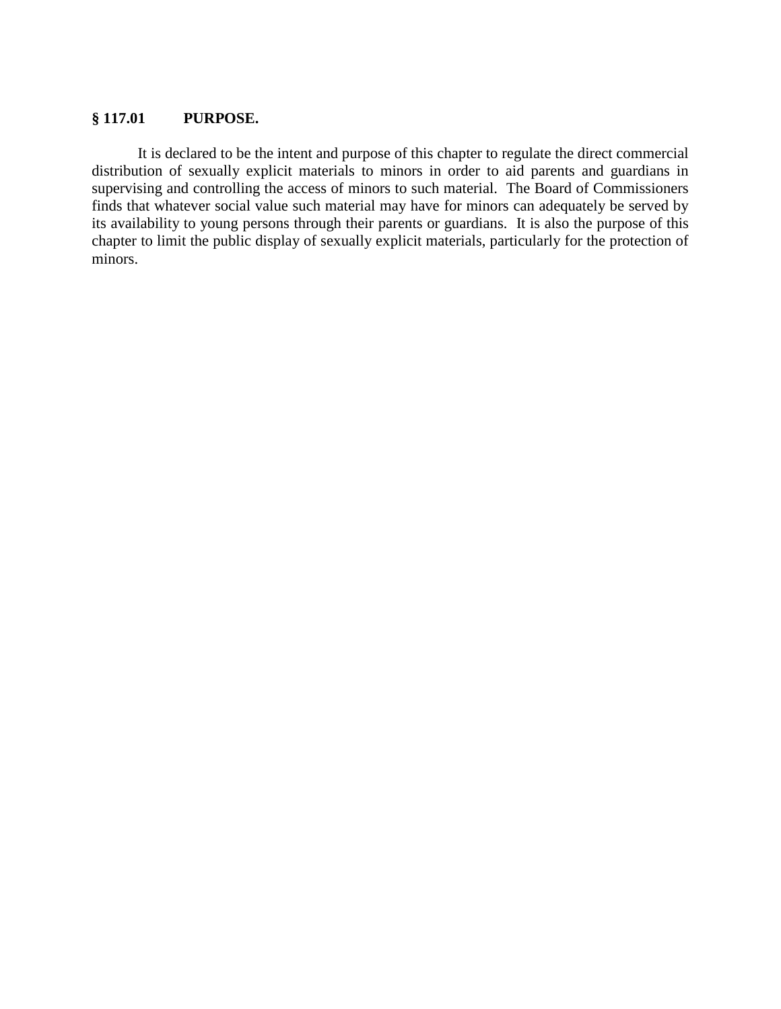### **§ 117.01 PURPOSE.**

It is declared to be the intent and purpose of this chapter to regulate the direct commercial distribution of sexually explicit materials to minors in order to aid parents and guardians in supervising and controlling the access of minors to such material. The Board of Commissioners finds that whatever social value such material may have for minors can adequately be served by its availability to young persons through their parents or guardians. It is also the purpose of this chapter to limit the public display of sexually explicit materials, particularly for the protection of minors.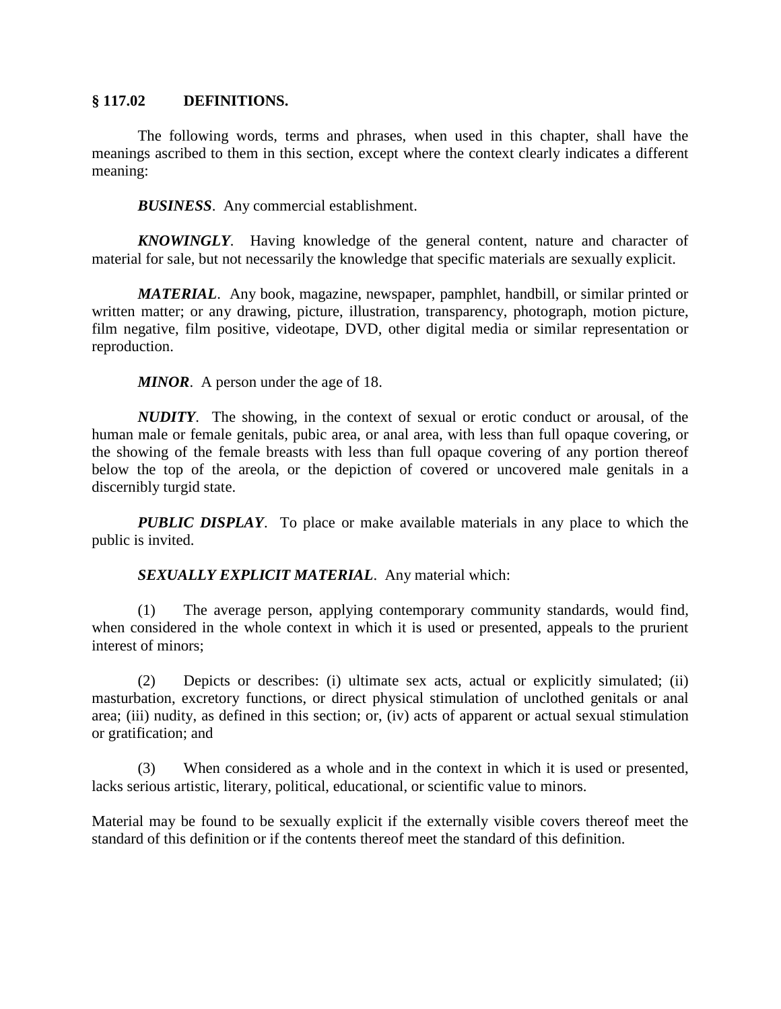#### **§ 117.02 DEFINITIONS.**

The following words, terms and phrases, when used in this chapter, shall have the meanings ascribed to them in this section, except where the context clearly indicates a different meaning:

*BUSINESS*. Any commercial establishment.

*KNOWINGLY.* Having knowledge of the general content, nature and character of material for sale, but not necessarily the knowledge that specific materials are sexually explicit.

*MATERIAL*. Any book, magazine, newspaper, pamphlet, handbill, or similar printed or written matter; or any drawing, picture, illustration, transparency, photograph, motion picture, film negative, film positive, videotape, DVD, other digital media or similar representation or reproduction.

*MINOR*. A person under the age of 18.

*NUDITY*. The showing, in the context of sexual or erotic conduct or arousal, of the human male or female genitals, pubic area, or anal area, with less than full opaque covering, or the showing of the female breasts with less than full opaque covering of any portion thereof below the top of the areola, or the depiction of covered or uncovered male genitals in a discernibly turgid state.

*PUBLIC DISPLAY*. To place or make available materials in any place to which the public is invited.

*SEXUALLY EXPLICIT MATERIAL*. Any material which:

(1) The average person, applying contemporary community standards, would find, when considered in the whole context in which it is used or presented, appeals to the prurient interest of minors;

(2) Depicts or describes: (i) ultimate sex acts, actual or explicitly simulated; (ii) masturbation, excretory functions, or direct physical stimulation of unclothed genitals or anal area; (iii) nudity, as defined in this section; or, (iv) acts of apparent or actual sexual stimulation or gratification; and

(3) When considered as a whole and in the context in which it is used or presented, lacks serious artistic, literary, political, educational, or scientific value to minors.

Material may be found to be sexually explicit if the externally visible covers thereof meet the standard of this definition or if the contents thereof meet the standard of this definition.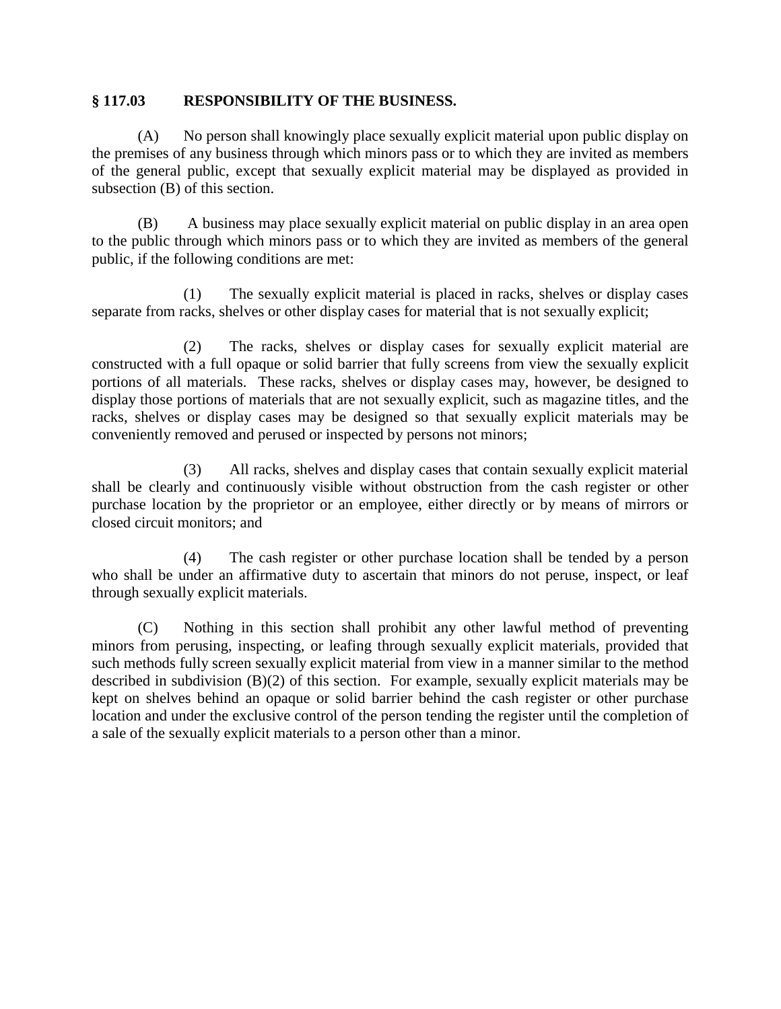### **§ 117.03 RESPONSIBILITY OF THE BUSINESS.**

(A) No person shall knowingly place sexually explicit material upon public display on the premises of any business through which minors pass or to which they are invited as members of the general public, except that sexually explicit material may be displayed as provided in subsection (B) of this section.

(B) A business may place sexually explicit material on public display in an area open to the public through which minors pass or to which they are invited as members of the general public, if the following conditions are met:

(1) The sexually explicit material is placed in racks, shelves or display cases separate from racks, shelves or other display cases for material that is not sexually explicit;

(2) The racks, shelves or display cases for sexually explicit material are constructed with a full opaque or solid barrier that fully screens from view the sexually explicit portions of all materials. These racks, shelves or display cases may, however, be designed to display those portions of materials that are not sexually explicit, such as magazine titles, and the racks, shelves or display cases may be designed so that sexually explicit materials may be conveniently removed and perused or inspected by persons not minors;

(3) All racks, shelves and display cases that contain sexually explicit material shall be clearly and continuously visible without obstruction from the cash register or other purchase location by the proprietor or an employee, either directly or by means of mirrors or closed circuit monitors; and

(4) The cash register or other purchase location shall be tended by a person who shall be under an affirmative duty to ascertain that minors do not peruse, inspect, or leaf through sexually explicit materials.

(C) Nothing in this section shall prohibit any other lawful method of preventing minors from perusing, inspecting, or leafing through sexually explicit materials, provided that such methods fully screen sexually explicit material from view in a manner similar to the method described in subdivision (B)(2) of this section. For example, sexually explicit materials may be kept on shelves behind an opaque or solid barrier behind the cash register or other purchase location and under the exclusive control of the person tending the register until the completion of a sale of the sexually explicit materials to a person other than a minor.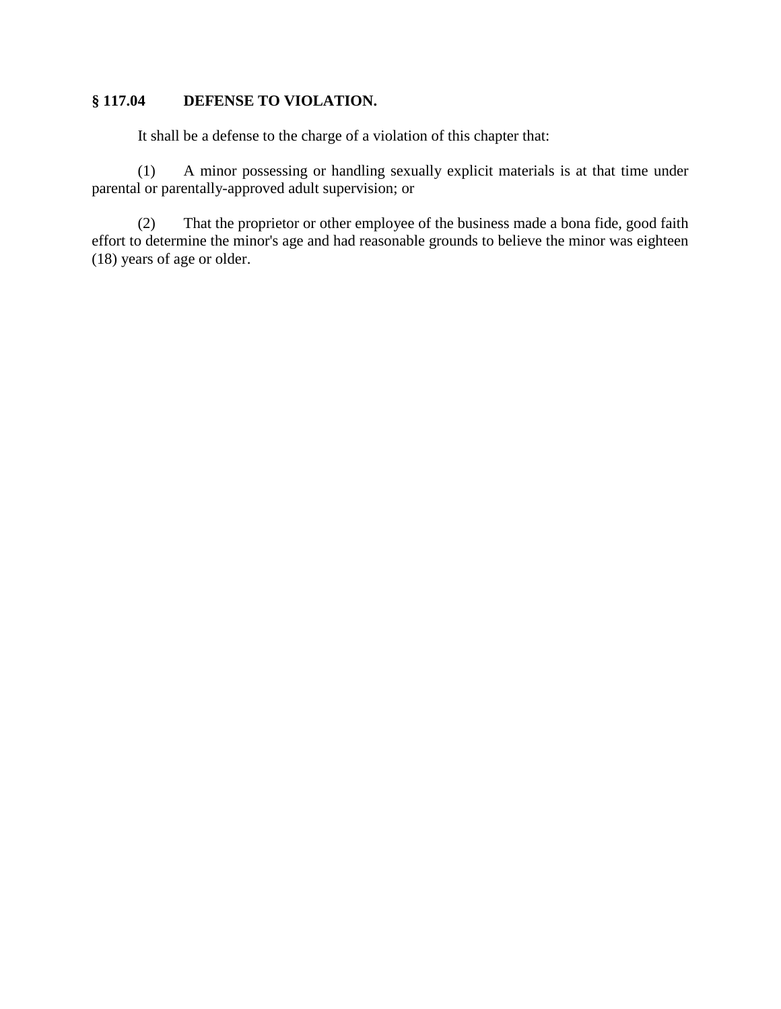## **§ 117.04 DEFENSE TO VIOLATION.**

It shall be a defense to the charge of a violation of this chapter that:

(1) A minor possessing or handling sexually explicit materials is at that time under parental or parentally-approved adult supervision; or

(2) That the proprietor or other employee of the business made a bona fide, good faith effort to determine the minor's age and had reasonable grounds to believe the minor was eighteen (18) years of age or older.